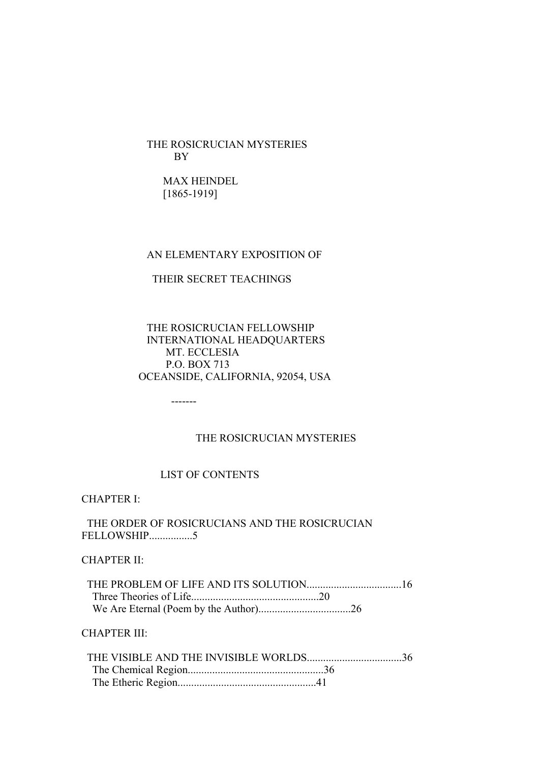THE ROSICRUCIAN MYSTERIES BY

 MAX HEINDEL [1865-1919]

#### AN ELEMENTARY EXPOSITION OF

#### THEIR SECRET TEACHINGS

 THE ROSICRUCIAN FELLOWSHIP INTERNATIONAL HEADQUARTERS MT. ECCLESIA P.O. BOX 713 OCEANSIDE, CALIFORNIA, 92054, USA

## THE ROSICRUCIAN MYSTERIES

## LIST OF CONTENTS

-------

CHAPTER I:

## THE ORDER OF ROSICRUCIANS AND THE ROSICRUCIAN FELLOWSHIP................5

## CHAPTER II:

CHAPTER III: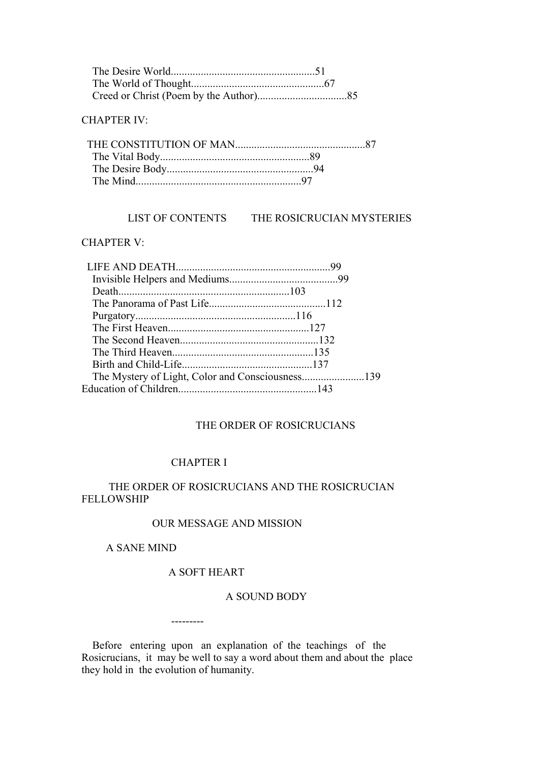## CHAPTER IV:

# LIST OF CONTENTS THE ROSICRUCIAN MYSTERIES

## CHAPTER V:

## THE ORDER OF ROSICRUCIANS

# CHAPTER I

## THE ORDER OF ROSICRUCIANS AND THE ROSICRUCIAN FELLOWSHIP

## OUR MESSAGE AND MISSION

## A SANE MIND

# A SOFT HEART

---------

#### A SOUND BODY

 Before entering upon an explanation of the teachings of the Rosicrucians, it may be well to say a word about them and about the place they hold in the evolution of humanity.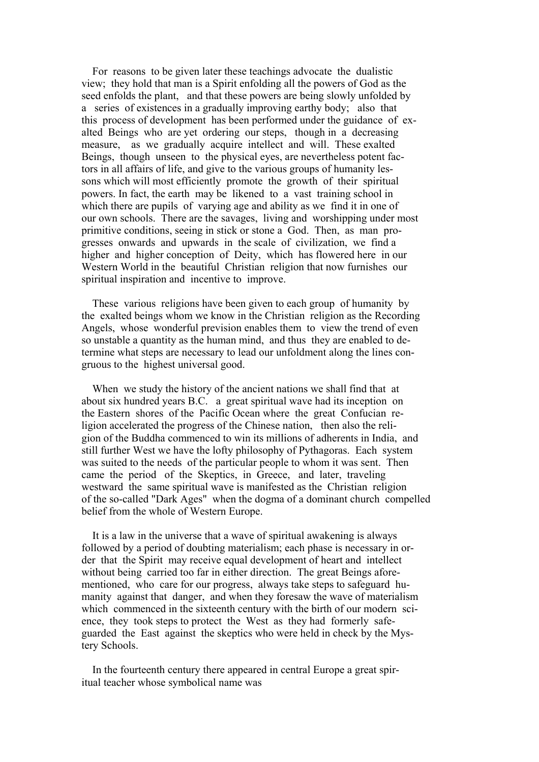For reasons to be given later these teachings advocate the dualistic view; they hold that man is a Spirit enfolding all the powers of God as the seed enfolds the plant, and that these powers are being slowly unfolded by a series of existences in a gradually improving earthy body; also that this process of development has been performed under the guidance of exalted Beings who are yet ordering our steps, though in a decreasing measure, as we gradually acquire intellect and will. These exalted Beings, though unseen to the physical eyes, are nevertheless potent factors in all affairs of life, and give to the various groups of humanity lessons which will most efficiently promote the growth of their spiritual powers. In fact, the earth may be likened to a vast training school in which there are pupils of varying age and ability as we find it in one of our own schools. There are the savages, living and worshipping under most primitive conditions, seeing in stick or stone a God. Then, as man progresses onwards and upwards in the scale of civilization, we find a higher and higher conception of Deity, which has flowered here in our Western World in the beautiful Christian religion that now furnishes our spiritual inspiration and incentive to improve.

 These various religions have been given to each group of humanity by the exalted beings whom we know in the Christian religion as the Recording Angels, whose wonderful prevision enables them to view the trend of even so unstable a quantity as the human mind, and thus they are enabled to determine what steps are necessary to lead our unfoldment along the lines congruous to the highest universal good.

 When we study the history of the ancient nations we shall find that at about six hundred years B.C. a great spiritual wave had its inception on the Eastern shores of the Pacific Ocean where the great Confucian religion accelerated the progress of the Chinese nation, then also the religion of the Buddha commenced to win its millions of adherents in India, and still further West we have the lofty philosophy of Pythagoras. Each system was suited to the needs of the particular people to whom it was sent. Then came the period of the Skeptics, in Greece, and later, traveling westward the same spiritual wave is manifested as the Christian religion of the so-called "Dark Ages" when the dogma of a dominant church compelled belief from the whole of Western Europe.

 It is a law in the universe that a wave of spiritual awakening is always followed by a period of doubting materialism; each phase is necessary in order that the Spirit may receive equal development of heart and intellect without being carried too far in either direction. The great Beings aforementioned, who care for our progress, always take steps to safeguard humanity against that danger, and when they foresaw the wave of materialism which commenced in the sixteenth century with the birth of our modern science, they took steps to protect the West as they had formerly safeguarded the East against the skeptics who were held in check by the Mystery Schools.

 In the fourteenth century there appeared in central Europe a great spiritual teacher whose symbolical name was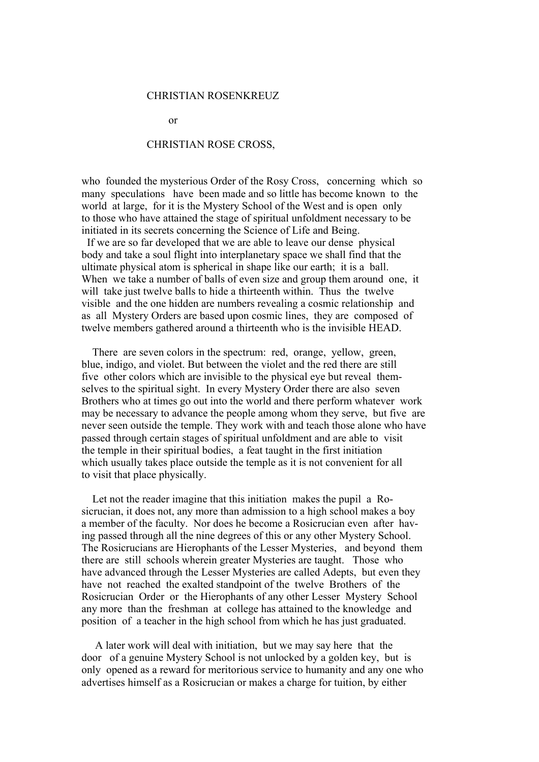#### CHRISTIAN ROSENKREUZ

or

#### CHRISTIAN ROSE CROSS,

who founded the mysterious Order of the Rosy Cross, concerning which so many speculations have been made and so little has become known to the world at large, for it is the Mystery School of the West and is open only to those who have attained the stage of spiritual unfoldment necessary to be initiated in its secrets concerning the Science of Life and Being.

 If we are so far developed that we are able to leave our dense physical body and take a soul flight into interplanetary space we shall find that the ultimate physical atom is spherical in shape like our earth; it is a ball. When we take a number of balls of even size and group them around one, it will take just twelve balls to hide a thirteenth within. Thus the twelve visible and the one hidden are numbers revealing a cosmic relationship and as all Mystery Orders are based upon cosmic lines, they are composed of twelve members gathered around a thirteenth who is the invisible HEAD.

 There are seven colors in the spectrum: red, orange, yellow, green, blue, indigo, and violet. But between the violet and the red there are still five other colors which are invisible to the physical eye but reveal themselves to the spiritual sight. In every Mystery Order there are also seven Brothers who at times go out into the world and there perform whatever work may be necessary to advance the people among whom they serve, but five are never seen outside the temple. They work with and teach those alone who have passed through certain stages of spiritual unfoldment and are able to visit the temple in their spiritual bodies, a feat taught in the first initiation which usually takes place outside the temple as it is not convenient for all to visit that place physically.

 Let not the reader imagine that this initiation makes the pupil a Rosicrucian, it does not, any more than admission to a high school makes a boy a member of the faculty. Nor does he become a Rosicrucian even after having passed through all the nine degrees of this or any other Mystery School. The Rosicrucians are Hierophants of the Lesser Mysteries, and beyond them there are still schools wherein greater Mysteries are taught. Those who have advanced through the Lesser Mysteries are called Adepts, but even they have not reached the exalted standpoint of the twelve Brothers of the Rosicrucian Order or the Hierophants of any other Lesser Mystery School any more than the freshman at college has attained to the knowledge and position of a teacher in the high school from which he has just graduated.

 A later work will deal with initiation, but we may say here that the door of a genuine Mystery School is not unlocked by a golden key, but is only opened as a reward for meritorious service to humanity and any one who advertises himself as a Rosicrucian or makes a charge for tuition, by either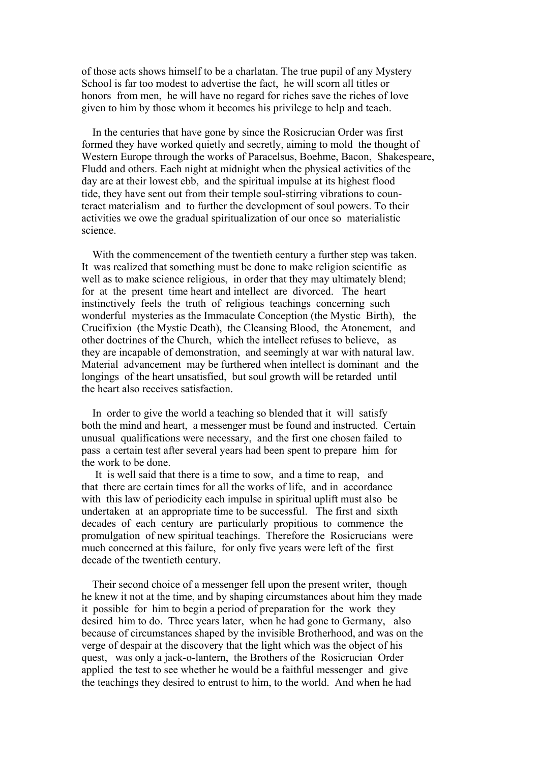of those acts shows himself to be a charlatan. The true pupil of any Mystery School is far too modest to advertise the fact, he will scorn all titles or honors from men, he will have no regard for riches save the riches of love given to him by those whom it becomes his privilege to help and teach.

 In the centuries that have gone by since the Rosicrucian Order was first formed they have worked quietly and secretly, aiming to mold the thought of Western Europe through the works of Paracelsus, Boehme, Bacon, Shakespeare, Fludd and others. Each night at midnight when the physical activities of the day are at their lowest ebb, and the spiritual impulse at its highest flood tide, they have sent out from their temple soul-stirring vibrations to counteract materialism and to further the development of soul powers. To their activities we owe the gradual spiritualization of our once so materialistic science.

 With the commencement of the twentieth century a further step was taken. It was realized that something must be done to make religion scientific as well as to make science religious, in order that they may ultimately blend; for at the present time heart and intellect are divorced. The heart instinctively feels the truth of religious teachings concerning such wonderful mysteries as the Immaculate Conception (the Mystic Birth), the Crucifixion (the Mystic Death), the Cleansing Blood, the Atonement, and other doctrines of the Church, which the intellect refuses to believe, as they are incapable of demonstration, and seemingly at war with natural law. Material advancement may be furthered when intellect is dominant and the longings of the heart unsatisfied, but soul growth will be retarded until the heart also receives satisfaction.

 In order to give the world a teaching so blended that it will satisfy both the mind and heart, a messenger must be found and instructed. Certain unusual qualifications were necessary, and the first one chosen failed to pass a certain test after several years had been spent to prepare him for the work to be done.

 It is well said that there is a time to sow, and a time to reap, and that there are certain times for all the works of life, and in accordance with this law of periodicity each impulse in spiritual uplift must also be undertaken at an appropriate time to be successful. The first and sixth decades of each century are particularly propitious to commence the promulgation of new spiritual teachings. Therefore the Rosicrucians were much concerned at this failure, for only five years were left of the first decade of the twentieth century.

 Their second choice of a messenger fell upon the present writer, though he knew it not at the time, and by shaping circumstances about him they made it possible for him to begin a period of preparation for the work they desired him to do. Three years later, when he had gone to Germany, also because of circumstances shaped by the invisible Brotherhood, and was on the verge of despair at the discovery that the light which was the object of his quest, was only a jack-o-lantern, the Brothers of the Rosicrucian Order applied the test to see whether he would be a faithful messenger and give the teachings they desired to entrust to him, to the world. And when he had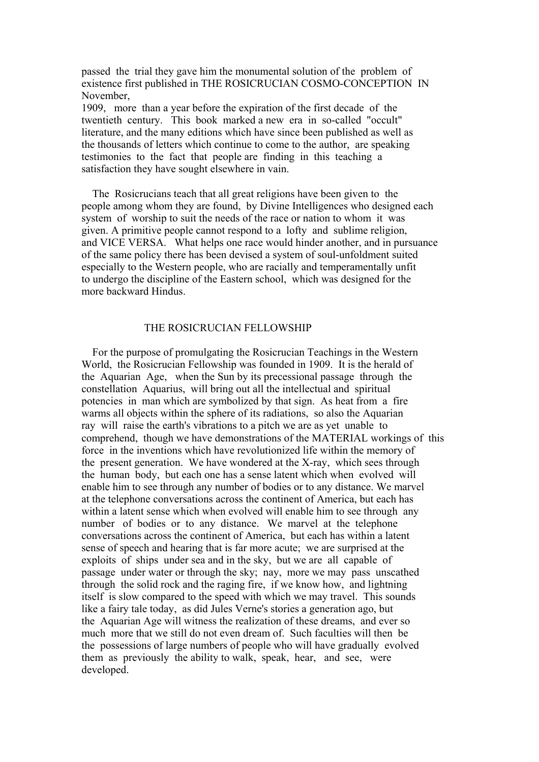passed the trial they gave him the monumental solution of the problem of existence first published in THE ROSICRUCIAN COSMO-CONCEPTION IN November,

1909, more than a year before the expiration of the first decade of the twentieth century. This book marked a new era in so-called "occult" literature, and the many editions which have since been published as well as the thousands of letters which continue to come to the author, are speaking testimonies to the fact that people are finding in this teaching a satisfaction they have sought elsewhere in vain.

 The Rosicrucians teach that all great religions have been given to the people among whom they are found, by Divine Intelligences who designed each system of worship to suit the needs of the race or nation to whom it was given. A primitive people cannot respond to a lofty and sublime religion, and VICE VERSA. What helps one race would hinder another, and in pursuance of the same policy there has been devised a system of soul-unfoldment suited especially to the Western people, who are racially and temperamentally unfit to undergo the discipline of the Eastern school, which was designed for the more backward Hindus.

#### THE ROSICRUCIAN FELLOWSHIP

 For the purpose of promulgating the Rosicrucian Teachings in the Western World, the Rosicrucian Fellowship was founded in 1909. It is the herald of the Aquarian Age, when the Sun by its precessional passage through the constellation Aquarius, will bring out all the intellectual and spiritual potencies in man which are symbolized by that sign. As heat from a fire warms all objects within the sphere of its radiations, so also the Aquarian ray will raise the earth's vibrations to a pitch we are as yet unable to comprehend, though we have demonstrations of the MATERIAL workings of this force in the inventions which have revolutionized life within the memory of the present generation. We have wondered at the X-ray, which sees through the human body, but each one has a sense latent which when evolved will enable him to see through any number of bodies or to any distance. We marvel at the telephone conversations across the continent of America, but each has within a latent sense which when evolved will enable him to see through any number of bodies or to any distance. We marvel at the telephone conversations across the continent of America, but each has within a latent sense of speech and hearing that is far more acute; we are surprised at the exploits of ships under sea and in the sky, but we are all capable of passage under water or through the sky; nay, more we may pass unscathed through the solid rock and the raging fire, if we know how, and lightning itself is slow compared to the speed with which we may travel. This sounds like a fairy tale today, as did Jules Verne's stories a generation ago, but the Aquarian Age will witness the realization of these dreams, and ever so much more that we still do not even dream of. Such faculties will then be the possessions of large numbers of people who will have gradually evolved them as previously the ability to walk, speak, hear, and see, were developed.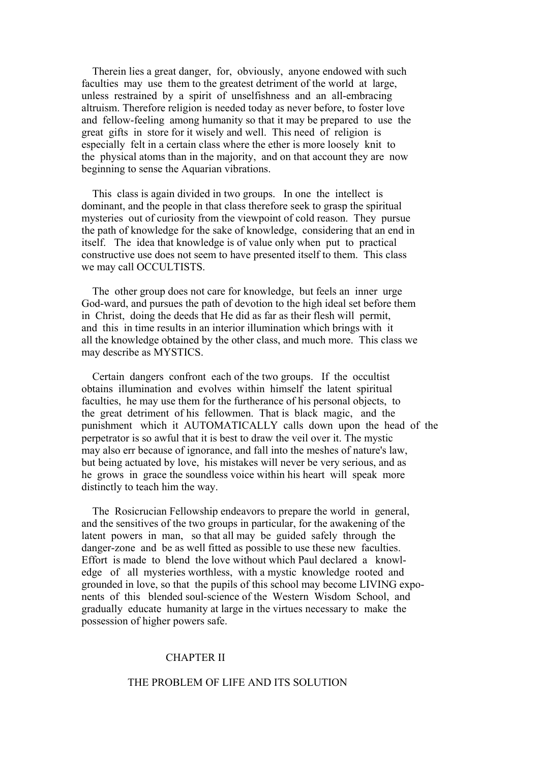Therein lies a great danger, for, obviously, anyone endowed with such faculties may use them to the greatest detriment of the world at large, unless restrained by a spirit of unselfishness and an all-embracing altruism. Therefore religion is needed today as never before, to foster love and fellow-feeling among humanity so that it may be prepared to use the great gifts in store for it wisely and well. This need of religion is especially felt in a certain class where the ether is more loosely knit to the physical atoms than in the majority, and on that account they are now beginning to sense the Aquarian vibrations.

 This class is again divided in two groups. In one the intellect is dominant, and the people in that class therefore seek to grasp the spiritual mysteries out of curiosity from the viewpoint of cold reason. They pursue the path of knowledge for the sake of knowledge, considering that an end in itself. The idea that knowledge is of value only when put to practical constructive use does not seem to have presented itself to them. This class we may call OCCULTISTS.

 The other group does not care for knowledge, but feels an inner urge God-ward, and pursues the path of devotion to the high ideal set before them in Christ, doing the deeds that He did as far as their flesh will permit, and this in time results in an interior illumination which brings with it all the knowledge obtained by the other class, and much more. This class we may describe as MYSTICS.

 Certain dangers confront each of the two groups. If the occultist obtains illumination and evolves within himself the latent spiritual faculties, he may use them for the furtherance of his personal objects, to the great detriment of his fellowmen. That is black magic, and the punishment which it AUTOMATICALLY calls down upon the head of the perpetrator is so awful that it is best to draw the veil over it. The mystic may also err because of ignorance, and fall into the meshes of nature's law, but being actuated by love, his mistakes will never be very serious, and as he grows in grace the soundless voice within his heart will speak more distinctly to teach him the way.

 The Rosicrucian Fellowship endeavors to prepare the world in general, and the sensitives of the two groups in particular, for the awakening of the latent powers in man, so that all may be guided safely through the danger-zone and be as well fitted as possible to use these new faculties. Effort is made to blend the love without which Paul declared a knowledge of all mysteries worthless, with a mystic knowledge rooted and grounded in love, so that the pupils of this school may become LIVING exponents of this blended soul-science of the Western Wisdom School, and gradually educate humanity at large in the virtues necessary to make the possession of higher powers safe.

### CHAPTER II

#### THE PROBLEM OF LIFE AND ITS SOLUTION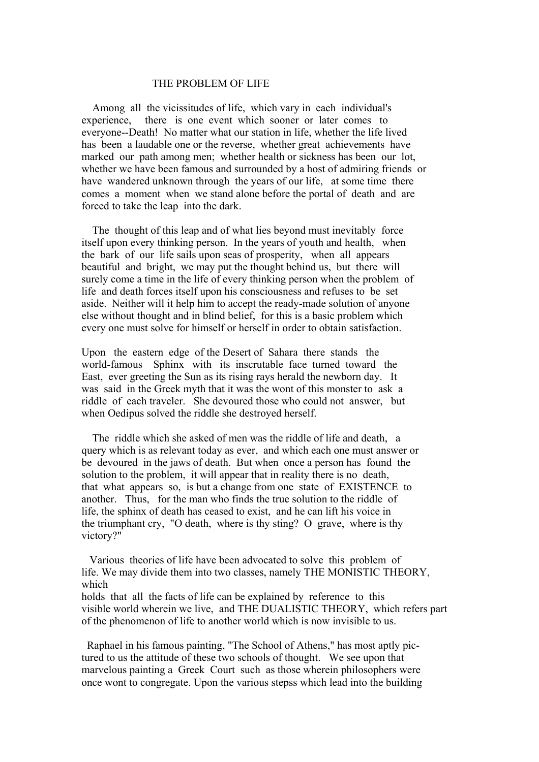#### THE PROBLEM OF LIFE

 Among all the vicissitudes of life, which vary in each individual's experience, there is one event which sooner or later comes to everyone--Death! No matter what our station in life, whether the life lived has been a laudable one or the reverse, whether great achievements have marked our path among men; whether health or sickness has been our lot, whether we have been famous and surrounded by a host of admiring friends or have wandered unknown through the years of our life, at some time there comes a moment when we stand alone before the portal of death and are forced to take the leap into the dark.

 The thought of this leap and of what lies beyond must inevitably force itself upon every thinking person. In the years of youth and health, when the bark of our life sails upon seas of prosperity, when all appears beautiful and bright, we may put the thought behind us, but there will surely come a time in the life of every thinking person when the problem of life and death forces itself upon his consciousness and refuses to be set aside. Neither will it help him to accept the ready-made solution of anyone else without thought and in blind belief, for this is a basic problem which every one must solve for himself or herself in order to obtain satisfaction.

Upon the eastern edge of the Desert of Sahara there stands the world-famous Sphinx with its inscrutable face turned toward the East, ever greeting the Sun as its rising rays herald the newborn day. It was said in the Greek myth that it was the wont of this monster to ask a riddle of each traveler. She devoured those who could not answer, but when Oedipus solved the riddle she destroyed herself.

 The riddle which she asked of men was the riddle of life and death, a query which is as relevant today as ever, and which each one must answer or be devoured in the jaws of death. But when once a person has found the solution to the problem, it will appear that in reality there is no death, that what appears so, is but a change from one state of EXISTENCE to another. Thus, for the man who finds the true solution to the riddle of life, the sphinx of death has ceased to exist, and he can lift his voice in the triumphant cry, "O death, where is thy sting? O grave, where is thy victory?"

 Various theories of life have been advocated to solve this problem of life. We may divide them into two classes, namely THE MONISTIC THEORY, which

holds that all the facts of life can be explained by reference to this visible world wherein we live, and THE DUALISTIC THEORY, which refers part of the phenomenon of life to another world which is now invisible to us.

 Raphael in his famous painting, "The School of Athens," has most aptly pictured to us the attitude of these two schools of thought. We see upon that marvelous painting a Greek Court such as those wherein philosophers were once wont to congregate. Upon the various stepss which lead into the building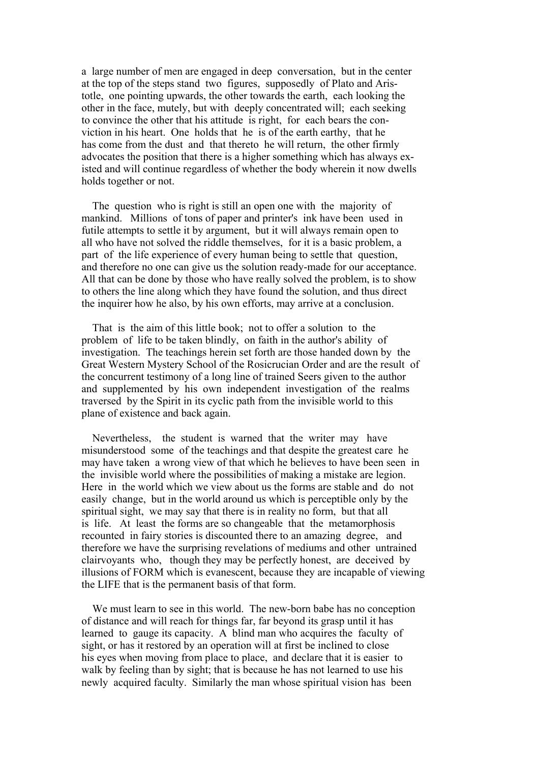a large number of men are engaged in deep conversation, but in the center at the top of the steps stand two figures, supposedly of Plato and Aristotle, one pointing upwards, the other towards the earth, each looking the other in the face, mutely, but with deeply concentrated will; each seeking to convince the other that his attitude is right, for each bears the conviction in his heart. One holds that he is of the earth earthy, that he has come from the dust and that thereto he will return, the other firmly advocates the position that there is a higher something which has always existed and will continue regardless of whether the body wherein it now dwells holds together or not.

 The question who is right is still an open one with the majority of mankind. Millions of tons of paper and printer's ink have been used in futile attempts to settle it by argument, but it will always remain open to all who have not solved the riddle themselves, for it is a basic problem, a part of the life experience of every human being to settle that question, and therefore no one can give us the solution ready-made for our acceptance. All that can be done by those who have really solved the problem, is to show to others the line along which they have found the solution, and thus direct the inquirer how he also, by his own efforts, may arrive at a conclusion.

 That is the aim of this little book; not to offer a solution to the problem of life to be taken blindly, on faith in the author's ability of investigation. The teachings herein set forth are those handed down by the Great Western Mystery School of the Rosicrucian Order and are the result of the concurrent testimony of a long line of trained Seers given to the author and supplemented by his own independent investigation of the realms traversed by the Spirit in its cyclic path from the invisible world to this plane of existence and back again.

 Nevertheless, the student is warned that the writer may have misunderstood some of the teachings and that despite the greatest care he may have taken a wrong view of that which he believes to have been seen in the invisible world where the possibilities of making a mistake are legion. Here in the world which we view about us the forms are stable and do not easily change, but in the world around us which is perceptible only by the spiritual sight, we may say that there is in reality no form, but that all is life. At least the forms are so changeable that the metamorphosis recounted in fairy stories is discounted there to an amazing degree, and therefore we have the surprising revelations of mediums and other untrained clairvoyants who, though they may be perfectly honest, are deceived by illusions of FORM which is evanescent, because they are incapable of viewing the LIFE that is the permanent basis of that form.

 We must learn to see in this world. The new-born babe has no conception of distance and will reach for things far, far beyond its grasp until it has learned to gauge its capacity. A blind man who acquires the faculty of sight, or has it restored by an operation will at first be inclined to close his eyes when moving from place to place, and declare that it is easier to walk by feeling than by sight; that is because he has not learned to use his newly acquired faculty. Similarly the man whose spiritual vision has been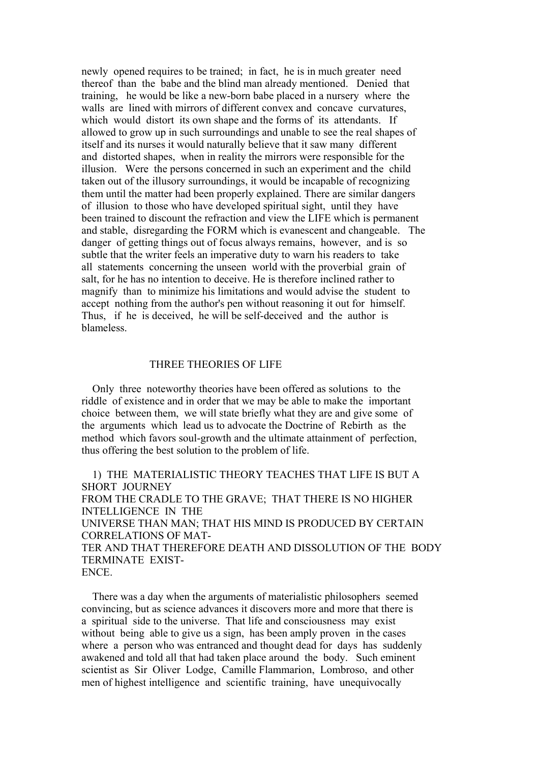newly opened requires to be trained; in fact, he is in much greater need thereof than the babe and the blind man already mentioned. Denied that training, he would be like a new-born babe placed in a nursery where the walls are lined with mirrors of different convex and concave curvatures, which would distort its own shape and the forms of its attendants. If allowed to grow up in such surroundings and unable to see the real shapes of itself and its nurses it would naturally believe that it saw many different and distorted shapes, when in reality the mirrors were responsible for the illusion. Were the persons concerned in such an experiment and the child taken out of the illusory surroundings, it would be incapable of recognizing them until the matter had been properly explained. There are similar dangers of illusion to those who have developed spiritual sight, until they have been trained to discount the refraction and view the LIFE which is permanent and stable, disregarding the FORM which is evanescent and changeable. The danger of getting things out of focus always remains, however, and is so subtle that the writer feels an imperative duty to warn his readers to take all statements concerning the unseen world with the proverbial grain of salt, for he has no intention to deceive. He is therefore inclined rather to magnify than to minimize his limitations and would advise the student to accept nothing from the author's pen without reasoning it out for himself. Thus, if he is deceived, he will be self-deceived and the author is blameless.

## THREE THEORIES OF LIFE

 Only three noteworthy theories have been offered as solutions to the riddle of existence and in order that we may be able to make the important choice between them, we will state briefly what they are and give some of the arguments which lead us to advocate the Doctrine of Rebirth as the method which favors soul-growth and the ultimate attainment of perfection, thus offering the best solution to the problem of life.

 1) THE MATERIALISTIC THEORY TEACHES THAT LIFE IS BUT A SHORT JOURNEY FROM THE CRADLE TO THE GRAVE; THAT THERE IS NO HIGHER INTELLIGENCE IN THE UNIVERSE THAN MAN; THAT HIS MIND IS PRODUCED BY CERTAIN CORRELATIONS OF MAT-TER AND THAT THEREFORE DEATH AND DISSOLUTION OF THE BODY TERMINATE EXIST-ENCE.

 There was a day when the arguments of materialistic philosophers seemed convincing, but as science advances it discovers more and more that there is a spiritual side to the universe. That life and consciousness may exist without being able to give us a sign, has been amply proven in the cases where a person who was entranced and thought dead for days has suddenly awakened and told all that had taken place around the body. Such eminent scientist as Sir Oliver Lodge, Camille Flammarion, Lombroso, and other men of highest intelligence and scientific training, have unequivocally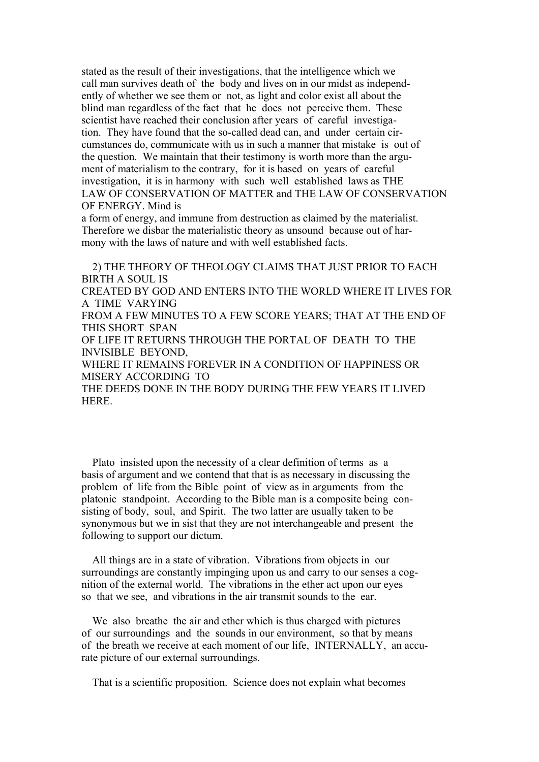stated as the result of their investigations, that the intelligence which we call man survives death of the body and lives on in our midst as independently of whether we see them or not, as light and color exist all about the blind man regardless of the fact that he does not perceive them. These scientist have reached their conclusion after years of careful investigation. They have found that the so-called dead can, and under certain circumstances do, communicate with us in such a manner that mistake is out of the question. We maintain that their testimony is worth more than the argument of materialism to the contrary, for it is based on years of careful investigation, it is in harmony with such well established laws as THE LAW OF CONSERVATION OF MATTER and THE LAW OF CONSERVATION OF ENERGY. Mind is

a form of energy, and immune from destruction as claimed by the materialist. Therefore we disbar the materialistic theory as unsound because out of harmony with the laws of nature and with well established facts.

 2) THE THEORY OF THEOLOGY CLAIMS THAT JUST PRIOR TO EACH BIRTH A SOUL IS CREATED BY GOD AND ENTERS INTO THE WORLD WHERE IT LIVES FOR A TIME VARYING FROM A FEW MINUTES TO A FEW SCORE YEARS; THAT AT THE END OF THIS SHORT SPAN OF LIFE IT RETURNS THROUGH THE PORTAL OF DEATH TO THE INVISIBLE BEYOND, WHERE IT REMAINS FOREVER IN A CONDITION OF HAPPINESS OR MISERY ACCORDING TO THE DEEDS DONE IN THE BODY DURING THE FEW YEARS IT LIVED HERE.

 Plato insisted upon the necessity of a clear definition of terms as a basis of argument and we contend that that is as necessary in discussing the problem of life from the Bible point of view as in arguments from the platonic standpoint. According to the Bible man is a composite being consisting of body, soul, and Spirit. The two latter are usually taken to be synonymous but we in sist that they are not interchangeable and present the following to support our dictum.

 All things are in a state of vibration. Vibrations from objects in our surroundings are constantly impinging upon us and carry to our senses a cognition of the external world. The vibrations in the ether act upon our eyes so that we see, and vibrations in the air transmit sounds to the ear.

 We also breathe the air and ether which is thus charged with pictures of our surroundings and the sounds in our environment, so that by means of the breath we receive at each moment of our life, INTERNALLY, an accurate picture of our external surroundings.

That is a scientific proposition. Science does not explain what becomes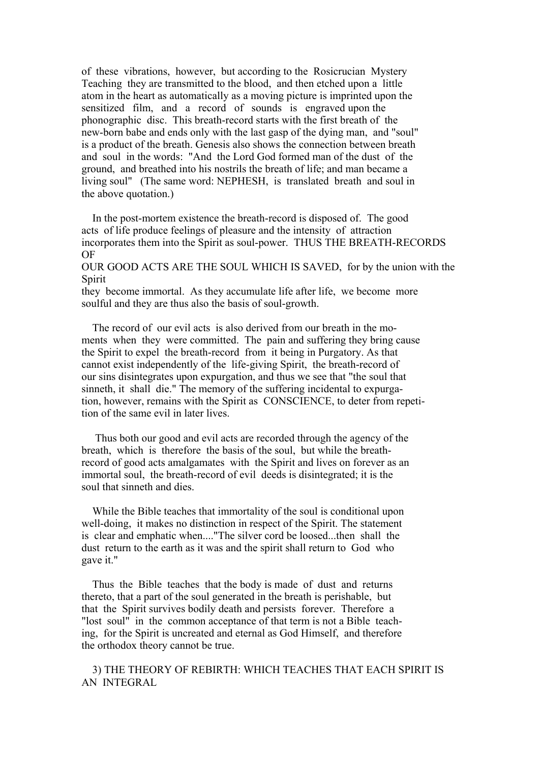of these vibrations, however, but according to the Rosicrucian Mystery Teaching they are transmitted to the blood, and then etched upon a little atom in the heart as automatically as a moving picture is imprinted upon the sensitized film, and a record of sounds is engraved upon the phonographic disc. This breath-record starts with the first breath of the new-born babe and ends only with the last gasp of the dying man, and "soul" is a product of the breath. Genesis also shows the connection between breath and soul in the words: "And the Lord God formed man of the dust of the ground, and breathed into his nostrils the breath of life; and man became a living soul" (The same word: NEPHESH, is translated breath and soul in the above quotation.)

 In the post-mortem existence the breath-record is disposed of. The good acts of life produce feelings of pleasure and the intensity of attraction incorporates them into the Spirit as soul-power. THUS THE BREATH-RECORDS OF

OUR GOOD ACTS ARE THE SOUL WHICH IS SAVED, for by the union with the Spirit

they become immortal. As they accumulate life after life, we become more soulful and they are thus also the basis of soul-growth.

 The record of our evil acts is also derived from our breath in the moments when they were committed. The pain and suffering they bring cause the Spirit to expel the breath-record from it being in Purgatory. As that cannot exist independently of the life-giving Spirit, the breath-record of our sins disintegrates upon expurgation, and thus we see that "the soul that sinneth, it shall die." The memory of the suffering incidental to expurgation, however, remains with the Spirit as CONSCIENCE, to deter from repetition of the same evil in later lives.

 Thus both our good and evil acts are recorded through the agency of the breath, which is therefore the basis of the soul, but while the breathrecord of good acts amalgamates with the Spirit and lives on forever as an immortal soul, the breath-record of evil deeds is disintegrated; it is the soul that sinneth and dies.

 While the Bible teaches that immortality of the soul is conditional upon well-doing, it makes no distinction in respect of the Spirit. The statement is clear and emphatic when...."The silver cord be loosed...then shall the dust return to the earth as it was and the spirit shall return to God who gave it."

 Thus the Bible teaches that the body is made of dust and returns thereto, that a part of the soul generated in the breath is perishable, but that the Spirit survives bodily death and persists forever. Therefore a "lost soul" in the common acceptance of that term is not a Bible teaching, for the Spirit is uncreated and eternal as God Himself, and therefore the orthodox theory cannot be true.

 3) THE THEORY OF REBIRTH: WHICH TEACHES THAT EACH SPIRIT IS AN INTEGRAL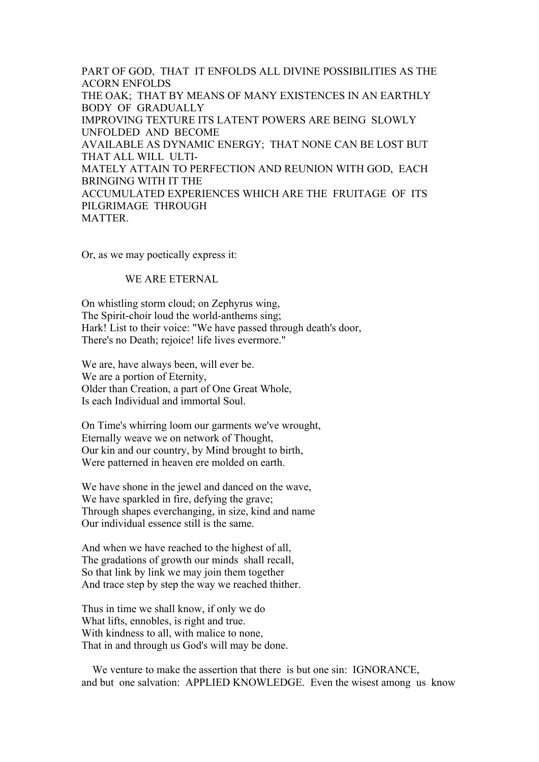PART OF GOD, THAT IT ENFOLDS ALL DIVINE POSSIBILITIES AS THE ACORN ENFOLDS THE OAK: THAT BY MEANS OF MANY EXISTENCES IN AN EARTHLY BODY OF GRADUALLY IMPROVING TEXTURE ITS LATENT POWERS ARE BEING SLOWLY UNFOLDED AND BECOME AVAILABLE AS DYNAMIC ENERGY; THAT NONE CAN BE LOST BUT THAT ALL WILL ULTI-MATELY ATTAIN TO PERFECTION AND REUNION WITH GOD, EACH BRINGING WITH IT THE ACCUMULATED EXPERIENCES WHICH ARE THE FRUITAGE OF ITS PILGRIMAGE THROUGH **MATTER** 

Or, as we may poetically express it:

### WE ARE ETERNAL

On whistling storm cloud; on Zephyrus wing, The Spirit-choir loud the world-anthems sing; Hark! List to their voice: "We have passed through death's door, There's no Death; rejoice! life lives evermore."

We are, have always been, will ever be. We are a portion of Eternity, Older than Creation, a part of One Great Whole, Is each Individual and immortal Soul.

On Time's whirring loom our garments we've wrought, Eternally weave we on network of Thought, Our kin and our country, by Mind brought to birth, Were patterned in heaven ere molded on earth.

We have shone in the jewel and danced on the wave, We have sparkled in fire, defying the grave; Through shapes everchanging, in size, kind and name Our individual essence still is the same.

And when we have reached to the highest of all, The gradations of growth our minds shall recall, So that link by link we may join them together And trace step by step the way we reached thither.

Thus in time we shall know, if only we do What lifts, ennobles, is right and true. With kindness to all, with malice to none, That in and through us God's will may be done.

 We venture to make the assertion that there is but one sin: IGNORANCE, and but one salvation: APPLIED KNOWLEDGE. Even the wisest among us know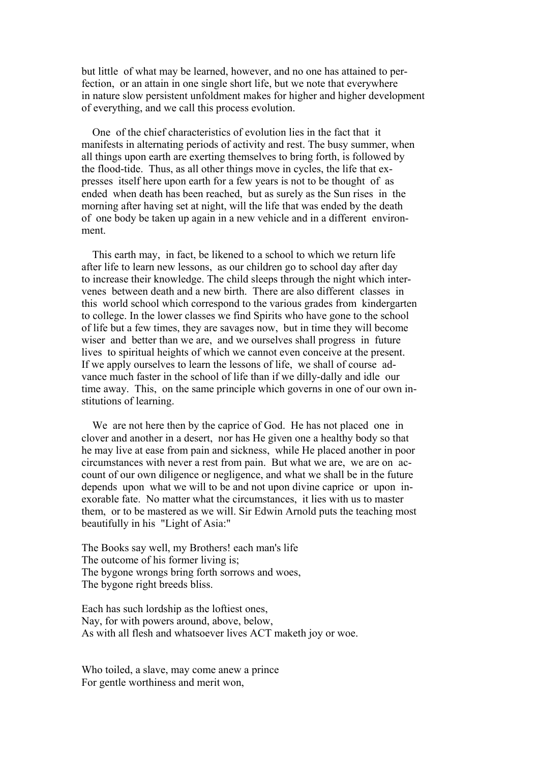but little of what may be learned, however, and no one has attained to perfection, or an attain in one single short life, but we note that everywhere in nature slow persistent unfoldment makes for higher and higher development of everything, and we call this process evolution.

 One of the chief characteristics of evolution lies in the fact that it manifests in alternating periods of activity and rest. The busy summer, when all things upon earth are exerting themselves to bring forth, is followed by the flood-tide. Thus, as all other things move in cycles, the life that expresses itself here upon earth for a few years is not to be thought of as ended when death has been reached, but as surely as the Sun rises in the morning after having set at night, will the life that was ended by the death of one body be taken up again in a new vehicle and in a different environment.

 This earth may, in fact, be likened to a school to which we return life after life to learn new lessons, as our children go to school day after day to increase their knowledge. The child sleeps through the night which intervenes between death and a new birth. There are also different classes in this world school which correspond to the various grades from kindergarten to college. In the lower classes we find Spirits who have gone to the school of life but a few times, they are savages now, but in time they will become wiser and better than we are, and we ourselves shall progress in future lives to spiritual heights of which we cannot even conceive at the present. If we apply ourselves to learn the lessons of life, we shall of course advance much faster in the school of life than if we dilly-dally and idle our time away. This, on the same principle which governs in one of our own institutions of learning.

 We are not here then by the caprice of God. He has not placed one in clover and another in a desert, nor has He given one a healthy body so that he may live at ease from pain and sickness, while He placed another in poor circumstances with never a rest from pain. But what we are, we are on account of our own diligence or negligence, and what we shall be in the future depends upon what we will to be and not upon divine caprice or upon inexorable fate. No matter what the circumstances, it lies with us to master them, or to be mastered as we will. Sir Edwin Arnold puts the teaching most beautifully in his "Light of Asia:"

The Books say well, my Brothers! each man's life The outcome of his former living is; The bygone wrongs bring forth sorrows and woes, The bygone right breeds bliss.

Each has such lordship as the loftiest ones, Nay, for with powers around, above, below, As with all flesh and whatsoever lives ACT maketh joy or woe.

Who toiled, a slave, may come anew a prince For gentle worthiness and merit won,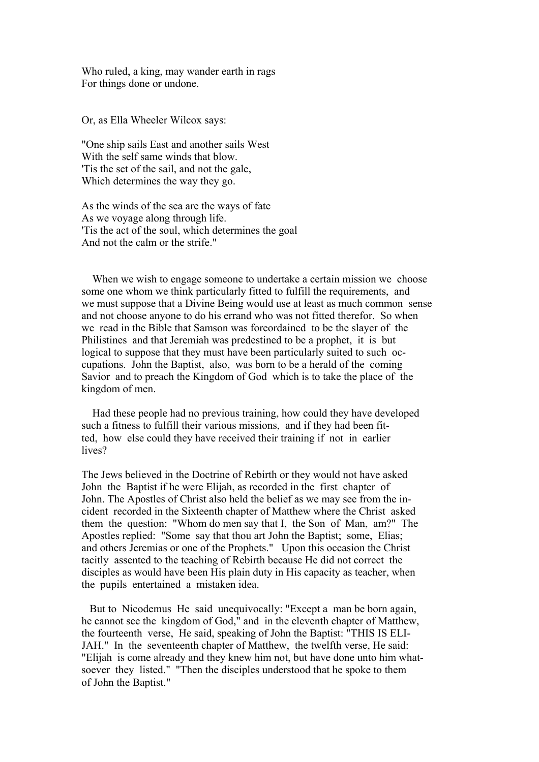Who ruled, a king, may wander earth in rags For things done or undone.

Or, as Ella Wheeler Wilcox says:

"One ship sails East and another sails West With the self same winds that blow. 'Tis the set of the sail, and not the gale, Which determines the way they go.

As the winds of the sea are the ways of fate As we voyage along through life. 'Tis the act of the soul, which determines the goal And not the calm or the strife."

 When we wish to engage someone to undertake a certain mission we choose some one whom we think particularly fitted to fulfill the requirements, and we must suppose that a Divine Being would use at least as much common sense and not choose anyone to do his errand who was not fitted therefor. So when we read in the Bible that Samson was foreordained to be the slayer of the Philistines and that Jeremiah was predestined to be a prophet, it is but logical to suppose that they must have been particularly suited to such occupations. John the Baptist, also, was born to be a herald of the coming Savior and to preach the Kingdom of God which is to take the place of the kingdom of men.

 Had these people had no previous training, how could they have developed such a fitness to fulfill their various missions, and if they had been fitted, how else could they have received their training if not in earlier lives?

The Jews believed in the Doctrine of Rebirth or they would not have asked John the Baptist if he were Elijah, as recorded in the first chapter of John. The Apostles of Christ also held the belief as we may see from the incident recorded in the Sixteenth chapter of Matthew where the Christ asked them the question: "Whom do men say that I, the Son of Man, am?" The Apostles replied: "Some say that thou art John the Baptist; some, Elias; and others Jeremias or one of the Prophets." Upon this occasion the Christ tacitly assented to the teaching of Rebirth because He did not correct the disciples as would have been His plain duty in His capacity as teacher, when the pupils entertained a mistaken idea.

 But to Nicodemus He said unequivocally: "Except a man be born again, he cannot see the kingdom of God," and in the eleventh chapter of Matthew, the fourteenth verse, He said, speaking of John the Baptist: "THIS IS ELI-JAH." In the seventeenth chapter of Matthew, the twelfth verse, He said: "Elijah is come already and they knew him not, but have done unto him whatsoever they listed." "Then the disciples understood that he spoke to them of John the Baptist."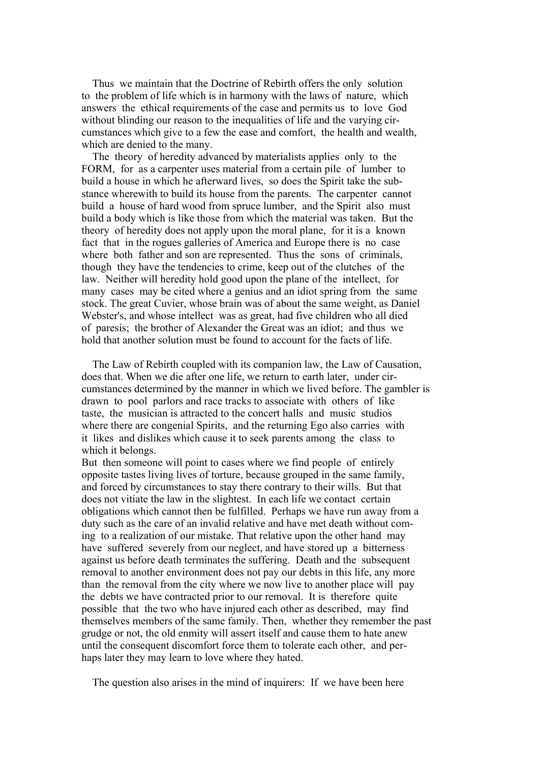Thus we maintain that the Doctrine of Rebirth offers the only solution to the problem of life which is in harmony with the laws of nature, which answers the ethical requirements of the case and permits us to love God without blinding our reason to the inequalities of life and the varying circumstances which give to a few the ease and comfort, the health and wealth, which are denied to the many.

 The theory of heredity advanced by materialists applies only to the FORM, for as a carpenter uses material from a certain pile of lumber to build a house in which he afterward lives, so does the Spirit take the substance wherewith to build its house from the parents. The carpenter cannot build a house of hard wood from spruce lumber, and the Spirit also must build a body which is like those from which the material was taken. But the theory of heredity does not apply upon the moral plane, for it is a known fact that in the rogues galleries of America and Europe there is no case where both father and son are represented. Thus the sons of criminals, though they have the tendencies to crime, keep out of the clutches of the law. Neither will heredity hold good upon the plane of the intellect, for many cases may be cited where a genius and an idiot spring from the same stock. The great Cuvier, whose brain was of about the same weight, as Daniel Webster's, and whose intellect was as great, had five children who all died of paresis; the brother of Alexander the Great was an idiot; and thus we hold that another solution must be found to account for the facts of life.

 The Law of Rebirth coupled with its companion law, the Law of Causation, does that. When we die after one life, we return to earth later, under circumstances determined by the manner in which we lived before. The gambler is drawn to pool parlors and race tracks to associate with others of like taste, the musician is attracted to the concert halls and music studios where there are congenial Spirits, and the returning Ego also carries with it likes and dislikes which cause it to seek parents among the class to which it belongs.

But then someone will point to cases where we find people of entirely opposite tastes living lives of torture, because grouped in the same family, and forced by circumstances to stay there contrary to their wills. But that does not vitiate the law in the slightest. In each life we contact certain obligations which cannot then be fulfilled. Perhaps we have run away from a duty such as the care of an invalid relative and have met death without coming to a realization of our mistake. That relative upon the other hand may have suffered severely from our neglect, and have stored up a bitterness against us before death terminates the suffering. Death and the subsequent removal to another environment does not pay our debts in this life, any more than the removal from the city where we now live to another place will pay the debts we have contracted prior to our removal. It is therefore quite possible that the two who have injured each other as described, may find themselves members of the same family. Then, whether they remember the past grudge or not, the old enmity will assert itself and cause them to hate anew until the consequent discomfort force them to tolerate each other, and perhaps later they may learn to love where they hated.

The question also arises in the mind of inquirers: If we have been here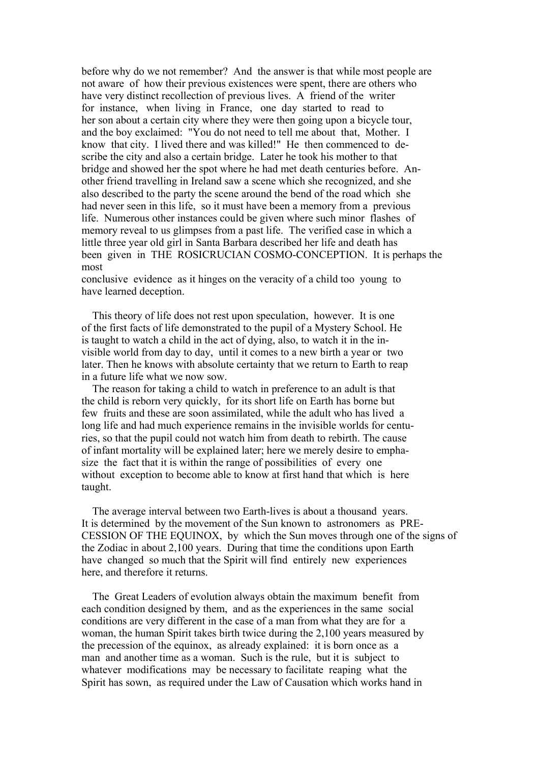before why do we not remember? And the answer is that while most people are not aware of how their previous existences were spent, there are others who have very distinct recollection of previous lives. A friend of the writer for instance, when living in France, one day started to read to her son about a certain city where they were then going upon a bicycle tour, and the boy exclaimed: "You do not need to tell me about that, Mother. I know that city. I lived there and was killed!" He then commenced to describe the city and also a certain bridge. Later he took his mother to that bridge and showed her the spot where he had met death centuries before. Another friend travelling in Ireland saw a scene which she recognized, and she also described to the party the scene around the bend of the road which she had never seen in this life, so it must have been a memory from a previous life. Numerous other instances could be given where such minor flashes of memory reveal to us glimpses from a past life. The verified case in which a little three year old girl in Santa Barbara described her life and death has been given in THE ROSICRUCIAN COSMO-CONCEPTION. It is perhaps the most

conclusive evidence as it hinges on the veracity of a child too young to have learned deception.

 This theory of life does not rest upon speculation, however. It is one of the first facts of life demonstrated to the pupil of a Mystery School. He is taught to watch a child in the act of dying, also, to watch it in the invisible world from day to day, until it comes to a new birth a year or two later. Then he knows with absolute certainty that we return to Earth to reap in a future life what we now sow.

 The reason for taking a child to watch in preference to an adult is that the child is reborn very quickly, for its short life on Earth has borne but few fruits and these are soon assimilated, while the adult who has lived a long life and had much experience remains in the invisible worlds for centuries, so that the pupil could not watch him from death to rebirth. The cause of infant mortality will be explained later; here we merely desire to emphasize the fact that it is within the range of possibilities of every one without exception to become able to know at first hand that which is here taught.

 The average interval between two Earth-lives is about a thousand years. It is determined by the movement of the Sun known to astronomers as PRE-CESSION OF THE EQUINOX, by which the Sun moves through one of the signs of the Zodiac in about 2,100 years. During that time the conditions upon Earth have changed so much that the Spirit will find entirely new experiences here, and therefore it returns.

 The Great Leaders of evolution always obtain the maximum benefit from each condition designed by them, and as the experiences in the same social conditions are very different in the case of a man from what they are for a woman, the human Spirit takes birth twice during the 2,100 years measured by the precession of the equinox, as already explained: it is born once as a man and another time as a woman. Such is the rule, but it is subject to whatever modifications may be necessary to facilitate reaping what the Spirit has sown, as required under the Law of Causation which works hand in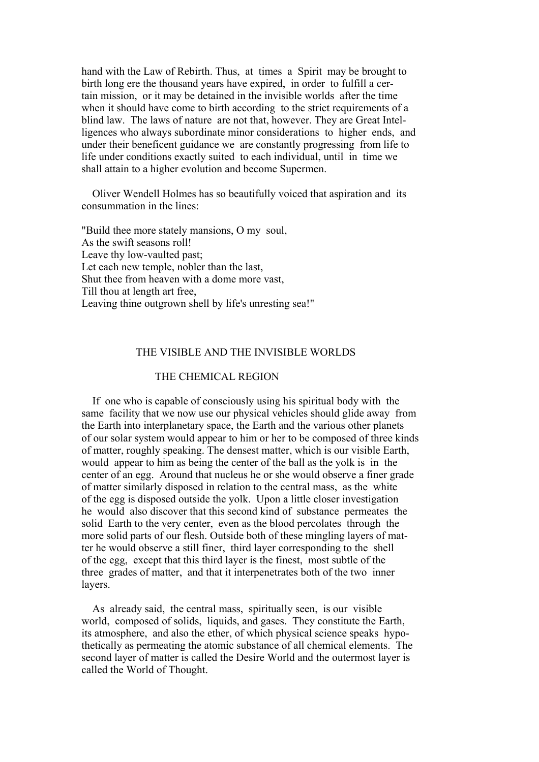hand with the Law of Rebirth. Thus, at times a Spirit may be brought to birth long ere the thousand years have expired, in order to fulfill a certain mission, or it may be detained in the invisible worlds after the time when it should have come to birth according to the strict requirements of a blind law. The laws of nature are not that, however. They are Great Intelligences who always subordinate minor considerations to higher ends, and under their beneficent guidance we are constantly progressing from life to life under conditions exactly suited to each individual, until in time we shall attain to a higher evolution and become Supermen.

 Oliver Wendell Holmes has so beautifully voiced that aspiration and its consummation in the lines:

"Build thee more stately mansions, O my soul, As the swift seasons roll! Leave thy low-vaulted past; Let each new temple, nobler than the last, Shut thee from heaven with a dome more vast, Till thou at length art free, Leaving thine outgrown shell by life's unresting sea!"

## THE VISIBLE AND THE INVISIBLE WORLDS

### THE CHEMICAL REGION

 If one who is capable of consciously using his spiritual body with the same facility that we now use our physical vehicles should glide away from the Earth into interplanetary space, the Earth and the various other planets of our solar system would appear to him or her to be composed of three kinds of matter, roughly speaking. The densest matter, which is our visible Earth, would appear to him as being the center of the ball as the yolk is in the center of an egg. Around that nucleus he or she would observe a finer grade of matter similarly disposed in relation to the central mass, as the white of the egg is disposed outside the yolk. Upon a little closer investigation he would also discover that this second kind of substance permeates the solid Earth to the very center, even as the blood percolates through the more solid parts of our flesh. Outside both of these mingling layers of matter he would observe a still finer, third layer corresponding to the shell of the egg, except that this third layer is the finest, most subtle of the three grades of matter, and that it interpenetrates both of the two inner layers.

 As already said, the central mass, spiritually seen, is our visible world, composed of solids, liquids, and gases. They constitute the Earth, its atmosphere, and also the ether, of which physical science speaks hypothetically as permeating the atomic substance of all chemical elements. The second layer of matter is called the Desire World and the outermost layer is called the World of Thought.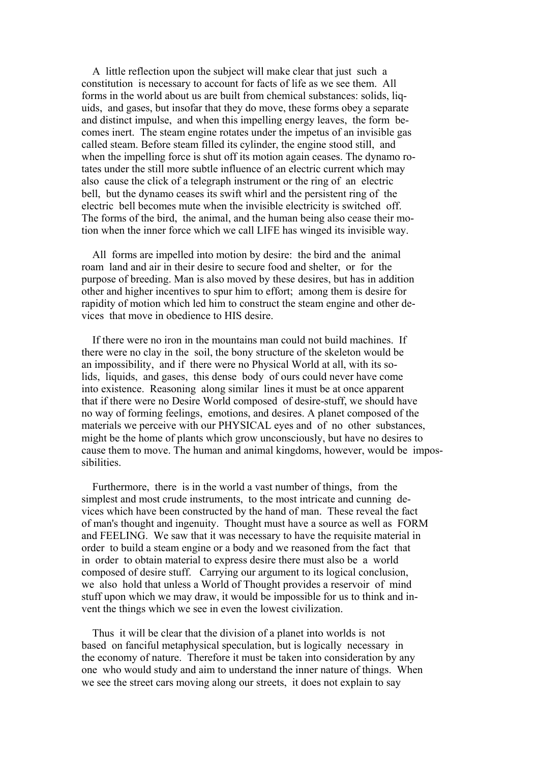A little reflection upon the subject will make clear that just such a constitution is necessary to account for facts of life as we see them. All forms in the world about us are built from chemical substances: solids, liquids, and gases, but insofar that they do move, these forms obey a separate and distinct impulse, and when this impelling energy leaves, the form becomes inert. The steam engine rotates under the impetus of an invisible gas called steam. Before steam filled its cylinder, the engine stood still, and when the impelling force is shut off its motion again ceases. The dynamo rotates under the still more subtle influence of an electric current which may also cause the click of a telegraph instrument or the ring of an electric bell, but the dynamo ceases its swift whirl and the persistent ring of the electric bell becomes mute when the invisible electricity is switched off. The forms of the bird, the animal, and the human being also cease their motion when the inner force which we call LIFE has winged its invisible way.

 All forms are impelled into motion by desire: the bird and the animal roam land and air in their desire to secure food and shelter, or for the purpose of breeding. Man is also moved by these desires, but has in addition other and higher incentives to spur him to effort; among them is desire for rapidity of motion which led him to construct the steam engine and other devices that move in obedience to HIS desire.

 If there were no iron in the mountains man could not build machines. If there were no clay in the soil, the bony structure of the skeleton would be an impossibility, and if there were no Physical World at all, with its solids, liquids, and gases, this dense body of ours could never have come into existence. Reasoning along similar lines it must be at once apparent that if there were no Desire World composed of desire-stuff, we should have no way of forming feelings, emotions, and desires. A planet composed of the materials we perceive with our PHYSICAL eyes and of no other substances, might be the home of plants which grow unconsciously, but have no desires to cause them to move. The human and animal kingdoms, however, would be impossibilities.

 Furthermore, there is in the world a vast number of things, from the simplest and most crude instruments, to the most intricate and cunning devices which have been constructed by the hand of man. These reveal the fact of man's thought and ingenuity. Thought must have a source as well as FORM and FEELING. We saw that it was necessary to have the requisite material in order to build a steam engine or a body and we reasoned from the fact that in order to obtain material to express desire there must also be a world composed of desire stuff. Carrying our argument to its logical conclusion, we also hold that unless a World of Thought provides a reservoir of mind stuff upon which we may draw, it would be impossible for us to think and invent the things which we see in even the lowest civilization.

 Thus it will be clear that the division of a planet into worlds is not based on fanciful metaphysical speculation, but is logically necessary in the economy of nature. Therefore it must be taken into consideration by any one who would study and aim to understand the inner nature of things. When we see the street cars moving along our streets, it does not explain to say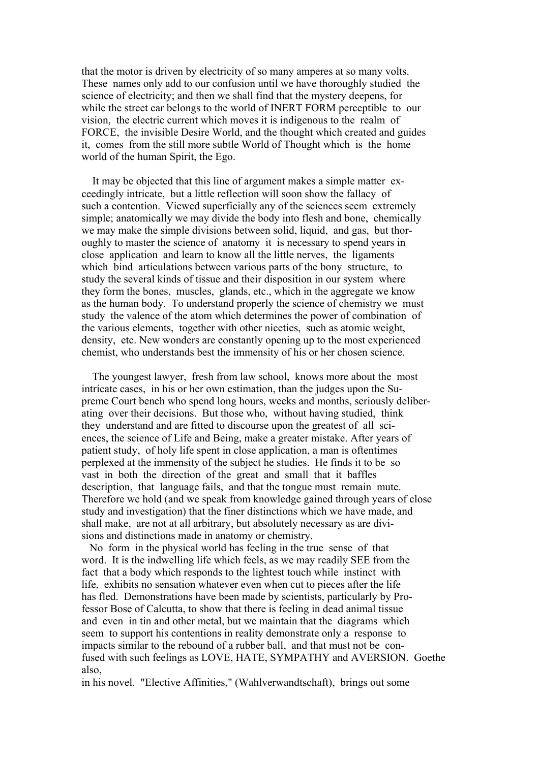that the motor is driven by electricity of so many amperes at so many volts. These names only add to our confusion until we have thoroughly studied the science of electricity; and then we shall find that the mystery deepens, for while the street car belongs to the world of INERT FORM perceptible to our vision, the electric current which moves it is indigenous to the realm of FORCE, the invisible Desire World, and the thought which created and guides it, comes from the still more subtle World of Thought which is the home world of the human Spirit, the Ego.

 It may be objected that this line of argument makes a simple matter exceedingly intricate, but a little reflection will soon show the fallacy of such a contention. Viewed superficially any of the sciences seem extremely simple; anatomically we may divide the body into flesh and bone, chemically we may make the simple divisions between solid, liquid, and gas, but thoroughly to master the science of anatomy it is necessary to spend years in close application and learn to know all the little nerves, the ligaments which bind articulations between various parts of the bony structure, to study the several kinds of tissue and their disposition in our system where they form the bones, muscles, glands, etc., which in the aggregate we know as the human body. To understand properly the science of chemistry we must study the valence of the atom which determines the power of combination of the various elements, together with other niceties, such as atomic weight, density, etc. New wonders are constantly opening up to the most experienced chemist, who understands best the immensity of his or her chosen science.

 The youngest lawyer, fresh from law school, knows more about the most intricate cases, in his or her own estimation, than the judges upon the Supreme Court bench who spend long hours, weeks and months, seriously deliberating over their decisions. But those who, without having studied, think they understand and are fitted to discourse upon the greatest of all sciences, the science of Life and Being, make a greater mistake. After years of patient study, of holy life spent in close application, a man is oftentimes perplexed at the immensity of the subject he studies. He finds it to be so vast in both the direction of the great and small that it baffles description, that language fails, and that the tongue must remain mute. Therefore we hold (and we speak from knowledge gained through years of close study and investigation) that the finer distinctions which we have made, and shall make, are not at all arbitrary, but absolutely necessary as are divisions and distinctions made in anatomy or chemistry.

 No form in the physical world has feeling in the true sense of that word. It is the indwelling life which feels, as we may readily SEE from the fact that a body which responds to the lightest touch while instinct with life, exhibits no sensation whatever even when cut to pieces after the life has fled. Demonstrations have been made by scientists, particularly by Professor Bose of Calcutta, to show that there is feeling in dead animal tissue and even in tin and other metal, but we maintain that the diagrams which seem to support his contentions in reality demonstrate only a response to impacts similar to the rebound of a rubber ball, and that must not be confused with such feelings as LOVE, HATE, SYMPATHY and AVERSION. Goethe also,

in his novel. "Elective Affinities," (Wahlverwandtschaft), brings out some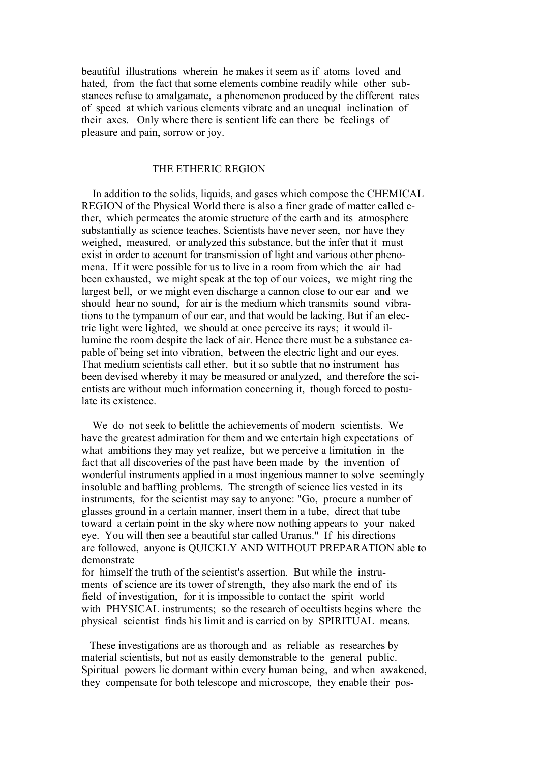beautiful illustrations wherein he makes it seem as if atoms loved and hated, from the fact that some elements combine readily while other substances refuse to amalgamate, a phenomenon produced by the different rates of speed at which various elements vibrate and an unequal inclination of their axes. Only where there is sentient life can there be feelings of pleasure and pain, sorrow or joy.

#### THE ETHERIC REGION

 In addition to the solids, liquids, and gases which compose the CHEMICAL REGION of the Physical World there is also a finer grade of matter called ether, which permeates the atomic structure of the earth and its atmosphere substantially as science teaches. Scientists have never seen, nor have they weighed, measured, or analyzed this substance, but the infer that it must exist in order to account for transmission of light and various other phenomena. If it were possible for us to live in a room from which the air had been exhausted, we might speak at the top of our voices, we might ring the largest bell, or we might even discharge a cannon close to our ear and we should hear no sound, for air is the medium which transmits sound vibrations to the tympanum of our ear, and that would be lacking. But if an electric light were lighted, we should at once perceive its rays; it would illumine the room despite the lack of air. Hence there must be a substance capable of being set into vibration, between the electric light and our eyes. That medium scientists call ether, but it so subtle that no instrument has been devised whereby it may be measured or analyzed, and therefore the scientists are without much information concerning it, though forced to postulate its existence.

 We do not seek to belittle the achievements of modern scientists. We have the greatest admiration for them and we entertain high expectations of what ambitions they may yet realize, but we perceive a limitation in the fact that all discoveries of the past have been made by the invention of wonderful instruments applied in a most ingenious manner to solve seemingly insoluble and baffling problems. The strength of science lies vested in its instruments, for the scientist may say to anyone: "Go, procure a number of glasses ground in a certain manner, insert them in a tube, direct that tube toward a certain point in the sky where now nothing appears to your naked eye. You will then see a beautiful star called Uranus." If his directions are followed, anyone is QUICKLY AND WITHOUT PREPARATION able to demonstrate

for himself the truth of the scientist's assertion. But while the instruments of science are its tower of strength, they also mark the end of its field of investigation, for it is impossible to contact the spirit world with PHYSICAL instruments; so the research of occultists begins where the physical scientist finds his limit and is carried on by SPIRITUAL means.

 These investigations are as thorough and as reliable as researches by material scientists, but not as easily demonstrable to the general public. Spiritual powers lie dormant within every human being, and when awakened, they compensate for both telescope and microscope, they enable their pos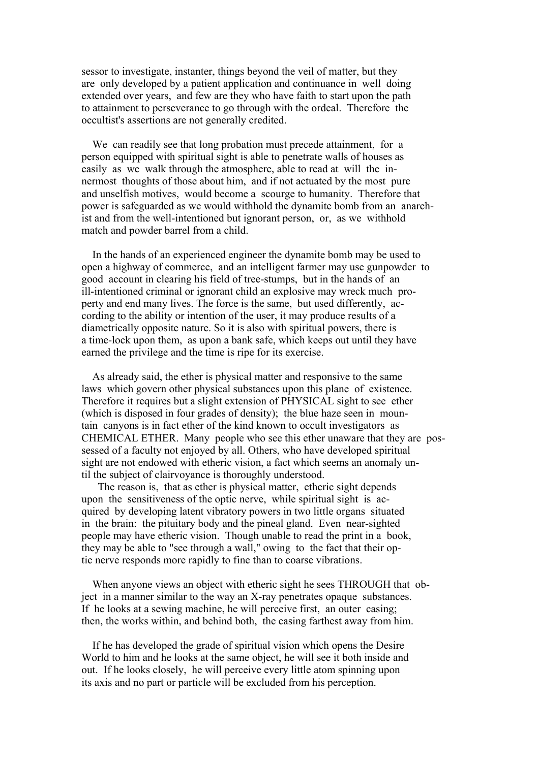sessor to investigate, instanter, things beyond the veil of matter, but they are only developed by a patient application and continuance in well doing extended over years, and few are they who have faith to start upon the path to attainment to perseverance to go through with the ordeal. Therefore the occultist's assertions are not generally credited.

We can readily see that long probation must precede attainment, for a person equipped with spiritual sight is able to penetrate walls of houses as easily as we walk through the atmosphere, able to read at will the innermost thoughts of those about him, and if not actuated by the most pure and unselfish motives, would become a scourge to humanity. Therefore that power is safeguarded as we would withhold the dynamite bomb from an anarchist and from the well-intentioned but ignorant person, or, as we withhold match and powder barrel from a child.

 In the hands of an experienced engineer the dynamite bomb may be used to open a highway of commerce, and an intelligent farmer may use gunpowder to good account in clearing his field of tree-stumps, but in the hands of an ill-intentioned criminal or ignorant child an explosive may wreck much property and end many lives. The force is the same, but used differently, according to the ability or intention of the user, it may produce results of a diametrically opposite nature. So it is also with spiritual powers, there is a time-lock upon them, as upon a bank safe, which keeps out until they have earned the privilege and the time is ripe for its exercise.

 As already said, the ether is physical matter and responsive to the same laws which govern other physical substances upon this plane of existence. Therefore it requires but a slight extension of PHYSICAL sight to see ether (which is disposed in four grades of density); the blue haze seen in mountain canyons is in fact ether of the kind known to occult investigators as CHEMICAL ETHER. Many people who see this ether unaware that they are possessed of a faculty not enjoyed by all. Others, who have developed spiritual sight are not endowed with etheric vision, a fact which seems an anomaly until the subject of clairvoyance is thoroughly understood.

 The reason is, that as ether is physical matter, etheric sight depends upon the sensitiveness of the optic nerve, while spiritual sight is acquired by developing latent vibratory powers in two little organs situated in the brain: the pituitary body and the pineal gland. Even near-sighted people may have etheric vision. Though unable to read the print in a book, they may be able to "see through a wall," owing to the fact that their optic nerve responds more rapidly to fine than to coarse vibrations.

 When anyone views an object with etheric sight he sees THROUGH that object in a manner similar to the way an X-ray penetrates opaque substances. If he looks at a sewing machine, he will perceive first, an outer casing; then, the works within, and behind both, the casing farthest away from him.

 If he has developed the grade of spiritual vision which opens the Desire World to him and he looks at the same object, he will see it both inside and out. If he looks closely, he will perceive every little atom spinning upon its axis and no part or particle will be excluded from his perception.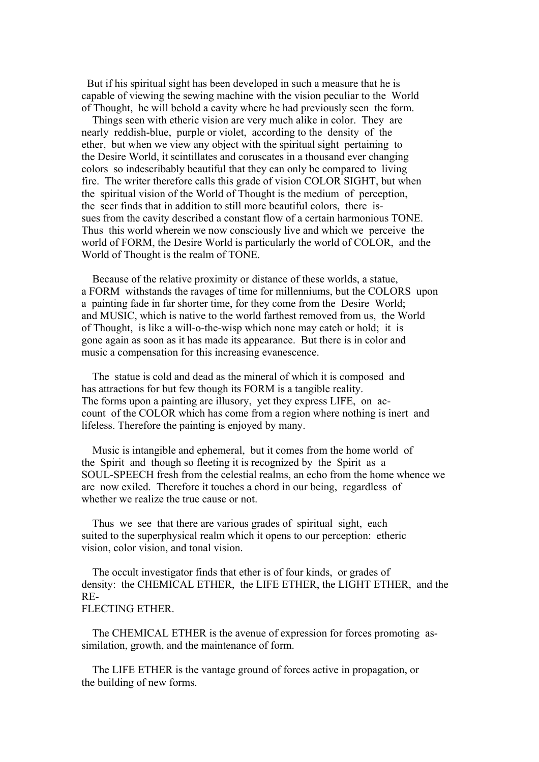But if his spiritual sight has been developed in such a measure that he is capable of viewing the sewing machine with the vision peculiar to the World of Thought, he will behold a cavity where he had previously seen the form.

 Things seen with etheric vision are very much alike in color. They are nearly reddish-blue, purple or violet, according to the density of the ether, but when we view any object with the spiritual sight pertaining to the Desire World, it scintillates and coruscates in a thousand ever changing colors so indescribably beautiful that they can only be compared to living fire. The writer therefore calls this grade of vision COLOR SIGHT, but when the spiritual vision of the World of Thought is the medium of perception, the seer finds that in addition to still more beautiful colors, there issues from the cavity described a constant flow of a certain harmonious TONE. Thus this world wherein we now consciously live and which we perceive the world of FORM, the Desire World is particularly the world of COLOR, and the World of Thought is the realm of TONE.

 Because of the relative proximity or distance of these worlds, a statue, a FORM withstands the ravages of time for millenniums, but the COLORS upon a painting fade in far shorter time, for they come from the Desire World; and MUSIC, which is native to the world farthest removed from us, the World of Thought, is like a will-o-the-wisp which none may catch or hold; it is gone again as soon as it has made its appearance. But there is in color and music a compensation for this increasing evanescence.

 The statue is cold and dead as the mineral of which it is composed and has attractions for but few though its FORM is a tangible reality. The forms upon a painting are illusory, yet they express LIFE, on account of the COLOR which has come from a region where nothing is inert and lifeless. Therefore the painting is enjoyed by many.

 Music is intangible and ephemeral, but it comes from the home world of the Spirit and though so fleeting it is recognized by the Spirit as a SOUL-SPEECH fresh from the celestial realms, an echo from the home whence we are now exiled. Therefore it touches a chord in our being, regardless of whether we realize the true cause or not.

 Thus we see that there are various grades of spiritual sight, each suited to the superphysical realm which it opens to our perception: etheric vision, color vision, and tonal vision.

 The occult investigator finds that ether is of four kinds, or grades of density: the CHEMICAL ETHER, the LIFE ETHER, the LIGHT ETHER, and the RE-

# FLECTING ETHER.

 The CHEMICAL ETHER is the avenue of expression for forces promoting assimilation, growth, and the maintenance of form.

 The LIFE ETHER is the vantage ground of forces active in propagation, or the building of new forms.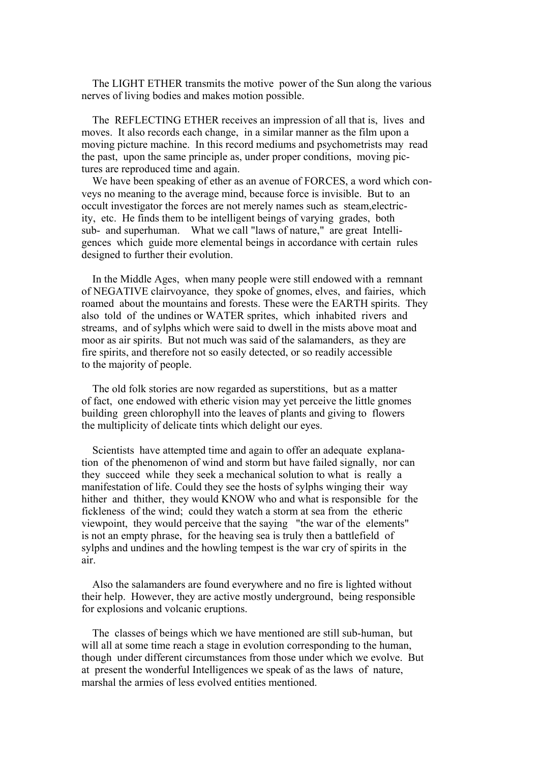The LIGHT ETHER transmits the motive power of the Sun along the various nerves of living bodies and makes motion possible.

 The REFLECTING ETHER receives an impression of all that is, lives and moves. It also records each change, in a similar manner as the film upon a moving picture machine. In this record mediums and psychometrists may read the past, upon the same principle as, under proper conditions, moving pictures are reproduced time and again.

 We have been speaking of ether as an avenue of FORCES, a word which conveys no meaning to the average mind, because force is invisible. But to an occult investigator the forces are not merely names such as steam,electricity, etc. He finds them to be intelligent beings of varying grades, both sub- and superhuman. What we call "laws of nature," are great Intelligences which guide more elemental beings in accordance with certain rules designed to further their evolution.

 In the Middle Ages, when many people were still endowed with a remnant of NEGATIVE clairvoyance, they spoke of gnomes, elves, and fairies, which roamed about the mountains and forests. These were the EARTH spirits. They also told of the undines or WATER sprites, which inhabited rivers and streams, and of sylphs which were said to dwell in the mists above moat and moor as air spirits. But not much was said of the salamanders, as they are fire spirits, and therefore not so easily detected, or so readily accessible to the majority of people.

 The old folk stories are now regarded as superstitions, but as a matter of fact, one endowed with etheric vision may yet perceive the little gnomes building green chlorophyll into the leaves of plants and giving to flowers the multiplicity of delicate tints which delight our eyes.

 Scientists have attempted time and again to offer an adequate explanation of the phenomenon of wind and storm but have failed signally, nor can they succeed while they seek a mechanical solution to what is really a manifestation of life. Could they see the hosts of sylphs winging their way hither and thither, they would KNOW who and what is responsible for the fickleness of the wind; could they watch a storm at sea from the etheric viewpoint, they would perceive that the saying "the war of the elements" is not an empty phrase, for the heaving sea is truly then a battlefield of sylphs and undines and the howling tempest is the war cry of spirits in the air.

 Also the salamanders are found everywhere and no fire is lighted without their help. However, they are active mostly underground, being responsible for explosions and volcanic eruptions.

 The classes of beings which we have mentioned are still sub-human, but will all at some time reach a stage in evolution corresponding to the human, though under different circumstances from those under which we evolve. But at present the wonderful Intelligences we speak of as the laws of nature, marshal the armies of less evolved entities mentioned.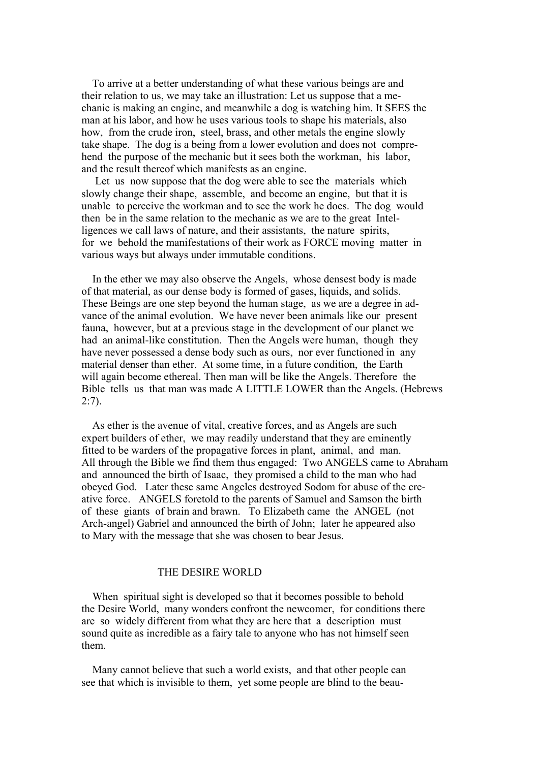To arrive at a better understanding of what these various beings are and their relation to us, we may take an illustration: Let us suppose that a mechanic is making an engine, and meanwhile a dog is watching him. It SEES the man at his labor, and how he uses various tools to shape his materials, also how, from the crude iron, steel, brass, and other metals the engine slowly take shape. The dog is a being from a lower evolution and does not comprehend the purpose of the mechanic but it sees both the workman, his labor, and the result thereof which manifests as an engine.

 Let us now suppose that the dog were able to see the materials which slowly change their shape, assemble, and become an engine, but that it is unable to perceive the workman and to see the work he does. The dog would then be in the same relation to the mechanic as we are to the great Intelligences we call laws of nature, and their assistants, the nature spirits, for we behold the manifestations of their work as FORCE moving matter in various ways but always under immutable conditions.

 In the ether we may also observe the Angels, whose densest body is made of that material, as our dense body is formed of gases, liquids, and solids. These Beings are one step beyond the human stage, as we are a degree in advance of the animal evolution. We have never been animals like our present fauna, however, but at a previous stage in the development of our planet we had an animal-like constitution. Then the Angels were human, though they have never possessed a dense body such as ours, nor ever functioned in any material denser than ether. At some time, in a future condition, the Earth will again become ethereal. Then man will be like the Angels. Therefore the Bible tells us that man was made A LITTLE LOWER than the Angels. (Hebrews  $2:7$ ).

 As ether is the avenue of vital, creative forces, and as Angels are such expert builders of ether, we may readily understand that they are eminently fitted to be warders of the propagative forces in plant, animal, and man. All through the Bible we find them thus engaged: Two ANGELS came to Abraham and announced the birth of Isaac, they promised a child to the man who had obeyed God. Later these same Angeles destroyed Sodom for abuse of the creative force. ANGELS foretold to the parents of Samuel and Samson the birth of these giants of brain and brawn. To Elizabeth came the ANGEL (not Arch-angel) Gabriel and announced the birth of John; later he appeared also to Mary with the message that she was chosen to bear Jesus.

## THE DESIRE WORLD

 When spiritual sight is developed so that it becomes possible to behold the Desire World, many wonders confront the newcomer, for conditions there are so widely different from what they are here that a description must sound quite as incredible as a fairy tale to anyone who has not himself seen them.

 Many cannot believe that such a world exists, and that other people can see that which is invisible to them, yet some people are blind to the beau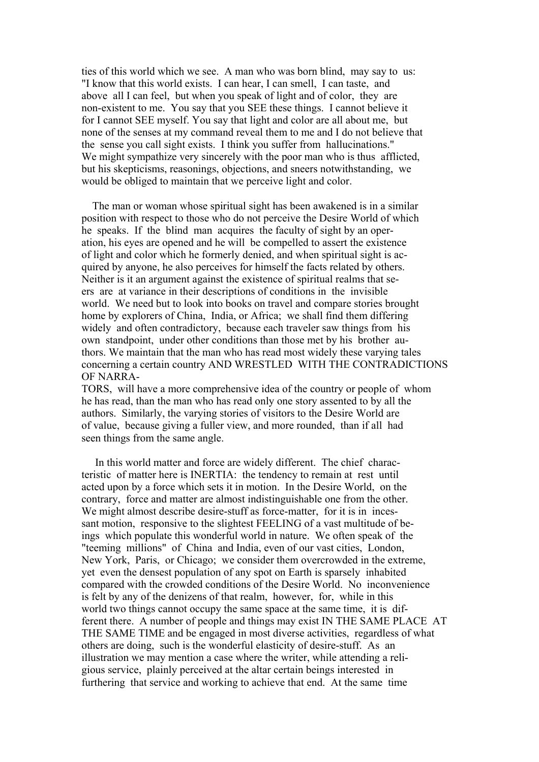ties of this world which we see. A man who was born blind, may say to us: "I know that this world exists. I can hear, I can smell, I can taste, and above all I can feel, but when you speak of light and of color, they are non-existent to me. You say that you SEE these things. I cannot believe it for I cannot SEE myself. You say that light and color are all about me, but none of the senses at my command reveal them to me and I do not believe that the sense you call sight exists. I think you suffer from hallucinations." We might sympathize very sincerely with the poor man who is thus afflicted. but his skepticisms, reasonings, objections, and sneers notwithstanding, we would be obliged to maintain that we perceive light and color.

 The man or woman whose spiritual sight has been awakened is in a similar position with respect to those who do not perceive the Desire World of which he speaks. If the blind man acquires the faculty of sight by an operation, his eyes are opened and he will be compelled to assert the existence of light and color which he formerly denied, and when spiritual sight is acquired by anyone, he also perceives for himself the facts related by others. Neither is it an argument against the existence of spiritual realms that seers are at variance in their descriptions of conditions in the invisible world. We need but to look into books on travel and compare stories brought home by explorers of China, India, or Africa; we shall find them differing widely and often contradictory, because each traveler saw things from his own standpoint, under other conditions than those met by his brother authors. We maintain that the man who has read most widely these varying tales concerning a certain country AND WRESTLED WITH THE CONTRADICTIONS OF NARRA-

TORS, will have a more comprehensive idea of the country or people of whom he has read, than the man who has read only one story assented to by all the authors. Similarly, the varying stories of visitors to the Desire World are of value, because giving a fuller view, and more rounded, than if all had seen things from the same angle.

 In this world matter and force are widely different. The chief characteristic of matter here is INERTIA: the tendency to remain at rest until acted upon by a force which sets it in motion. In the Desire World, on the contrary, force and matter are almost indistinguishable one from the other. We might almost describe desire-stuff as force-matter, for it is in incessant motion, responsive to the slightest FEELING of a vast multitude of beings which populate this wonderful world in nature. We often speak of the "teeming millions" of China and India, even of our vast cities, London, New York, Paris, or Chicago; we consider them overcrowded in the extreme, yet even the densest population of any spot on Earth is sparsely inhabited compared with the crowded conditions of the Desire World. No inconvenience is felt by any of the denizens of that realm, however, for, while in this world two things cannot occupy the same space at the same time, it is different there. A number of people and things may exist IN THE SAME PLACE AT THE SAME TIME and be engaged in most diverse activities, regardless of what others are doing, such is the wonderful elasticity of desire-stuff. As an illustration we may mention a case where the writer, while attending a religious service, plainly perceived at the altar certain beings interested in furthering that service and working to achieve that end. At the same time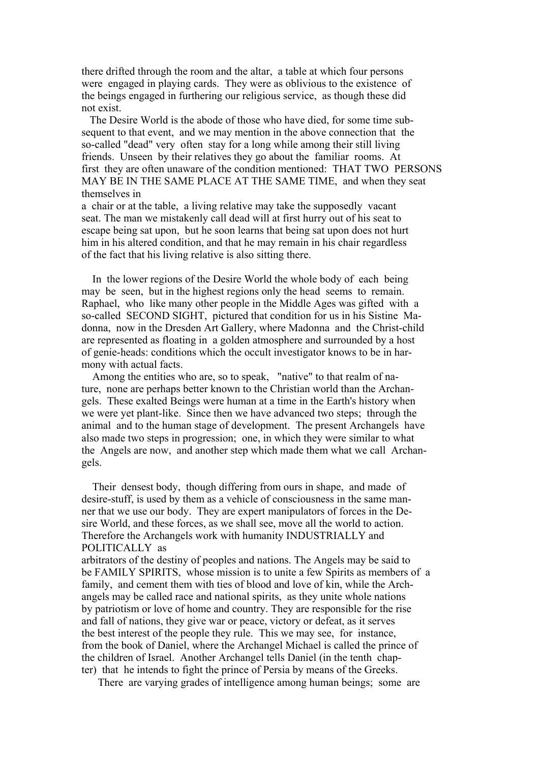there drifted through the room and the altar, a table at which four persons were engaged in playing cards. They were as oblivious to the existence of the beings engaged in furthering our religious service, as though these did not exist.

 The Desire World is the abode of those who have died, for some time subsequent to that event, and we may mention in the above connection that the so-called "dead" very often stay for a long while among their still living friends. Unseen by their relatives they go about the familiar rooms. At first they are often unaware of the condition mentioned: THAT TWO PERSONS MAY BE IN THE SAME PLACE AT THE SAME TIME, and when they seat themselves in

a chair or at the table, a living relative may take the supposedly vacant seat. The man we mistakenly call dead will at first hurry out of his seat to escape being sat upon, but he soon learns that being sat upon does not hurt him in his altered condition, and that he may remain in his chair regardless of the fact that his living relative is also sitting there.

 In the lower regions of the Desire World the whole body of each being may be seen, but in the highest regions only the head seems to remain. Raphael, who like many other people in the Middle Ages was gifted with a so-called SECOND SIGHT, pictured that condition for us in his Sistine Madonna, now in the Dresden Art Gallery, where Madonna and the Christ-child are represented as floating in a golden atmosphere and surrounded by a host of genie-heads: conditions which the occult investigator knows to be in harmony with actual facts.

 Among the entities who are, so to speak, "native" to that realm of nature, none are perhaps better known to the Christian world than the Archangels. These exalted Beings were human at a time in the Earth's history when we were yet plant-like. Since then we have advanced two steps; through the animal and to the human stage of development. The present Archangels have also made two steps in progression; one, in which they were similar to what the Angels are now, and another step which made them what we call Archangels.

 Their densest body, though differing from ours in shape, and made of desire-stuff, is used by them as a vehicle of consciousness in the same manner that we use our body. They are expert manipulators of forces in the Desire World, and these forces, as we shall see, move all the world to action. Therefore the Archangels work with humanity INDUSTRIALLY and POLITICALLY as

arbitrators of the destiny of peoples and nations. The Angels may be said to be FAMILY SPIRITS, whose mission is to unite a few Spirits as members of a family, and cement them with ties of blood and love of kin, while the Archangels may be called race and national spirits, as they unite whole nations by patriotism or love of home and country. They are responsible for the rise and fall of nations, they give war or peace, victory or defeat, as it serves the best interest of the people they rule. This we may see, for instance, from the book of Daniel, where the Archangel Michael is called the prince of the children of Israel. Another Archangel tells Daniel (in the tenth chapter) that he intends to fight the prince of Persia by means of the Greeks.

There are varying grades of intelligence among human beings; some are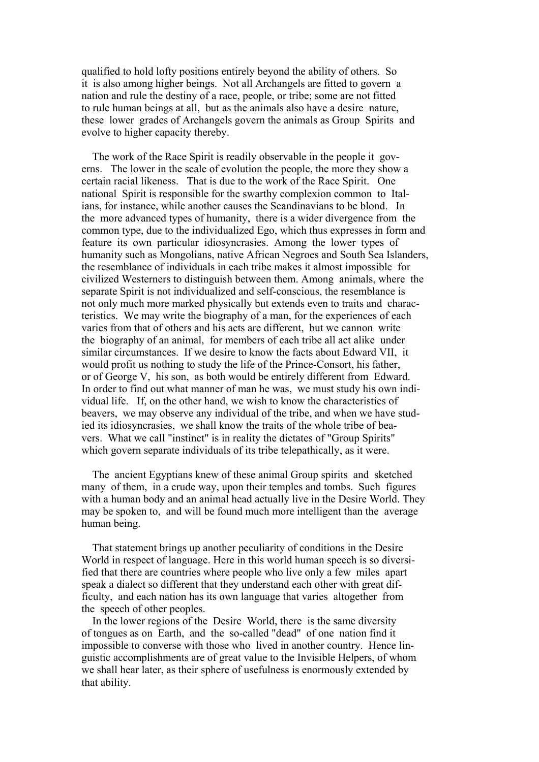qualified to hold lofty positions entirely beyond the ability of others. So it is also among higher beings. Not all Archangels are fitted to govern a nation and rule the destiny of a race, people, or tribe; some are not fitted to rule human beings at all, but as the animals also have a desire nature, these lower grades of Archangels govern the animals as Group Spirits and evolve to higher capacity thereby.

 The work of the Race Spirit is readily observable in the people it governs. The lower in the scale of evolution the people, the more they show a certain racial likeness. That is due to the work of the Race Spirit. One national Spirit is responsible for the swarthy complexion common to Italians, for instance, while another causes the Scandinavians to be blond. In the more advanced types of humanity, there is a wider divergence from the common type, due to the individualized Ego, which thus expresses in form and feature its own particular idiosyncrasies. Among the lower types of humanity such as Mongolians, native African Negroes and South Sea Islanders, the resemblance of individuals in each tribe makes it almost impossible for civilized Westerners to distinguish between them. Among animals, where the separate Spirit is not individualized and self-conscious, the resemblance is not only much more marked physically but extends even to traits and characteristics. We may write the biography of a man, for the experiences of each varies from that of others and his acts are different, but we cannon write the biography of an animal, for members of each tribe all act alike under similar circumstances. If we desire to know the facts about Edward VII, it would profit us nothing to study the life of the Prince-Consort, his father, or of George V, his son, as both would be entirely different from Edward. In order to find out what manner of man he was, we must study his own individual life. If, on the other hand, we wish to know the characteristics of beavers, we may observe any individual of the tribe, and when we have studied its idiosyncrasies, we shall know the traits of the whole tribe of beavers. What we call "instinct" is in reality the dictates of "Group Spirits" which govern separate individuals of its tribe telepathically, as it were.

 The ancient Egyptians knew of these animal Group spirits and sketched many of them, in a crude way, upon their temples and tombs. Such figures with a human body and an animal head actually live in the Desire World. They may be spoken to, and will be found much more intelligent than the average human being.

 That statement brings up another peculiarity of conditions in the Desire World in respect of language. Here in this world human speech is so diversified that there are countries where people who live only a few miles apart speak a dialect so different that they understand each other with great difficulty, and each nation has its own language that varies altogether from the speech of other peoples.

 In the lower regions of the Desire World, there is the same diversity of tongues as on Earth, and the so-called "dead" of one nation find it impossible to converse with those who lived in another country. Hence linguistic accomplishments are of great value to the Invisible Helpers, of whom we shall hear later, as their sphere of usefulness is enormously extended by that ability.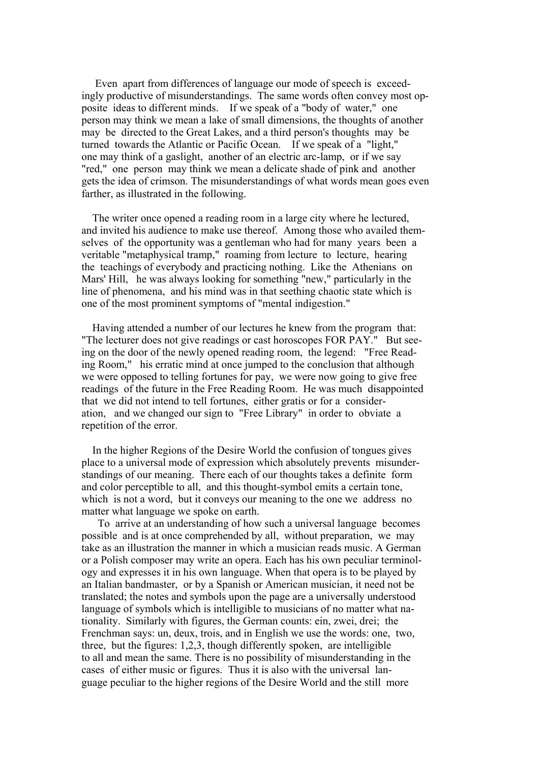Even apart from differences of language our mode of speech is exceedingly productive of misunderstandings. The same words often convey most opposite ideas to different minds. If we speak of a "body of water," one person may think we mean a lake of small dimensions, the thoughts of another may be directed to the Great Lakes, and a third person's thoughts may be turned towards the Atlantic or Pacific Ocean. If we speak of a "light," one may think of a gaslight, another of an electric arc-lamp, or if we say "red," one person may think we mean a delicate shade of pink and another gets the idea of crimson. The misunderstandings of what words mean goes even farther, as illustrated in the following.

 The writer once opened a reading room in a large city where he lectured, and invited his audience to make use thereof. Among those who availed themselves of the opportunity was a gentleman who had for many years been a veritable "metaphysical tramp," roaming from lecture to lecture, hearing the teachings of everybody and practicing nothing. Like the Athenians on Mars' Hill, he was always looking for something "new," particularly in the line of phenomena, and his mind was in that seething chaotic state which is one of the most prominent symptoms of "mental indigestion."

 Having attended a number of our lectures he knew from the program that: "The lecturer does not give readings or cast horoscopes FOR PAY." But seeing on the door of the newly opened reading room, the legend: "Free Reading Room," his erratic mind at once jumped to the conclusion that although we were opposed to telling fortunes for pay, we were now going to give free readings of the future in the Free Reading Room. He was much disappointed that we did not intend to tell fortunes, either gratis or for a consideration, and we changed our sign to "Free Library" in order to obviate a repetition of the error.

 In the higher Regions of the Desire World the confusion of tongues gives place to a universal mode of expression which absolutely prevents misunderstandings of our meaning. There each of our thoughts takes a definite form and color perceptible to all, and this thought-symbol emits a certain tone, which is not a word, but it conveys our meaning to the one we address no matter what language we spoke on earth.

 To arrive at an understanding of how such a universal language becomes possible and is at once comprehended by all, without preparation, we may take as an illustration the manner in which a musician reads music. A German or a Polish composer may write an opera. Each has his own peculiar terminology and expresses it in his own language. When that opera is to be played by an Italian bandmaster, or by a Spanish or American musician, it need not be translated; the notes and symbols upon the page are a universally understood language of symbols which is intelligible to musicians of no matter what nationality. Similarly with figures, the German counts: ein, zwei, drei; the Frenchman says: un, deux, trois, and in English we use the words: one, two, three, but the figures: 1,2,3, though differently spoken, are intelligible to all and mean the same. There is no possibility of misunderstanding in the cases of either music or figures. Thus it is also with the universal language peculiar to the higher regions of the Desire World and the still more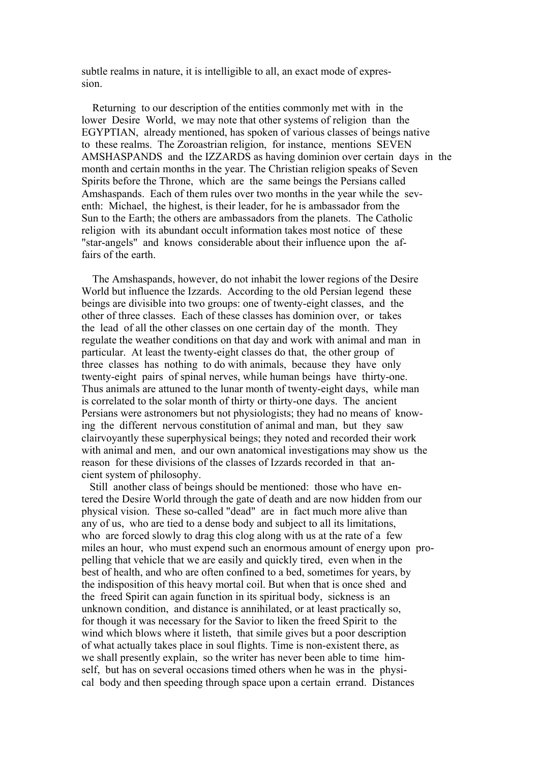subtle realms in nature, it is intelligible to all, an exact mode of expression.

 Returning to our description of the entities commonly met with in the lower Desire World, we may note that other systems of religion than the EGYPTIAN, already mentioned, has spoken of various classes of beings native to these realms. The Zoroastrian religion, for instance, mentions SEVEN AMSHASPANDS and the IZZARDS as having dominion over certain days in the month and certain months in the year. The Christian religion speaks of Seven Spirits before the Throne, which are the same beings the Persians called Amshaspands. Each of them rules over two months in the year while the seventh: Michael, the highest, is their leader, for he is ambassador from the Sun to the Earth; the others are ambassadors from the planets. The Catholic religion with its abundant occult information takes most notice of these "star-angels" and knows considerable about their influence upon the affairs of the earth.

 The Amshaspands, however, do not inhabit the lower regions of the Desire World but influence the Izzards. According to the old Persian legend these beings are divisible into two groups: one of twenty-eight classes, and the other of three classes. Each of these classes has dominion over, or takes the lead of all the other classes on one certain day of the month. They regulate the weather conditions on that day and work with animal and man in particular. At least the twenty-eight classes do that, the other group of three classes has nothing to do with animals, because they have only twenty-eight pairs of spinal nerves, while human beings have thirty-one. Thus animals are attuned to the lunar month of twenty-eight days, while man is correlated to the solar month of thirty or thirty-one days. The ancient Persians were astronomers but not physiologists; they had no means of knowing the different nervous constitution of animal and man, but they saw clairvoyantly these superphysical beings; they noted and recorded their work with animal and men, and our own anatomical investigations may show us the reason for these divisions of the classes of Izzards recorded in that ancient system of philosophy.

 Still another class of beings should be mentioned: those who have entered the Desire World through the gate of death and are now hidden from our physical vision. These so-called "dead" are in fact much more alive than any of us, who are tied to a dense body and subject to all its limitations, who are forced slowly to drag this clog along with us at the rate of a few miles an hour, who must expend such an enormous amount of energy upon propelling that vehicle that we are easily and quickly tired, even when in the best of health, and who are often confined to a bed, sometimes for years, by the indisposition of this heavy mortal coil. But when that is once shed and the freed Spirit can again function in its spiritual body, sickness is an unknown condition, and distance is annihilated, or at least practically so, for though it was necessary for the Savior to liken the freed Spirit to the wind which blows where it listeth, that simile gives but a poor description of what actually takes place in soul flights. Time is non-existent there, as we shall presently explain, so the writer has never been able to time himself, but has on several occasions timed others when he was in the physical body and then speeding through space upon a certain errand. Distances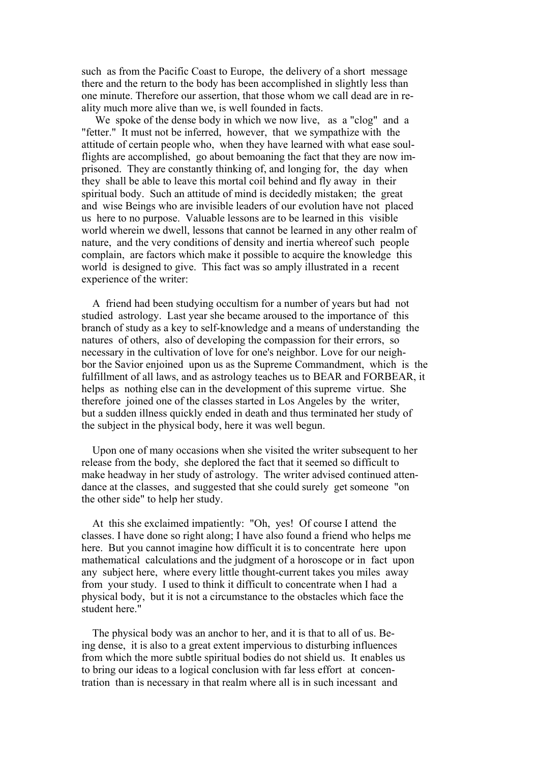such as from the Pacific Coast to Europe, the delivery of a short message there and the return to the body has been accomplished in slightly less than one minute. Therefore our assertion, that those whom we call dead are in reality much more alive than we, is well founded in facts.

 We spoke of the dense body in which we now live, as a "clog" and a "fetter." It must not be inferred, however, that we sympathize with the attitude of certain people who, when they have learned with what ease soulflights are accomplished, go about bemoaning the fact that they are now imprisoned. They are constantly thinking of, and longing for, the day when they shall be able to leave this mortal coil behind and fly away in their spiritual body. Such an attitude of mind is decidedly mistaken; the great and wise Beings who are invisible leaders of our evolution have not placed us here to no purpose. Valuable lessons are to be learned in this visible world wherein we dwell, lessons that cannot be learned in any other realm of nature, and the very conditions of density and inertia whereof such people complain, are factors which make it possible to acquire the knowledge this world is designed to give. This fact was so amply illustrated in a recent experience of the writer:

 A friend had been studying occultism for a number of years but had not studied astrology. Last year she became aroused to the importance of this branch of study as a key to self-knowledge and a means of understanding the natures of others, also of developing the compassion for their errors, so necessary in the cultivation of love for one's neighbor. Love for our neighbor the Savior enjoined upon us as the Supreme Commandment, which is the fulfillment of all laws, and as astrology teaches us to BEAR and FORBEAR, it helps as nothing else can in the development of this supreme virtue. She therefore joined one of the classes started in Los Angeles by the writer, but a sudden illness quickly ended in death and thus terminated her study of the subject in the physical body, here it was well begun.

 Upon one of many occasions when she visited the writer subsequent to her release from the body, she deplored the fact that it seemed so difficult to make headway in her study of astrology. The writer advised continued attendance at the classes, and suggested that she could surely get someone "on the other side" to help her study.

 At this she exclaimed impatiently: "Oh, yes! Of course I attend the classes. I have done so right along; I have also found a friend who helps me here. But you cannot imagine how difficult it is to concentrate here upon mathematical calculations and the judgment of a horoscope or in fact upon any subject here, where every little thought-current takes you miles away from your study. I used to think it difficult to concentrate when I had a physical body, but it is not a circumstance to the obstacles which face the student here."

 The physical body was an anchor to her, and it is that to all of us. Being dense, it is also to a great extent impervious to disturbing influences from which the more subtle spiritual bodies do not shield us. It enables us to bring our ideas to a logical conclusion with far less effort at concentration than is necessary in that realm where all is in such incessant and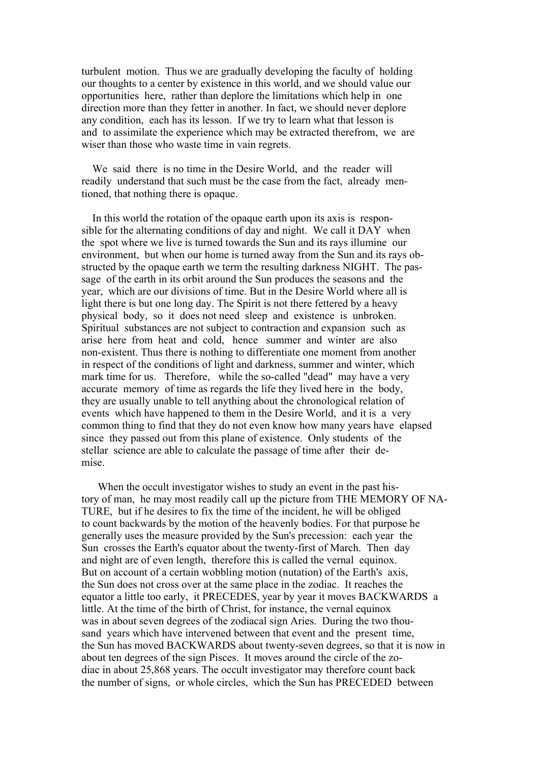turbulent motion. Thus we are gradually developing the faculty of holding our thoughts to a center by existence in this world, and we should value our opportunities here, rather than deplore the limitations which help in one direction more than they fetter in another. In fact, we should never deplore any condition, each has its lesson. If we try to learn what that lesson is and to assimilate the experience which may be extracted therefrom, we are wiser than those who waste time in vain regrets.

 We said there is no time in the Desire World, and the reader will readily understand that such must be the case from the fact, already mentioned, that nothing there is opaque.

 In this world the rotation of the opaque earth upon its axis is responsible for the alternating conditions of day and night. We call it DAY when the spot where we live is turned towards the Sun and its rays illumine our environment, but when our home is turned away from the Sun and its rays obstructed by the opaque earth we term the resulting darkness NIGHT. The passage of the earth in its orbit around the Sun produces the seasons and the year, which are our divisions of time. But in the Desire World where all is light there is but one long day. The Spirit is not there fettered by a heavy physical body, so it does not need sleep and existence is unbroken. Spiritual substances are not subject to contraction and expansion such as arise here from heat and cold, hence summer and winter are also non-existent. Thus there is nothing to differentiate one moment from another in respect of the conditions of light and darkness, summer and winter, which mark time for us. Therefore, while the so-called "dead" may have a very accurate memory of time as regards the life they lived here in the body, they are usually unable to tell anything about the chronological relation of events which have happened to them in the Desire World, and it is a very common thing to find that they do not even know how many years have elapsed since they passed out from this plane of existence. Only students of the stellar science are able to calculate the passage of time after their demise.

When the occult investigator wishes to study an event in the past history of man, he may most readily call up the picture from THE MEMORY OF NA-TURE, but if he desires to fix the time of the incident, he will be obliged to count backwards by the motion of the heavenly bodies. For that purpose he generally uses the measure provided by the Sun's precession: each year the Sun crosses the Earth's equator about the twenty-first of March. Then day and night are of even length, therefore this is called the vernal equinox. But on account of a certain wobbling motion (nutation) of the Earth's axis, the Sun does not cross over at the same place in the zodiac. It reaches the equator a little too early, it PRECEDES, year by year it moves BACKWARDS a little. At the time of the birth of Christ, for instance, the vernal equinox was in about seven degrees of the zodiacal sign Aries. During the two thousand years which have intervened between that event and the present time, the Sun has moved BACKWARDS about twenty-seven degrees, so that it is now in about ten degrees of the sign Pisces. It moves around the circle of the zodiac in about 25,868 years. The occult investigator may therefore count back the number of signs, or whole circles, which the Sun has PRECEDED between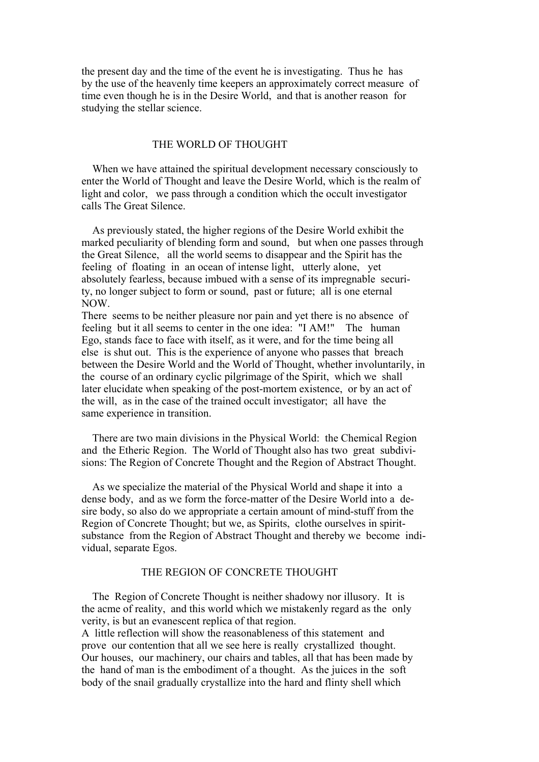the present day and the time of the event he is investigating. Thus he has by the use of the heavenly time keepers an approximately correct measure of time even though he is in the Desire World, and that is another reason for studying the stellar science.

## THE WORLD OF THOUGHT

When we have attained the spiritual development necessary consciously to enter the World of Thought and leave the Desire World, which is the realm of light and color, we pass through a condition which the occult investigator calls The Great Silence.

 As previously stated, the higher regions of the Desire World exhibit the marked peculiarity of blending form and sound, but when one passes through the Great Silence, all the world seems to disappear and the Spirit has the feeling of floating in an ocean of intense light, utterly alone, yet absolutely fearless, because imbued with a sense of its impregnable security, no longer subject to form or sound, past or future; all is one eternal NOW.

There seems to be neither pleasure nor pain and yet there is no absence of feeling but it all seems to center in the one idea: "I AM!" The human Ego, stands face to face with itself, as it were, and for the time being all else is shut out. This is the experience of anyone who passes that breach between the Desire World and the World of Thought, whether involuntarily, in the course of an ordinary cyclic pilgrimage of the Spirit, which we shall later elucidate when speaking of the post-mortem existence, or by an act of the will, as in the case of the trained occult investigator; all have the same experience in transition.

 There are two main divisions in the Physical World: the Chemical Region and the Etheric Region. The World of Thought also has two great subdivisions: The Region of Concrete Thought and the Region of Abstract Thought.

 As we specialize the material of the Physical World and shape it into a dense body, and as we form the force-matter of the Desire World into a desire body, so also do we appropriate a certain amount of mind-stuff from the Region of Concrete Thought; but we, as Spirits, clothe ourselves in spiritsubstance from the Region of Abstract Thought and thereby we become individual, separate Egos.

## THE REGION OF CONCRETE THOUGHT

 The Region of Concrete Thought is neither shadowy nor illusory. It is the acme of reality, and this world which we mistakenly regard as the only verity, is but an evanescent replica of that region.

A little reflection will show the reasonableness of this statement and prove our contention that all we see here is really crystallized thought. Our houses, our machinery, our chairs and tables, all that has been made by the hand of man is the embodiment of a thought. As the juices in the soft body of the snail gradually crystallize into the hard and flinty shell which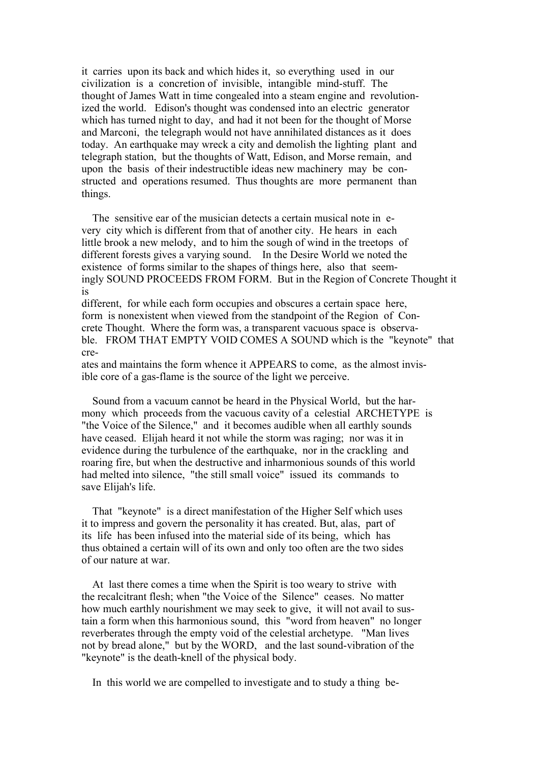it carries upon its back and which hides it, so everything used in our civilization is a concretion of invisible, intangible mind-stuff. The thought of James Watt in time congealed into a steam engine and revolutionized the world. Edison's thought was condensed into an electric generator which has turned night to day, and had it not been for the thought of Morse and Marconi, the telegraph would not have annihilated distances as it does today. An earthquake may wreck a city and demolish the lighting plant and telegraph station, but the thoughts of Watt, Edison, and Morse remain, and upon the basis of their indestructible ideas new machinery may be constructed and operations resumed. Thus thoughts are more permanent than things.

 The sensitive ear of the musician detects a certain musical note in every city which is different from that of another city. He hears in each little brook a new melody, and to him the sough of wind in the treetops of different forests gives a varying sound. In the Desire World we noted the existence of forms similar to the shapes of things here, also that seemingly SOUND PROCEEDS FROM FORM. But in the Region of Concrete Thought it is

different, for while each form occupies and obscures a certain space here, form is nonexistent when viewed from the standpoint of the Region of Concrete Thought. Where the form was, a transparent vacuous space is observable. FROM THAT EMPTY VOID COMES A SOUND which is the "keynote" that cre-

ates and maintains the form whence it APPEARS to come, as the almost invisible core of a gas-flame is the source of the light we perceive.

 Sound from a vacuum cannot be heard in the Physical World, but the harmony which proceeds from the vacuous cavity of a celestial ARCHETYPE is "the Voice of the Silence," and it becomes audible when all earthly sounds have ceased. Elijah heard it not while the storm was raging; nor was it in evidence during the turbulence of the earthquake, nor in the crackling and roaring fire, but when the destructive and inharmonious sounds of this world had melted into silence, "the still small voice" issued its commands to save Elijah's life.

 That "keynote" is a direct manifestation of the Higher Self which uses it to impress and govern the personality it has created. But, alas, part of its life has been infused into the material side of its being, which has thus obtained a certain will of its own and only too often are the two sides of our nature at war.

 At last there comes a time when the Spirit is too weary to strive with the recalcitrant flesh; when "the Voice of the Silence" ceases. No matter how much earthly nourishment we may seek to give, it will not avail to sustain a form when this harmonious sound, this "word from heaven" no longer reverberates through the empty void of the celestial archetype. "Man lives not by bread alone," but by the WORD, and the last sound-vibration of the "keynote" is the death-knell of the physical body.

In this world we are compelled to investigate and to study a thing be-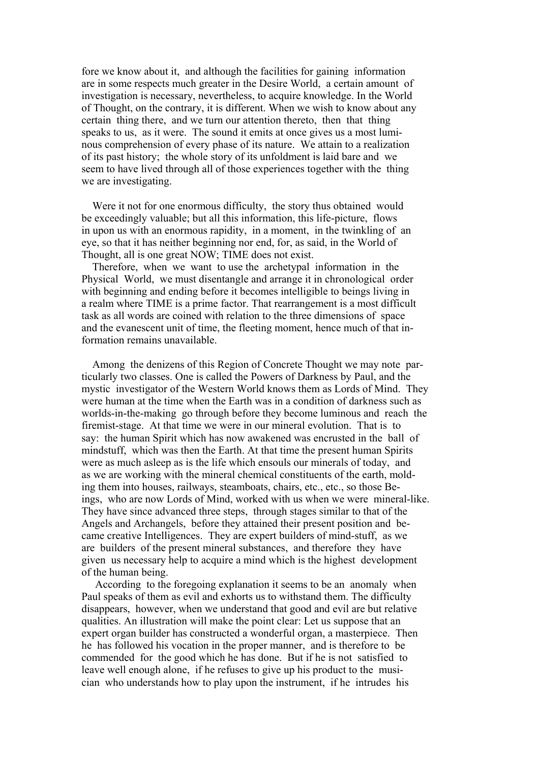fore we know about it, and although the facilities for gaining information are in some respects much greater in the Desire World, a certain amount of investigation is necessary, nevertheless, to acquire knowledge. In the World of Thought, on the contrary, it is different. When we wish to know about any certain thing there, and we turn our attention thereto, then that thing speaks to us, as it were. The sound it emits at once gives us a most luminous comprehension of every phase of its nature. We attain to a realization of its past history; the whole story of its unfoldment is laid bare and we seem to have lived through all of those experiences together with the thing we are investigating.

 Were it not for one enormous difficulty, the story thus obtained would be exceedingly valuable; but all this information, this life-picture, flows in upon us with an enormous rapidity, in a moment, in the twinkling of an eye, so that it has neither beginning nor end, for, as said, in the World of Thought, all is one great NOW; TIME does not exist.

 Therefore, when we want to use the archetypal information in the Physical World, we must disentangle and arrange it in chronological order with beginning and ending before it becomes intelligible to beings living in a realm where TIME is a prime factor. That rearrangement is a most difficult task as all words are coined with relation to the three dimensions of space and the evanescent unit of time, the fleeting moment, hence much of that information remains unavailable.

 Among the denizens of this Region of Concrete Thought we may note particularly two classes. One is called the Powers of Darkness by Paul, and the mystic investigator of the Western World knows them as Lords of Mind. They were human at the time when the Earth was in a condition of darkness such as worlds-in-the-making go through before they become luminous and reach the firemist-stage. At that time we were in our mineral evolution. That is to say: the human Spirit which has now awakened was encrusted in the ball of mindstuff, which was then the Earth. At that time the present human Spirits were as much asleep as is the life which ensouls our minerals of today, and as we are working with the mineral chemical constituents of the earth, molding them into houses, railways, steamboats, chairs, etc., etc., so those Beings, who are now Lords of Mind, worked with us when we were mineral-like. They have since advanced three steps, through stages similar to that of the Angels and Archangels, before they attained their present position and became creative Intelligences. They are expert builders of mind-stuff, as we are builders of the present mineral substances, and therefore they have given us necessary help to acquire a mind which is the highest development of the human being.

 According to the foregoing explanation it seems to be an anomaly when Paul speaks of them as evil and exhorts us to withstand them. The difficulty disappears, however, when we understand that good and evil are but relative qualities. An illustration will make the point clear: Let us suppose that an expert organ builder has constructed a wonderful organ, a masterpiece. Then he has followed his vocation in the proper manner, and is therefore to be commended for the good which he has done. But if he is not satisfied to leave well enough alone, if he refuses to give up his product to the musician who understands how to play upon the instrument, if he intrudes his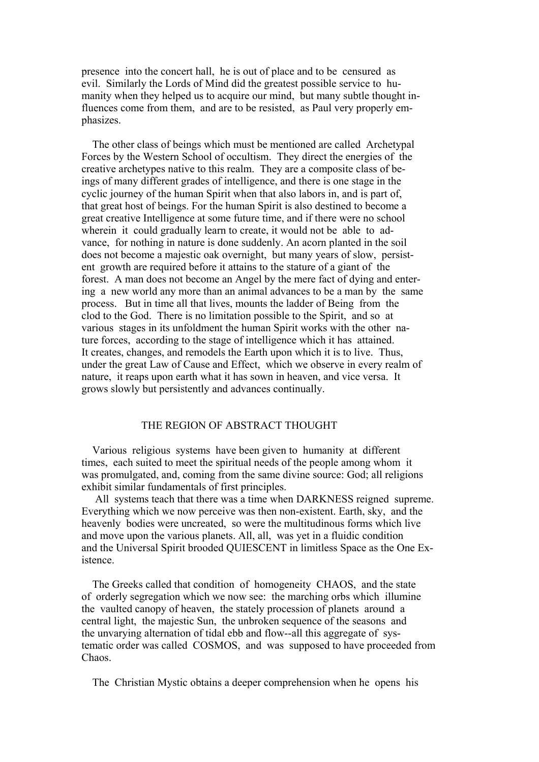presence into the concert hall, he is out of place and to be censured as evil. Similarly the Lords of Mind did the greatest possible service to humanity when they helped us to acquire our mind, but many subtle thought influences come from them, and are to be resisted, as Paul very properly emphasizes.

 The other class of beings which must be mentioned are called Archetypal Forces by the Western School of occultism. They direct the energies of the creative archetypes native to this realm. They are a composite class of beings of many different grades of intelligence, and there is one stage in the cyclic journey of the human Spirit when that also labors in, and is part of, that great host of beings. For the human Spirit is also destined to become a great creative Intelligence at some future time, and if there were no school wherein it could gradually learn to create, it would not be able to advance, for nothing in nature is done suddenly. An acorn planted in the soil does not become a majestic oak overnight, but many years of slow, persistent growth are required before it attains to the stature of a giant of the forest. A man does not become an Angel by the mere fact of dying and entering a new world any more than an animal advances to be a man by the same process. But in time all that lives, mounts the ladder of Being from the clod to the God. There is no limitation possible to the Spirit, and so at various stages in its unfoldment the human Spirit works with the other nature forces, according to the stage of intelligence which it has attained. It creates, changes, and remodels the Earth upon which it is to live. Thus, under the great Law of Cause and Effect, which we observe in every realm of nature, it reaps upon earth what it has sown in heaven, and vice versa. It grows slowly but persistently and advances continually.

## THE REGION OF ABSTRACT THOUGHT

 Various religious systems have been given to humanity at different times, each suited to meet the spiritual needs of the people among whom it was promulgated, and, coming from the same divine source: God; all religions exhibit similar fundamentals of first principles.

 All systems teach that there was a time when DARKNESS reigned supreme. Everything which we now perceive was then non-existent. Earth, sky, and the heavenly bodies were uncreated, so were the multitudinous forms which live and move upon the various planets. All, all, was yet in a fluidic condition and the Universal Spirit brooded QUIESCENT in limitless Space as the One Existence.

 The Greeks called that condition of homogeneity CHAOS, and the state of orderly segregation which we now see: the marching orbs which illumine the vaulted canopy of heaven, the stately procession of planets around a central light, the majestic Sun, the unbroken sequence of the seasons and the unvarying alternation of tidal ebb and flow--all this aggregate of systematic order was called COSMOS, and was supposed to have proceeded from Chaos.

The Christian Mystic obtains a deeper comprehension when he opens his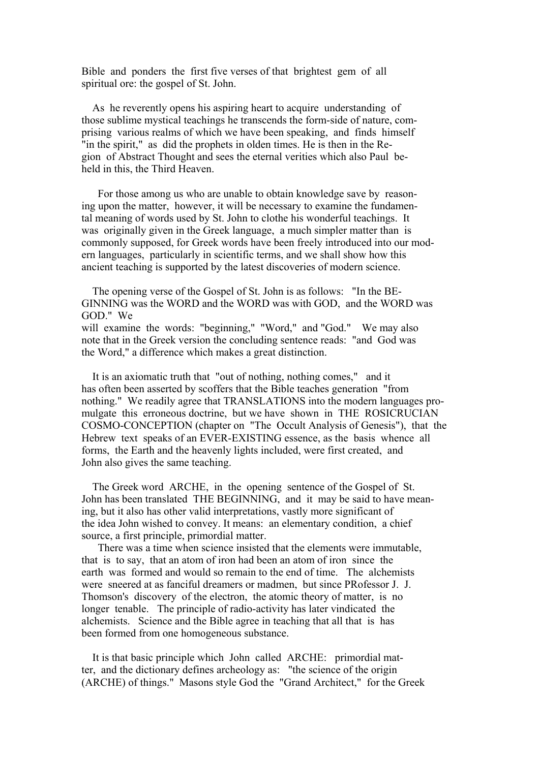Bible and ponders the first five verses of that brightest gem of all spiritual ore: the gospel of St. John.

As he reverently opens his aspiring heart to acquire understanding of those sublime mystical teachings he transcends the form-side of nature, comprising various realms of which we have been speaking, and finds himself "in the spirit," as did the prophets in olden times. He is then in the Region of Abstract Thought and sees the eternal verities which also Paul beheld in this, the Third Heaven.

 For those among us who are unable to obtain knowledge save by reasoning upon the matter, however, it will be necessary to examine the fundamental meaning of words used by St. John to clothe his wonderful teachings. It was originally given in the Greek language, a much simpler matter than is commonly supposed, for Greek words have been freely introduced into our modern languages, particularly in scientific terms, and we shall show how this ancient teaching is supported by the latest discoveries of modern science.

 The opening verse of the Gospel of St. John is as follows: "In the BE-GINNING was the WORD and the WORD was with GOD, and the WORD was GOD." We will examine the words: "beginning," "Word," and "God." We may also note that in the Greek version the concluding sentence reads: "and God was the Word," a difference which makes a great distinction.

 It is an axiomatic truth that "out of nothing, nothing comes," and it has often been asserted by scoffers that the Bible teaches generation "from nothing." We readily agree that TRANSLATIONS into the modern languages promulgate this erroneous doctrine, but we have shown in THE ROSICRUCIAN COSMO-CONCEPTION (chapter on "The Occult Analysis of Genesis"), that the Hebrew text speaks of an EVER-EXISTING essence, as the basis whence all forms, the Earth and the heavenly lights included, were first created, and John also gives the same teaching.

 The Greek word ARCHE, in the opening sentence of the Gospel of St. John has been translated THE BEGINNING, and it may be said to have meaning, but it also has other valid interpretations, vastly more significant of the idea John wished to convey. It means: an elementary condition, a chief source, a first principle, primordial matter.

 There was a time when science insisted that the elements were immutable, that is to say, that an atom of iron had been an atom of iron since the earth was formed and would so remain to the end of time. The alchemists were sneered at as fanciful dreamers or madmen, but since PRofessor J. J. Thomson's discovery of the electron, the atomic theory of matter, is no longer tenable. The principle of radio-activity has later vindicated the alchemists. Science and the Bible agree in teaching that all that is has been formed from one homogeneous substance.

 It is that basic principle which John called ARCHE: primordial matter, and the dictionary defines archeology as: "the science of the origin (ARCHE) of things." Masons style God the "Grand Architect," for the Greek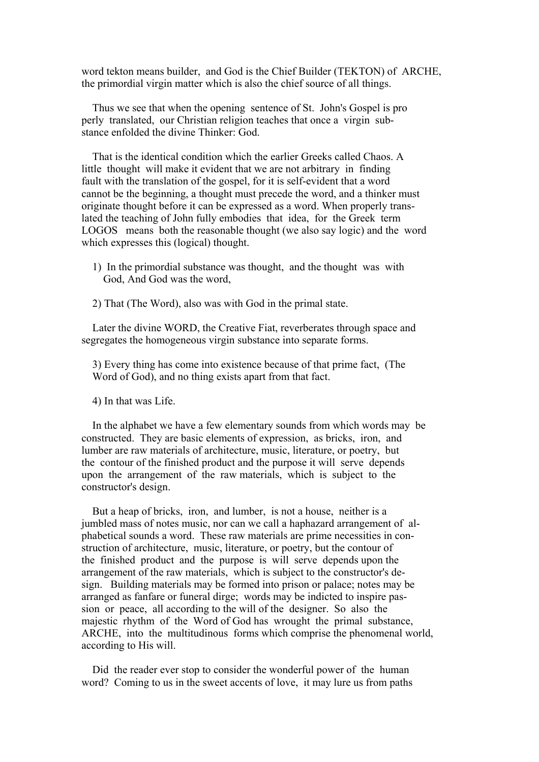word tekton means builder, and God is the Chief Builder (TEKTON) of ARCHE, the primordial virgin matter which is also the chief source of all things.

 Thus we see that when the opening sentence of St. John's Gospel is pro perly translated, our Christian religion teaches that once a virgin substance enfolded the divine Thinker: God.

 That is the identical condition which the earlier Greeks called Chaos. A little thought will make it evident that we are not arbitrary in finding fault with the translation of the gospel, for it is self-evident that a word cannot be the beginning, a thought must precede the word, and a thinker must originate thought before it can be expressed as a word. When properly translated the teaching of John fully embodies that idea, for the Greek term LOGOS means both the reasonable thought (we also say logic) and the word which expresses this (logical) thought.

- 1) In the primordial substance was thought, and the thought was with God, And God was the word,
- 2) That (The Word), also was with God in the primal state.

 Later the divine WORD, the Creative Fiat, reverberates through space and segregates the homogeneous virgin substance into separate forms.

 3) Every thing has come into existence because of that prime fact, (The Word of God), and no thing exists apart from that fact.

4) In that was Life.

 In the alphabet we have a few elementary sounds from which words may be constructed. They are basic elements of expression, as bricks, iron, and lumber are raw materials of architecture, music, literature, or poetry, but the contour of the finished product and the purpose it will serve depends upon the arrangement of the raw materials, which is subject to the constructor's design.

 But a heap of bricks, iron, and lumber, is not a house, neither is a jumbled mass of notes music, nor can we call a haphazard arrangement of alphabetical sounds a word. These raw materials are prime necessities in construction of architecture, music, literature, or poetry, but the contour of the finished product and the purpose is will serve depends upon the arrangement of the raw materials, which is subject to the constructor's design. Building materials may be formed into prison or palace; notes may be arranged as fanfare or funeral dirge; words may be indicted to inspire passion or peace, all according to the will of the designer. So also the majestic rhythm of the Word of God has wrought the primal substance, ARCHE, into the multitudinous forms which comprise the phenomenal world, according to His will.

 Did the reader ever stop to consider the wonderful power of the human word? Coming to us in the sweet accents of love, it may lure us from paths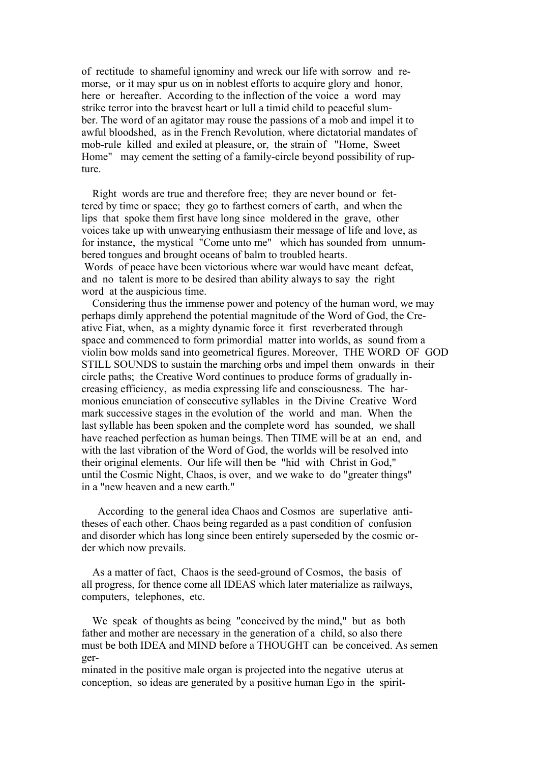of rectitude to shameful ignominy and wreck our life with sorrow and remorse, or it may spur us on in noblest efforts to acquire glory and honor, here or hereafter. According to the inflection of the voice a word may strike terror into the bravest heart or lull a timid child to peaceful slumber. The word of an agitator may rouse the passions of a mob and impel it to awful bloodshed, as in the French Revolution, where dictatorial mandates of mob-rule killed and exiled at pleasure, or, the strain of "Home, Sweet Home" may cement the setting of a family-circle beyond possibility of rupture.

 Right words are true and therefore free; they are never bound or fettered by time or space; they go to farthest corners of earth, and when the lips that spoke them first have long since moldered in the grave, other voices take up with unwearying enthusiasm their message of life and love, as for instance, the mystical "Come unto me" which has sounded from unnumbered tongues and brought oceans of balm to troubled hearts. Words of peace have been victorious where war would have meant defeat, and no talent is more to be desired than ability always to say the right word at the auspicious time.

 Considering thus the immense power and potency of the human word, we may perhaps dimly apprehend the potential magnitude of the Word of God, the Creative Fiat, when, as a mighty dynamic force it first reverberated through space and commenced to form primordial matter into worlds, as sound from a violin bow molds sand into geometrical figures. Moreover, THE WORD OF GOD STILL SOUNDS to sustain the marching orbs and impel them onwards in their circle paths; the Creative Word continues to produce forms of gradually increasing efficiency, as media expressing life and consciousness. The harmonious enunciation of consecutive syllables in the Divine Creative Word mark successive stages in the evolution of the world and man. When the last syllable has been spoken and the complete word has sounded, we shall have reached perfection as human beings. Then TIME will be at an end, and with the last vibration of the Word of God, the worlds will be resolved into their original elements. Our life will then be "hid with Christ in God," until the Cosmic Night, Chaos, is over, and we wake to do "greater things" in a "new heaven and a new earth."

 According to the general idea Chaos and Cosmos are superlative antitheses of each other. Chaos being regarded as a past condition of confusion and disorder which has long since been entirely superseded by the cosmic order which now prevails.

 As a matter of fact, Chaos is the seed-ground of Cosmos, the basis of all progress, for thence come all IDEAS which later materialize as railways, computers, telephones, etc.

 We speak of thoughts as being "conceived by the mind," but as both father and mother are necessary in the generation of a child, so also there must be both IDEA and MIND before a THOUGHT can be conceived. As semen ger-

minated in the positive male organ is projected into the negative uterus at conception, so ideas are generated by a positive human Ego in the spirit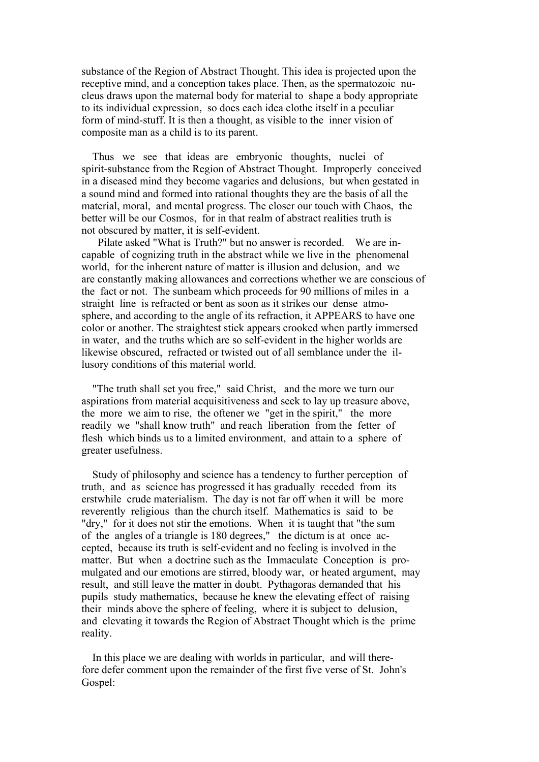substance of the Region of Abstract Thought. This idea is projected upon the receptive mind, and a conception takes place. Then, as the spermatozoic nucleus draws upon the maternal body for material to shape a body appropriate to its individual expression, so does each idea clothe itself in a peculiar form of mind-stuff. It is then a thought, as visible to the inner vision of composite man as a child is to its parent.

 Thus we see that ideas are embryonic thoughts, nuclei of spirit-substance from the Region of Abstract Thought. Improperly conceived in a diseased mind they become vagaries and delusions, but when gestated in a sound mind and formed into rational thoughts they are the basis of all the material, moral, and mental progress. The closer our touch with Chaos, the better will be our Cosmos, for in that realm of abstract realities truth is not obscured by matter, it is self-evident.

 Pilate asked "What is Truth?" but no answer is recorded. We are incapable of cognizing truth in the abstract while we live in the phenomenal world, for the inherent nature of matter is illusion and delusion, and we are constantly making allowances and corrections whether we are conscious of the fact or not. The sunbeam which proceeds for 90 millions of miles in a straight line is refracted or bent as soon as it strikes our dense atmosphere, and according to the angle of its refraction, it APPEARS to have one color or another. The straightest stick appears crooked when partly immersed in water, and the truths which are so self-evident in the higher worlds are likewise obscured, refracted or twisted out of all semblance under the illusory conditions of this material world.

 "The truth shall set you free," said Christ, and the more we turn our aspirations from material acquisitiveness and seek to lay up treasure above, the more we aim to rise, the oftener we "get in the spirit," the more readily we "shall know truth" and reach liberation from the fetter of flesh which binds us to a limited environment, and attain to a sphere of greater usefulness.

 Study of philosophy and science has a tendency to further perception of truth, and as science has progressed it has gradually receded from its erstwhile crude materialism. The day is not far off when it will be more reverently religious than the church itself. Mathematics is said to be "dry," for it does not stir the emotions. When it is taught that "the sum of the angles of a triangle is 180 degrees," the dictum is at once accepted, because its truth is self-evident and no feeling is involved in the matter. But when a doctrine such as the Immaculate Conception is promulgated and our emotions are stirred, bloody war, or heated argument, may result, and still leave the matter in doubt. Pythagoras demanded that his pupils study mathematics, because he knew the elevating effect of raising their minds above the sphere of feeling, where it is subject to delusion, and elevating it towards the Region of Abstract Thought which is the prime reality.

 In this place we are dealing with worlds in particular, and will therefore defer comment upon the remainder of the first five verse of St. John's Gospel: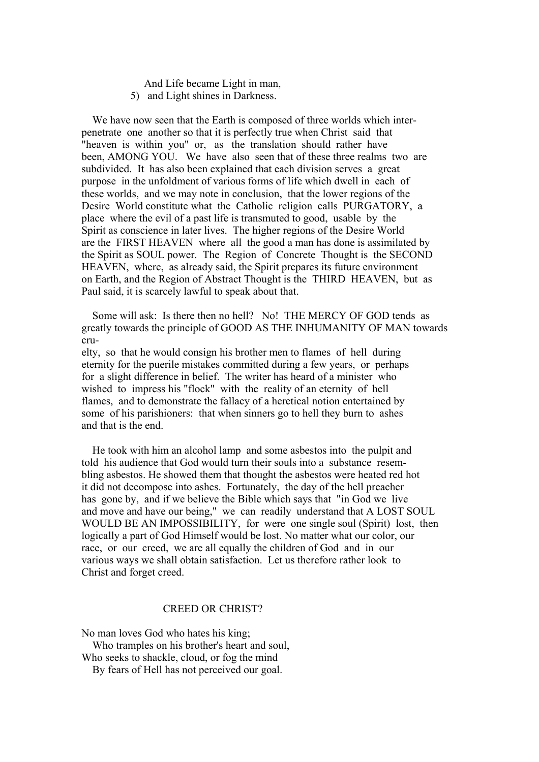- And Life became Light in man,
- 5) and Light shines in Darkness.

 We have now seen that the Earth is composed of three worlds which interpenetrate one another so that it is perfectly true when Christ said that "heaven is within you" or, as the translation should rather have been, AMONG YOU. We have also seen that of these three realms two are subdivided. It has also been explained that each division serves a great purpose in the unfoldment of various forms of life which dwell in each of these worlds, and we may note in conclusion, that the lower regions of the Desire World constitute what the Catholic religion calls PURGATORY, a place where the evil of a past life is transmuted to good, usable by the Spirit as conscience in later lives. The higher regions of the Desire World are the FIRST HEAVEN where all the good a man has done is assimilated by the Spirit as SOUL power. The Region of Concrete Thought is the SECOND HEAVEN, where, as already said, the Spirit prepares its future environment on Earth, and the Region of Abstract Thought is the THIRD HEAVEN, but as Paul said, it is scarcely lawful to speak about that.

 Some will ask: Is there then no hell? No! THE MERCY OF GOD tends as greatly towards the principle of GOOD AS THE INHUMANITY OF MAN towards cru-

elty, so that he would consign his brother men to flames of hell during eternity for the puerile mistakes committed during a few years, or perhaps for a slight difference in belief. The writer has heard of a minister who wished to impress his "flock" with the reality of an eternity of hell flames, and to demonstrate the fallacy of a heretical notion entertained by some of his parishioners: that when sinners go to hell they burn to ashes and that is the end.

 He took with him an alcohol lamp and some asbestos into the pulpit and told his audience that God would turn their souls into a substance resembling asbestos. He showed them that thought the asbestos were heated red hot it did not decompose into ashes. Fortunately, the day of the hell preacher has gone by, and if we believe the Bible which says that "in God we live and move and have our being," we can readily understand that A LOST SOUL WOULD BE AN IMPOSSIBILITY, for were one single soul (Spirit) lost, then logically a part of God Himself would be lost. No matter what our color, our race, or our creed, we are all equally the children of God and in our various ways we shall obtain satisfaction. Let us therefore rather look to Christ and forget creed.

## CREED OR CHRIST?

No man loves God who hates his king; Who tramples on his brother's heart and soul, Who seeks to shackle, cloud, or fog the mind By fears of Hell has not perceived our goal.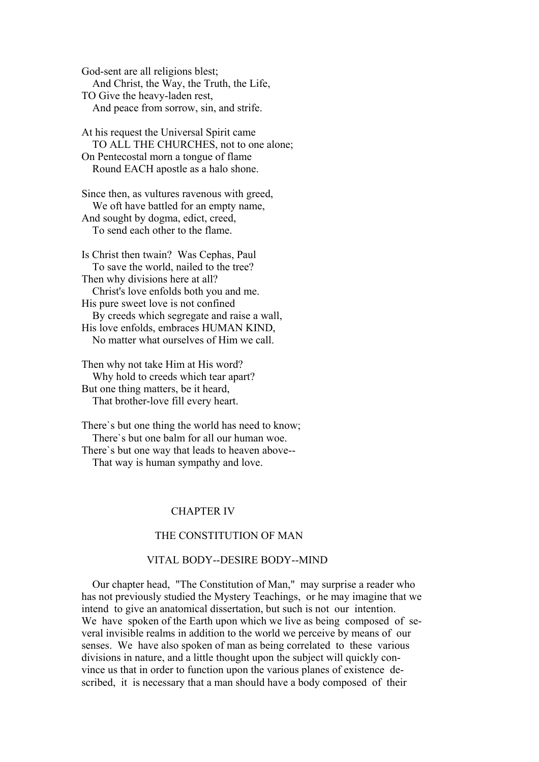God-sent are all religions blest; And Christ, the Way, the Truth, the Life, TO Give the heavy-laden rest, And peace from sorrow, sin, and strife.

At his request the Universal Spirit came TO ALL THE CHURCHES, not to one alone; On Pentecostal morn a tongue of flame Round EACH apostle as a halo shone.

Since then, as vultures ravenous with greed, We oft have battled for an empty name, And sought by dogma, edict, creed, To send each other to the flame.

Is Christ then twain? Was Cephas, Paul To save the world, nailed to the tree? Then why divisions here at all? Christ's love enfolds both you and me. His pure sweet love is not confined By creeds which segregate and raise a wall, His love enfolds, embraces HUMAN KIND, No matter what ourselves of Him we call.

Then why not take Him at His word? Why hold to creeds which tear apart? But one thing matters, be it heard, That brother-love fill every heart.

There`s but one thing the world has need to know; There`s but one balm for all our human woe. There`s but one way that leads to heaven above-- That way is human sympathy and love.

# CHAPTER IV

# THE CONSTITUTION OF MAN

## VITAL BODY--DESIRE BODY--MIND

 Our chapter head, "The Constitution of Man," may surprise a reader who has not previously studied the Mystery Teachings, or he may imagine that we intend to give an anatomical dissertation, but such is not our intention. We have spoken of the Earth upon which we live as being composed of several invisible realms in addition to the world we perceive by means of our senses. We have also spoken of man as being correlated to these various divisions in nature, and a little thought upon the subject will quickly convince us that in order to function upon the various planes of existence described, it is necessary that a man should have a body composed of their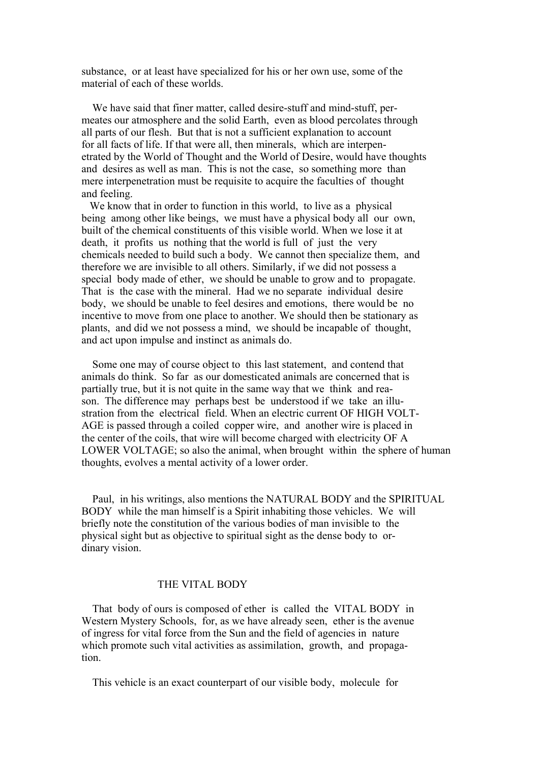substance, or at least have specialized for his or her own use, some of the material of each of these worlds.

 We have said that finer matter, called desire-stuff and mind-stuff, permeates our atmosphere and the solid Earth, even as blood percolates through all parts of our flesh. But that is not a sufficient explanation to account for all facts of life. If that were all, then minerals, which are interpenetrated by the World of Thought and the World of Desire, would have thoughts and desires as well as man. This is not the case, so something more than mere interpenetration must be requisite to acquire the faculties of thought and feeling.

We know that in order to function in this world, to live as a physical being among other like beings, we must have a physical body all our own, built of the chemical constituents of this visible world. When we lose it at death, it profits us nothing that the world is full of just the very chemicals needed to build such a body. We cannot then specialize them, and therefore we are invisible to all others. Similarly, if we did not possess a special body made of ether, we should be unable to grow and to propagate. That is the case with the mineral. Had we no separate individual desire body, we should be unable to feel desires and emotions, there would be no incentive to move from one place to another. We should then be stationary as plants, and did we not possess a mind, we should be incapable of thought, and act upon impulse and instinct as animals do.

 Some one may of course object to this last statement, and contend that animals do think. So far as our domesticated animals are concerned that is partially true, but it is not quite in the same way that we think and reason. The difference may perhaps best be understood if we take an illustration from the electrical field. When an electric current OF HIGH VOLT-AGE is passed through a coiled copper wire, and another wire is placed in the center of the coils, that wire will become charged with electricity OF A LOWER VOLTAGE; so also the animal, when brought within the sphere of human thoughts, evolves a mental activity of a lower order.

 Paul, in his writings, also mentions the NATURAL BODY and the SPIRITUAL BODY while the man himself is a Spirit inhabiting those vehicles. We will briefly note the constitution of the various bodies of man invisible to the physical sight but as objective to spiritual sight as the dense body to ordinary vision.

#### THE VITAL BODY

 That body of ours is composed of ether is called the VITAL BODY in Western Mystery Schools, for, as we have already seen, ether is the avenue of ingress for vital force from the Sun and the field of agencies in nature which promote such vital activities as assimilation, growth, and propagation.

This vehicle is an exact counterpart of our visible body, molecule for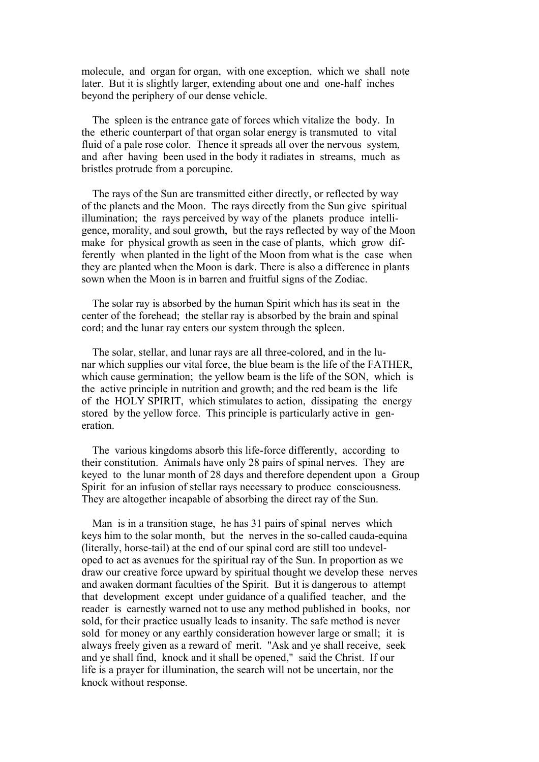molecule, and organ for organ, with one exception, which we shall note later. But it is slightly larger, extending about one and one-half inches beyond the periphery of our dense vehicle.

 The spleen is the entrance gate of forces which vitalize the body. In the etheric counterpart of that organ solar energy is transmuted to vital fluid of a pale rose color. Thence it spreads all over the nervous system, and after having been used in the body it radiates in streams, much as bristles protrude from a porcupine.

 The rays of the Sun are transmitted either directly, or reflected by way of the planets and the Moon. The rays directly from the Sun give spiritual illumination; the rays perceived by way of the planets produce intelligence, morality, and soul growth, but the rays reflected by way of the Moon make for physical growth as seen in the case of plants, which grow differently when planted in the light of the Moon from what is the case when they are planted when the Moon is dark. There is also a difference in plants sown when the Moon is in barren and fruitful signs of the Zodiac.

 The solar ray is absorbed by the human Spirit which has its seat in the center of the forehead; the stellar ray is absorbed by the brain and spinal cord; and the lunar ray enters our system through the spleen.

 The solar, stellar, and lunar rays are all three-colored, and in the lunar which supplies our vital force, the blue beam is the life of the FATHER, which cause germination; the yellow beam is the life of the SON, which is the active principle in nutrition and growth; and the red beam is the life of the HOLY SPIRIT, which stimulates to action, dissipating the energy stored by the yellow force. This principle is particularly active in generation.

 The various kingdoms absorb this life-force differently, according to their constitution. Animals have only 28 pairs of spinal nerves. They are keyed to the lunar month of 28 days and therefore dependent upon a Group Spirit for an infusion of stellar rays necessary to produce consciousness. They are altogether incapable of absorbing the direct ray of the Sun.

 Man is in a transition stage, he has 31 pairs of spinal nerves which keys him to the solar month, but the nerves in the so-called cauda-equina (literally, horse-tail) at the end of our spinal cord are still too undeveloped to act as avenues for the spiritual ray of the Sun. In proportion as we draw our creative force upward by spiritual thought we develop these nerves and awaken dormant faculties of the Spirit. But it is dangerous to attempt that development except under guidance of a qualified teacher, and the reader is earnestly warned not to use any method published in books, nor sold, for their practice usually leads to insanity. The safe method is never sold for money or any earthly consideration however large or small; it is always freely given as a reward of merit. "Ask and ye shall receive, seek and ye shall find, knock and it shall be opened," said the Christ. If our life is a prayer for illumination, the search will not be uncertain, nor the knock without response.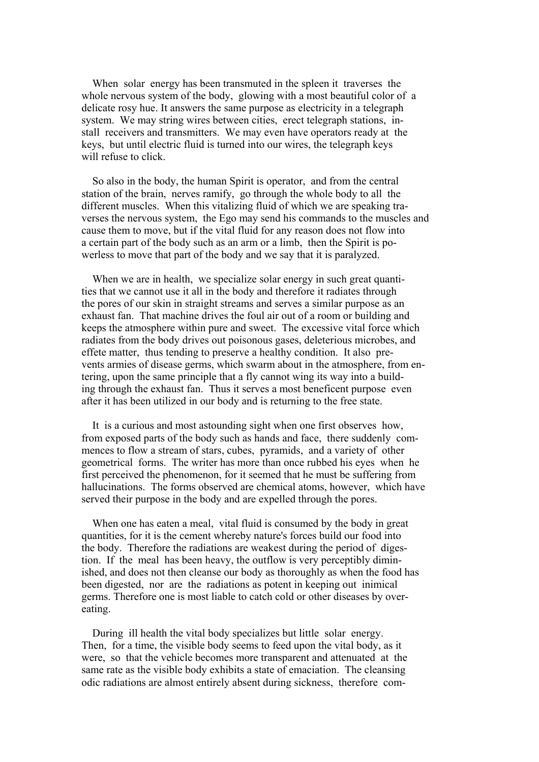When solar energy has been transmuted in the spleen it traverses the whole nervous system of the body, glowing with a most beautiful color of a delicate rosy hue. It answers the same purpose as electricity in a telegraph system. We may string wires between cities, erect telegraph stations, install receivers and transmitters. We may even have operators ready at the keys, but until electric fluid is turned into our wires, the telegraph keys will refuse to click.

 So also in the body, the human Spirit is operator, and from the central station of the brain, nerves ramify, go through the whole body to all the different muscles. When this vitalizing fluid of which we are speaking traverses the nervous system, the Ego may send his commands to the muscles and cause them to move, but if the vital fluid for any reason does not flow into a certain part of the body such as an arm or a limb, then the Spirit is powerless to move that part of the body and we say that it is paralyzed.

 When we are in health, we specialize solar energy in such great quantities that we cannot use it all in the body and therefore it radiates through the pores of our skin in straight streams and serves a similar purpose as an exhaust fan. That machine drives the foul air out of a room or building and keeps the atmosphere within pure and sweet. The excessive vital force which radiates from the body drives out poisonous gases, deleterious microbes, and effete matter, thus tending to preserve a healthy condition. It also prevents armies of disease germs, which swarm about in the atmosphere, from entering, upon the same principle that a fly cannot wing its way into a building through the exhaust fan. Thus it serves a most beneficent purpose even after it has been utilized in our body and is returning to the free state.

 It is a curious and most astounding sight when one first observes how, from exposed parts of the body such as hands and face, there suddenly commences to flow a stream of stars, cubes, pyramids, and a variety of other geometrical forms. The writer has more than once rubbed his eyes when he first perceived the phenomenon, for it seemed that he must be suffering from hallucinations. The forms observed are chemical atoms, however, which have served their purpose in the body and are expelled through the pores.

 When one has eaten a meal, vital fluid is consumed by the body in great quantities, for it is the cement whereby nature's forces build our food into the body. Therefore the radiations are weakest during the period of digestion. If the meal has been heavy, the outflow is very perceptibly diminished, and does not then cleanse our body as thoroughly as when the food has been digested, nor are the radiations as potent in keeping out inimical germs. Therefore one is most liable to catch cold or other diseases by overeating.

 During ill health the vital body specializes but little solar energy. Then, for a time, the visible body seems to feed upon the vital body, as it were, so that the vehicle becomes more transparent and attenuated at the same rate as the visible body exhibits a state of emaciation. The cleansing odic radiations are almost entirely absent during sickness, therefore com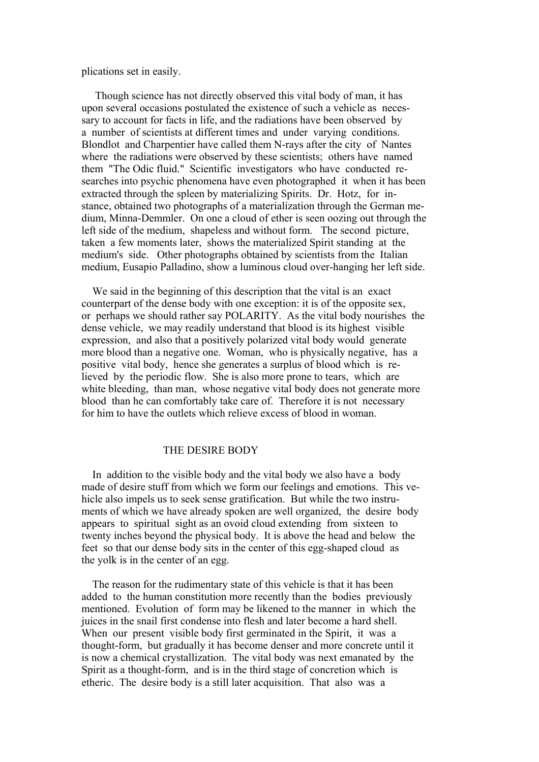plications set in easily.

 Though science has not directly observed this vital body of man, it has upon several occasions postulated the existence of such a vehicle as necessary to account for facts in life, and the radiations have been observed by a number of scientists at different times and under varying conditions. Blondlot and Charpentier have called them N-rays after the city of Nantes where the radiations were observed by these scientists; others have named them "The Odic fluid." Scientific investigators who have conducted researches into psychic phenomena have even photographed it when it has been extracted through the spleen by materializing Spirits. Dr. Hotz, for instance, obtained two photographs of a materialization through the German medium, Minna-Demmler. On one a cloud of ether is seen oozing out through the left side of the medium, shapeless and without form. The second picture, taken a few moments later, shows the materialized Spirit standing at the medium's side. Other photographs obtained by scientists from the Italian medium, Eusapio Palladino, show a luminous cloud over-hanging her left side.

 We said in the beginning of this description that the vital is an exact counterpart of the dense body with one exception: it is of the opposite sex, or perhaps we should rather say POLARITY. As the vital body nourishes the dense vehicle, we may readily understand that blood is its highest visible expression, and also that a positively polarized vital body would generate more blood than a negative one. Woman, who is physically negative, has a positive vital body, hence she generates a surplus of blood which is relieved by the periodic flow. She is also more prone to tears, which are white bleeding, than man, whose negative vital body does not generate more blood than he can comfortably take care of. Therefore it is not necessary for him to have the outlets which relieve excess of blood in woman.

## THE DESIRE BODY

 In addition to the visible body and the vital body we also have a body made of desire stuff from which we form our feelings and emotions. This vehicle also impels us to seek sense gratification. But while the two instruments of which we have already spoken are well organized, the desire body appears to spiritual sight as an ovoid cloud extending from sixteen to twenty inches beyond the physical body. It is above the head and below the feet so that our dense body sits in the center of this egg-shaped cloud as the yolk is in the center of an egg.

 The reason for the rudimentary state of this vehicle is that it has been added to the human constitution more recently than the bodies previously mentioned. Evolution of form may be likened to the manner in which the juices in the snail first condense into flesh and later become a hard shell. When our present visible body first germinated in the Spirit, it was a thought-form, but gradually it has become denser and more concrete until it is now a chemical crystallization. The vital body was next emanated by the Spirit as a thought-form, and is in the third stage of concretion which is etheric. The desire body is a still later acquisition. That also was a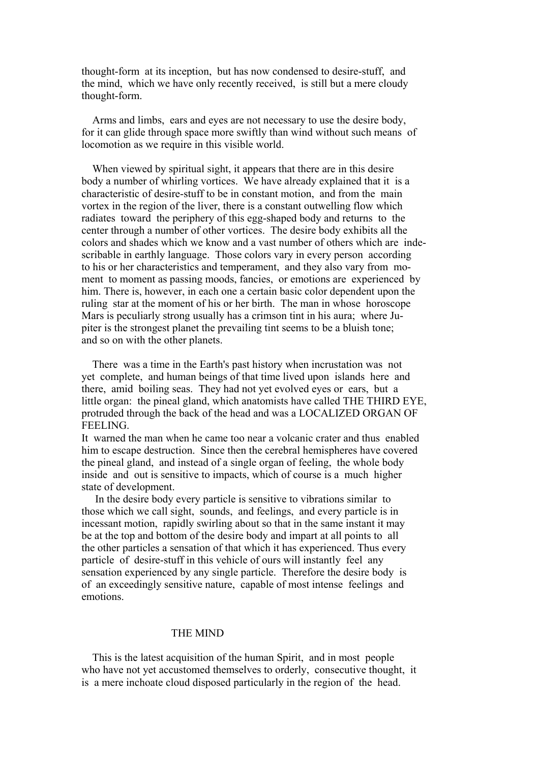thought-form at its inception, but has now condensed to desire-stuff, and the mind, which we have only recently received, is still but a mere cloudy thought-form.

 Arms and limbs, ears and eyes are not necessary to use the desire body, for it can glide through space more swiftly than wind without such means of locomotion as we require in this visible world.

 When viewed by spiritual sight, it appears that there are in this desire body a number of whirling vortices. We have already explained that it is a characteristic of desire-stuff to be in constant motion, and from the main vortex in the region of the liver, there is a constant outwelling flow which radiates toward the periphery of this egg-shaped body and returns to the center through a number of other vortices. The desire body exhibits all the colors and shades which we know and a vast number of others which are indescribable in earthly language. Those colors vary in every person according to his or her characteristics and temperament, and they also vary from moment to moment as passing moods, fancies, or emotions are experienced by him. There is, however, in each one a certain basic color dependent upon the ruling star at the moment of his or her birth. The man in whose horoscope Mars is peculiarly strong usually has a crimson tint in his aura; where Jupiter is the strongest planet the prevailing tint seems to be a bluish tone; and so on with the other planets.

 There was a time in the Earth's past history when incrustation was not yet complete, and human beings of that time lived upon islands here and there, amid boiling seas. They had not yet evolved eyes or ears, but a little organ: the pineal gland, which anatomists have called THE THIRD EYE, protruded through the back of the head and was a LOCALIZED ORGAN OF FEELING.

It warned the man when he came too near a volcanic crater and thus enabled him to escape destruction. Since then the cerebral hemispheres have covered the pineal gland, and instead of a single organ of feeling, the whole body inside and out is sensitive to impacts, which of course is a much higher state of development.

 In the desire body every particle is sensitive to vibrations similar to those which we call sight, sounds, and feelings, and every particle is in incessant motion, rapidly swirling about so that in the same instant it may be at the top and bottom of the desire body and impart at all points to all the other particles a sensation of that which it has experienced. Thus every particle of desire-stuff in this vehicle of ours will instantly feel any sensation experienced by any single particle. Therefore the desire body is of an exceedingly sensitive nature, capable of most intense feelings and emotions.

### THE MIND

 This is the latest acquisition of the human Spirit, and in most people who have not yet accustomed themselves to orderly, consecutive thought, it is a mere inchoate cloud disposed particularly in the region of the head.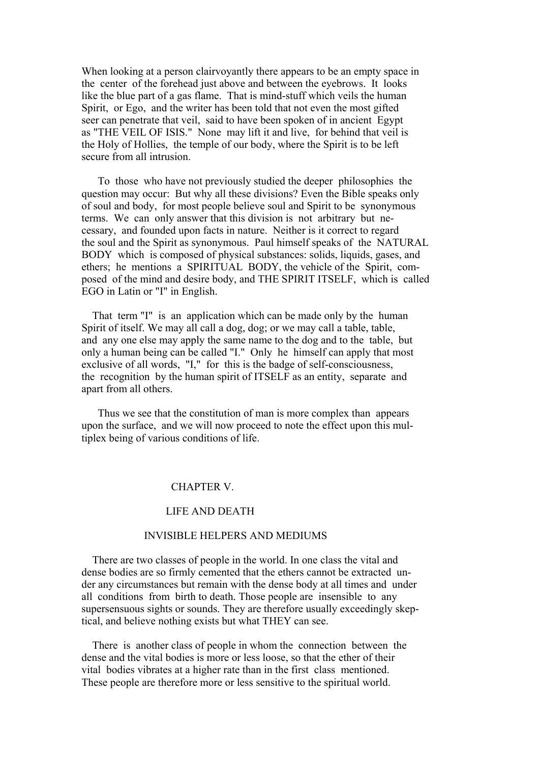When looking at a person clairvoyantly there appears to be an empty space in the center of the forehead just above and between the eyebrows. It looks like the blue part of a gas flame. That is mind-stuff which veils the human Spirit, or Ego, and the writer has been told that not even the most gifted seer can penetrate that veil, said to have been spoken of in ancient Egypt as "THE VEIL OF ISIS." None may lift it and live, for behind that veil is the Holy of Hollies, the temple of our body, where the Spirit is to be left secure from all intrusion.

 To those who have not previously studied the deeper philosophies the question may occur: But why all these divisions? Even the Bible speaks only of soul and body, for most people believe soul and Spirit to be synonymous terms. We can only answer that this division is not arbitrary but necessary, and founded upon facts in nature. Neither is it correct to regard the soul and the Spirit as synonymous. Paul himself speaks of the NATURAL BODY which is composed of physical substances: solids, liquids, gases, and ethers; he mentions a SPIRITUAL BODY, the vehicle of the Spirit, composed of the mind and desire body, and THE SPIRIT ITSELF, which is called EGO in Latin or "I" in English.

 That term "I" is an application which can be made only by the human Spirit of itself. We may all call a dog, dog; or we may call a table, table, and any one else may apply the same name to the dog and to the table, but only a human being can be called "I." Only he himself can apply that most exclusive of all words, "I," for this is the badge of self-consciousness, the recognition by the human spirit of ITSELF as an entity, separate and apart from all others.

 Thus we see that the constitution of man is more complex than appears upon the surface, and we will now proceed to note the effect upon this multiplex being of various conditions of life.

## CHAPTER V.

#### LIFE AND DEATH

# INVISIBLE HELPERS AND MEDIUMS

 There are two classes of people in the world. In one class the vital and dense bodies are so firmly cemented that the ethers cannot be extracted under any circumstances but remain with the dense body at all times and under all conditions from birth to death. Those people are insensible to any supersensuous sights or sounds. They are therefore usually exceedingly skeptical, and believe nothing exists but what THEY can see.

 There is another class of people in whom the connection between the dense and the vital bodies is more or less loose, so that the ether of their vital bodies vibrates at a higher rate than in the first class mentioned. These people are therefore more or less sensitive to the spiritual world.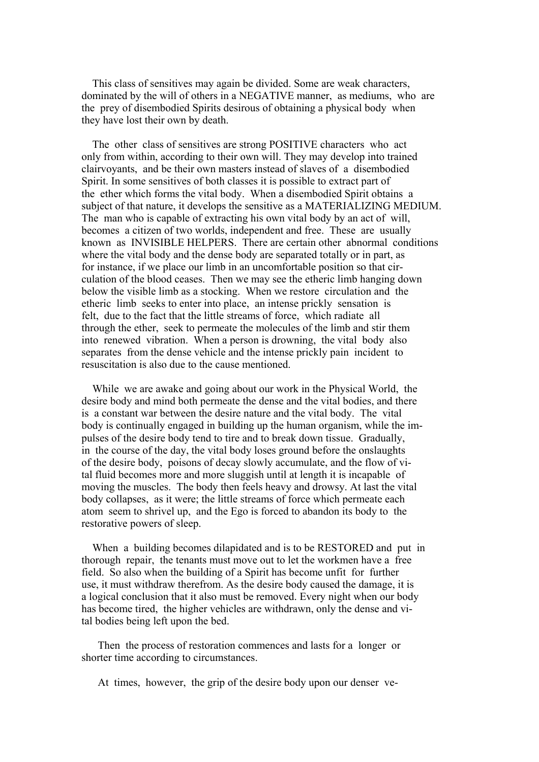This class of sensitives may again be divided. Some are weak characters, dominated by the will of others in a NEGATIVE manner, as mediums, who are the prey of disembodied Spirits desirous of obtaining a physical body when they have lost their own by death.

 The other class of sensitives are strong POSITIVE characters who act only from within, according to their own will. They may develop into trained clairvoyants, and be their own masters instead of slaves of a disembodied Spirit. In some sensitives of both classes it is possible to extract part of the ether which forms the vital body. When a disembodied Spirit obtains a subject of that nature, it develops the sensitive as a MATERIALIZING MEDIUM. The man who is capable of extracting his own vital body by an act of will, becomes a citizen of two worlds, independent and free. These are usually known as INVISIBLE HELPERS. There are certain other abnormal conditions where the vital body and the dense body are separated totally or in part, as for instance, if we place our limb in an uncomfortable position so that circulation of the blood ceases. Then we may see the etheric limb hanging down below the visible limb as a stocking. When we restore circulation and the etheric limb seeks to enter into place, an intense prickly sensation is felt, due to the fact that the little streams of force, which radiate all through the ether, seek to permeate the molecules of the limb and stir them into renewed vibration. When a person is drowning, the vital body also separates from the dense vehicle and the intense prickly pain incident to resuscitation is also due to the cause mentioned.

 While we are awake and going about our work in the Physical World, the desire body and mind both permeate the dense and the vital bodies, and there is a constant war between the desire nature and the vital body. The vital body is continually engaged in building up the human organism, while the impulses of the desire body tend to tire and to break down tissue. Gradually, in the course of the day, the vital body loses ground before the onslaughts of the desire body, poisons of decay slowly accumulate, and the flow of vital fluid becomes more and more sluggish until at length it is incapable of moving the muscles. The body then feels heavy and drowsy. At last the vital body collapses, as it were; the little streams of force which permeate each atom seem to shrivel up, and the Ego is forced to abandon its body to the restorative powers of sleep.

 When a building becomes dilapidated and is to be RESTORED and put in thorough repair, the tenants must move out to let the workmen have a free field. So also when the building of a Spirit has become unfit for further use, it must withdraw therefrom. As the desire body caused the damage, it is a logical conclusion that it also must be removed. Every night when our body has become tired, the higher vehicles are withdrawn, only the dense and vital bodies being left upon the bed.

 Then the process of restoration commences and lasts for a longer or shorter time according to circumstances.

At times, however, the grip of the desire body upon our denser ve-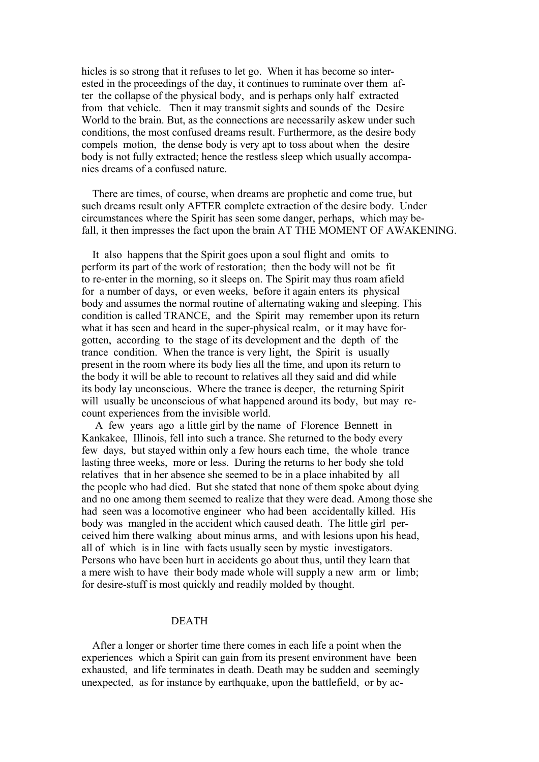hicles is so strong that it refuses to let go. When it has become so interested in the proceedings of the day, it continues to ruminate over them after the collapse of the physical body, and is perhaps only half extracted from that vehicle. Then it may transmit sights and sounds of the Desire World to the brain. But, as the connections are necessarily askew under such conditions, the most confused dreams result. Furthermore, as the desire body compels motion, the dense body is very apt to toss about when the desire body is not fully extracted; hence the restless sleep which usually accompanies dreams of a confused nature.

 There are times, of course, when dreams are prophetic and come true, but such dreams result only AFTER complete extraction of the desire body. Under circumstances where the Spirit has seen some danger, perhaps, which may befall, it then impresses the fact upon the brain AT THE MOMENT OF AWAKENING.

 It also happens that the Spirit goes upon a soul flight and omits to perform its part of the work of restoration; then the body will not be fit to re-enter in the morning, so it sleeps on. The Spirit may thus roam afield for a number of days, or even weeks, before it again enters its physical body and assumes the normal routine of alternating waking and sleeping. This condition is called TRANCE, and the Spirit may remember upon its return what it has seen and heard in the super-physical realm, or it may have forgotten, according to the stage of its development and the depth of the trance condition. When the trance is very light, the Spirit is usually present in the room where its body lies all the time, and upon its return to the body it will be able to recount to relatives all they said and did while its body lay unconscious. Where the trance is deeper, the returning Spirit will usually be unconscious of what happened around its body, but may recount experiences from the invisible world.

 A few years ago a little girl by the name of Florence Bennett in Kankakee, Illinois, fell into such a trance. She returned to the body every few days, but stayed within only a few hours each time, the whole trance lasting three weeks, more or less. During the returns to her body she told relatives that in her absence she seemed to be in a place inhabited by all the people who had died. But she stated that none of them spoke about dying and no one among them seemed to realize that they were dead. Among those she had seen was a locomotive engineer who had been accidentally killed. His body was mangled in the accident which caused death. The little girl perceived him there walking about minus arms, and with lesions upon his head, all of which is in line with facts usually seen by mystic investigators. Persons who have been hurt in accidents go about thus, until they learn that a mere wish to have their body made whole will supply a new arm or limb; for desire-stuff is most quickly and readily molded by thought.

# DEATH

 After a longer or shorter time there comes in each life a point when the experiences which a Spirit can gain from its present environment have been exhausted, and life terminates in death. Death may be sudden and seemingly unexpected, as for instance by earthquake, upon the battlefield, or by ac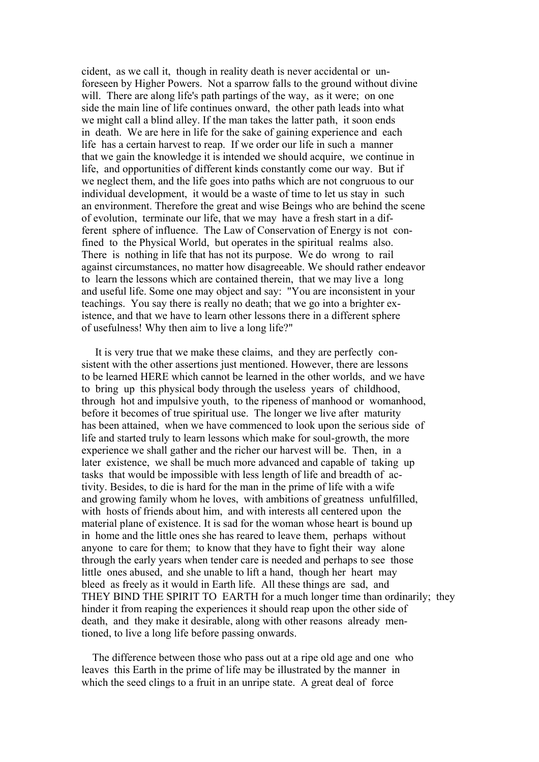cident, as we call it, though in reality death is never accidental or unforeseen by Higher Powers. Not a sparrow falls to the ground without divine will. There are along life's path partings of the way, as it were; on one side the main line of life continues onward, the other path leads into what we might call a blind alley. If the man takes the latter path, it soon ends in death. We are here in life for the sake of gaining experience and each life has a certain harvest to reap. If we order our life in such a manner that we gain the knowledge it is intended we should acquire, we continue in life, and opportunities of different kinds constantly come our way. But if we neglect them, and the life goes into paths which are not congruous to our individual development, it would be a waste of time to let us stay in such an environment. Therefore the great and wise Beings who are behind the scene of evolution, terminate our life, that we may have a fresh start in a different sphere of influence. The Law of Conservation of Energy is not confined to the Physical World, but operates in the spiritual realms also. There is nothing in life that has not its purpose. We do wrong to rail against circumstances, no matter how disagreeable. We should rather endeavor to learn the lessons which are contained therein, that we may live a long and useful life. Some one may object and say: "You are inconsistent in your teachings. You say there is really no death; that we go into a brighter existence, and that we have to learn other lessons there in a different sphere of usefulness! Why then aim to live a long life?"

 It is very true that we make these claims, and they are perfectly consistent with the other assertions just mentioned. However, there are lessons to be learned HERE which cannot be learned in the other worlds, and we have to bring up this physical body through the useless years of childhood, through hot and impulsive youth, to the ripeness of manhood or womanhood, before it becomes of true spiritual use. The longer we live after maturity has been attained, when we have commenced to look upon the serious side of life and started truly to learn lessons which make for soul-growth, the more experience we shall gather and the richer our harvest will be. Then, in a later existence, we shall be much more advanced and capable of taking up tasks that would be impossible with less length of life and breadth of activity. Besides, to die is hard for the man in the prime of life with a wife and growing family whom he loves, with ambitions of greatness unfulfilled, with hosts of friends about him, and with interests all centered upon the material plane of existence. It is sad for the woman whose heart is bound up in home and the little ones she has reared to leave them, perhaps without anyone to care for them; to know that they have to fight their way alone through the early years when tender care is needed and perhaps to see those little ones abused, and she unable to lift a hand, though her heart may bleed as freely as it would in Earth life. All these things are sad, and THEY BIND THE SPIRIT TO EARTH for a much longer time than ordinarily; they hinder it from reaping the experiences it should reap upon the other side of death, and they make it desirable, along with other reasons already mentioned, to live a long life before passing onwards.

 The difference between those who pass out at a ripe old age and one who leaves this Earth in the prime of life may be illustrated by the manner in which the seed clings to a fruit in an unripe state. A great deal of force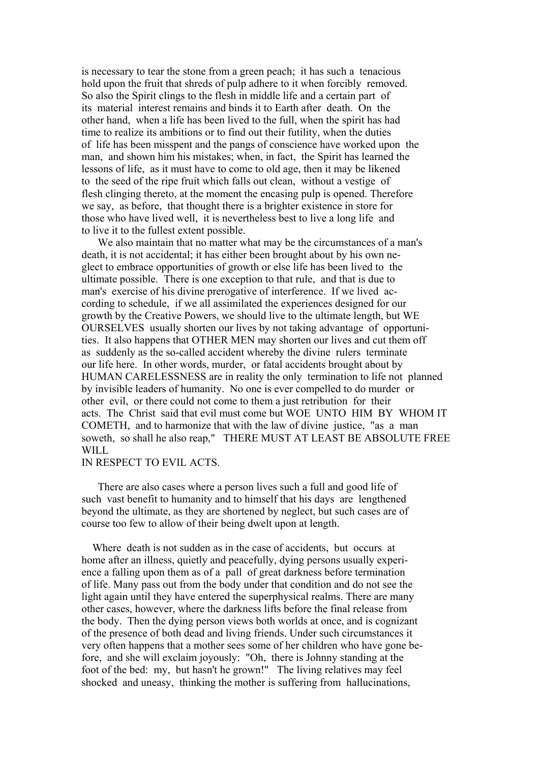is necessary to tear the stone from a green peach; it has such a tenacious hold upon the fruit that shreds of pulp adhere to it when forcibly removed. So also the Spirit clings to the flesh in middle life and a certain part of its material interest remains and binds it to Earth after death. On the other hand, when a life has been lived to the full, when the spirit has had time to realize its ambitions or to find out their futility, when the duties of life has been misspent and the pangs of conscience have worked upon the man, and shown him his mistakes; when, in fact, the Spirit has learned the lessons of life, as it must have to come to old age, then it may be likened to the seed of the ripe fruit which falls out clean, without a vestige of flesh clinging thereto, at the moment the encasing pulp is opened. Therefore we say, as before, that thought there is a brighter existence in store for those who have lived well, it is nevertheless best to live a long life and to live it to the fullest extent possible.

 We also maintain that no matter what may be the circumstances of a man's death, it is not accidental; it has either been brought about by his own neglect to embrace opportunities of growth or else life has been lived to the ultimate possible. There is one exception to that rule, and that is due to man's exercise of his divine prerogative of interference. If we lived according to schedule, if we all assimilated the experiences designed for our growth by the Creative Powers, we should live to the ultimate length, but WE OURSELVES usually shorten our lives by not taking advantage of opportunities. It also happens that OTHER MEN may shorten our lives and cut them off as suddenly as the so-called accident whereby the divine rulers terminate our life here. In other words, murder, or fatal accidents brought about by HUMAN CARELESSNESS are in reality the only termination to life not planned by invisible leaders of humanity. No one is ever compelled to do murder or other evil, or there could not come to them a just retribution for their acts. The Christ said that evil must come but WOE UNTO HIM BY WHOM IT COMETH, and to harmonize that with the law of divine justice, "as a man soweth, so shall he also reap," THERE MUST AT LEAST BE ABSOLUTE FREE WILL

### IN RESPECT TO EVIL ACTS.

 There are also cases where a person lives such a full and good life of such vast benefit to humanity and to himself that his days are lengthened beyond the ultimate, as they are shortened by neglect, but such cases are of course too few to allow of their being dwelt upon at length.

 Where death is not sudden as in the case of accidents, but occurs at home after an illness, quietly and peacefully, dying persons usually experience a falling upon them as of a pall of great darkness before termination of life. Many pass out from the body under that condition and do not see the light again until they have entered the superphysical realms. There are many other cases, however, where the darkness lifts before the final release from the body. Then the dying person views both worlds at once, and is cognizant of the presence of both dead and living friends. Under such circumstances it very often happens that a mother sees some of her children who have gone before, and she will exclaim joyously: "Oh, there is Johnny standing at the foot of the bed: my, but hasn't he grown!" The living relatives may feel shocked and uneasy, thinking the mother is suffering from hallucinations,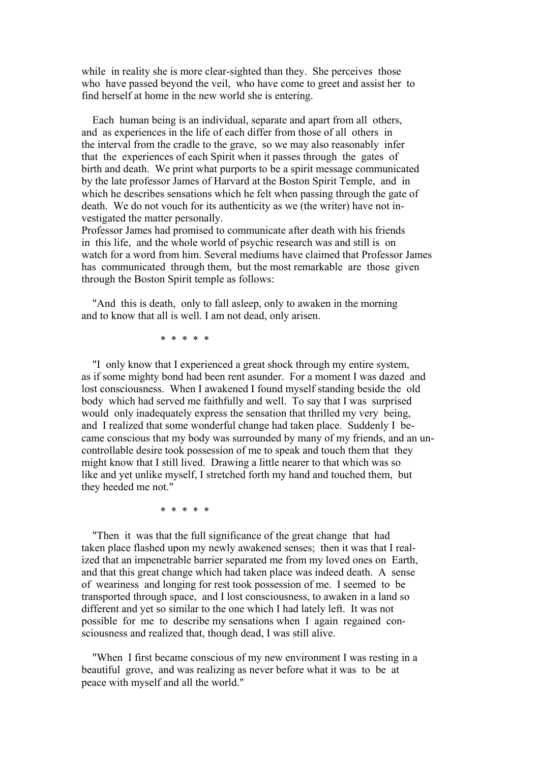while in reality she is more clear-sighted than they. She perceives those who have passed beyond the veil, who have come to greet and assist her to find herself at home in the new world she is entering.

 Each human being is an individual, separate and apart from all others, and as experiences in the life of each differ from those of all others in the interval from the cradle to the grave, so we may also reasonably infer that the experiences of each Spirit when it passes through the gates of birth and death. We print what purports to be a spirit message communicated by the late professor James of Harvard at the Boston Spirit Temple, and in which he describes sensations which he felt when passing through the gate of death. We do not vouch for its authenticity as we (the writer) have not investigated the matter personally.

Professor James had promised to communicate after death with his friends in this life, and the whole world of psychic research was and still is on watch for a word from him. Several mediums have claimed that Professor James has communicated through them, but the most remarkable are those given through the Boston Spirit temple as follows:

 "And this is death, only to fall asleep, only to awaken in the morning and to know that all is well. I am not dead, only arisen.

\* \* \* \* \*

 "I only know that I experienced a great shock through my entire system, as if some mighty bond had been rent asunder. For a moment I was dazed and lost consciousness. When I awakened I found myself standing beside the old body which had served me faithfully and well. To say that I was surprised would only inadequately express the sensation that thrilled my very being, and I realized that some wonderful change had taken place. Suddenly I became conscious that my body was surrounded by many of my friends, and an uncontrollable desire took possession of me to speak and touch them that they might know that I still lived. Drawing a little nearer to that which was so like and yet unlike myself, I stretched forth my hand and touched them, but they heeded me not."

\* \* \* \* \*

 "Then it was that the full significance of the great change that had taken place flashed upon my newly awakened senses; then it was that I realized that an impenetrable barrier separated me from my loved ones on Earth, and that this great change which had taken place was indeed death. A sense of weariness and longing for rest took possession of me. I seemed to be transported through space, and I lost consciousness, to awaken in a land so different and yet so similar to the one which I had lately left. It was not possible for me to describe my sensations when I again regained consciousness and realized that, though dead, I was still alive.

 "When I first became conscious of my new environment I was resting in a beautiful grove, and was realizing as never before what it was to be at peace with myself and all the world."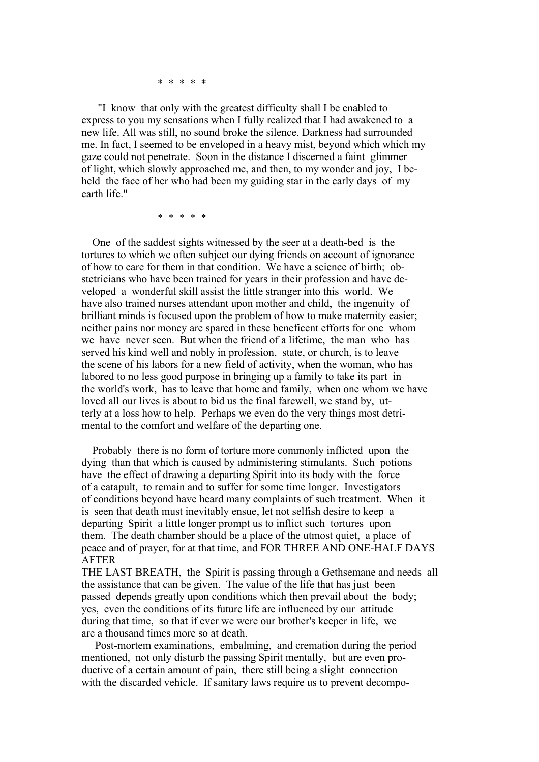\* \* \* \* \*

 "I know that only with the greatest difficulty shall I be enabled to express to you my sensations when I fully realized that I had awakened to a new life. All was still, no sound broke the silence. Darkness had surrounded me. In fact, I seemed to be enveloped in a heavy mist, beyond which which my gaze could not penetrate. Soon in the distance I discerned a faint glimmer of light, which slowly approached me, and then, to my wonder and joy, I beheld the face of her who had been my guiding star in the early days of my earth life."

\* \* \* \* \*

 One of the saddest sights witnessed by the seer at a death-bed is the tortures to which we often subject our dying friends on account of ignorance of how to care for them in that condition. We have a science of birth; obstetricians who have been trained for years in their profession and have developed a wonderful skill assist the little stranger into this world. We have also trained nurses attendant upon mother and child, the ingenuity of brilliant minds is focused upon the problem of how to make maternity easier; neither pains nor money are spared in these beneficent efforts for one whom we have never seen. But when the friend of a lifetime, the man who has served his kind well and nobly in profession, state, or church, is to leave the scene of his labors for a new field of activity, when the woman, who has labored to no less good purpose in bringing up a family to take its part in the world's work, has to leave that home and family, when one whom we have loved all our lives is about to bid us the final farewell, we stand by, utterly at a loss how to help. Perhaps we even do the very things most detrimental to the comfort and welfare of the departing one.

 Probably there is no form of torture more commonly inflicted upon the dying than that which is caused by administering stimulants. Such potions have the effect of drawing a departing Spirit into its body with the force of a catapult, to remain and to suffer for some time longer. Investigators of conditions beyond have heard many complaints of such treatment. When it is seen that death must inevitably ensue, let not selfish desire to keep a departing Spirit a little longer prompt us to inflict such tortures upon them. The death chamber should be a place of the utmost quiet, a place of peace and of prayer, for at that time, and FOR THREE AND ONE-HALF DAYS AFTER

THE LAST BREATH, the Spirit is passing through a Gethsemane and needs all the assistance that can be given. The value of the life that has just been passed depends greatly upon conditions which then prevail about the body; yes, even the conditions of its future life are influenced by our attitude during that time, so that if ever we were our brother's keeper in life, we are a thousand times more so at death.

 Post-mortem examinations, embalming, and cremation during the period mentioned, not only disturb the passing Spirit mentally, but are even productive of a certain amount of pain, there still being a slight connection with the discarded vehicle. If sanitary laws require us to prevent decompo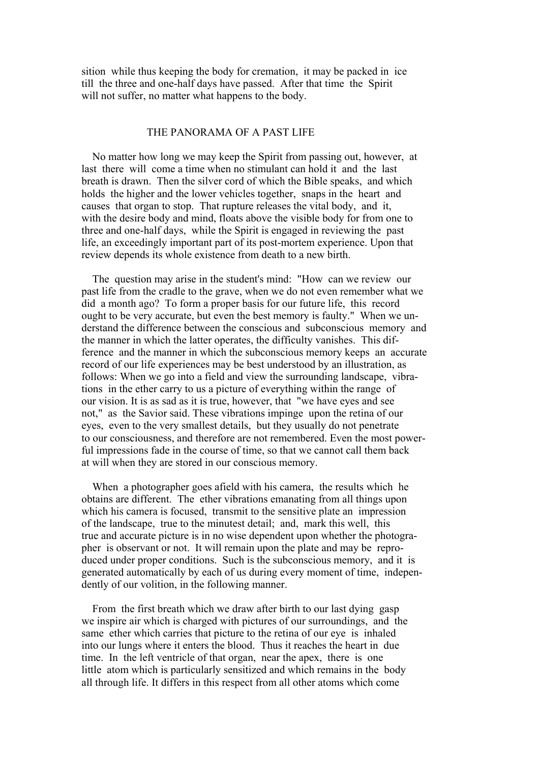sition while thus keeping the body for cremation, it may be packed in ice till the three and one-half days have passed. After that time the Spirit will not suffer, no matter what happens to the body.

#### THE PANORAMA OF A PAST LIFE

 No matter how long we may keep the Spirit from passing out, however, at last there will come a time when no stimulant can hold it and the last breath is drawn. Then the silver cord of which the Bible speaks, and which holds the higher and the lower vehicles together, snaps in the heart and causes that organ to stop. That rupture releases the vital body, and it, with the desire body and mind, floats above the visible body for from one to three and one-half days, while the Spirit is engaged in reviewing the past life, an exceedingly important part of its post-mortem experience. Upon that review depends its whole existence from death to a new birth.

 The question may arise in the student's mind: "How can we review our past life from the cradle to the grave, when we do not even remember what we did a month ago? To form a proper basis for our future life, this record ought to be very accurate, but even the best memory is faulty." When we understand the difference between the conscious and subconscious memory and the manner in which the latter operates, the difficulty vanishes. This difference and the manner in which the subconscious memory keeps an accurate record of our life experiences may be best understood by an illustration, as follows: When we go into a field and view the surrounding landscape, vibrations in the ether carry to us a picture of everything within the range of our vision. It is as sad as it is true, however, that "we have eyes and see not," as the Savior said. These vibrations impinge upon the retina of our eyes, even to the very smallest details, but they usually do not penetrate to our consciousness, and therefore are not remembered. Even the most powerful impressions fade in the course of time, so that we cannot call them back at will when they are stored in our conscious memory.

 When a photographer goes afield with his camera, the results which he obtains are different. The ether vibrations emanating from all things upon which his camera is focused, transmit to the sensitive plate an impression of the landscape, true to the minutest detail; and, mark this well, this true and accurate picture is in no wise dependent upon whether the photographer is observant or not. It will remain upon the plate and may be reproduced under proper conditions. Such is the subconscious memory, and it is generated automatically by each of us during every moment of time, independently of our volition, in the following manner.

 From the first breath which we draw after birth to our last dying gasp we inspire air which is charged with pictures of our surroundings, and the same ether which carries that picture to the retina of our eye is inhaled into our lungs where it enters the blood. Thus it reaches the heart in due time. In the left ventricle of that organ, near the apex, there is one little atom which is particularly sensitized and which remains in the body all through life. It differs in this respect from all other atoms which come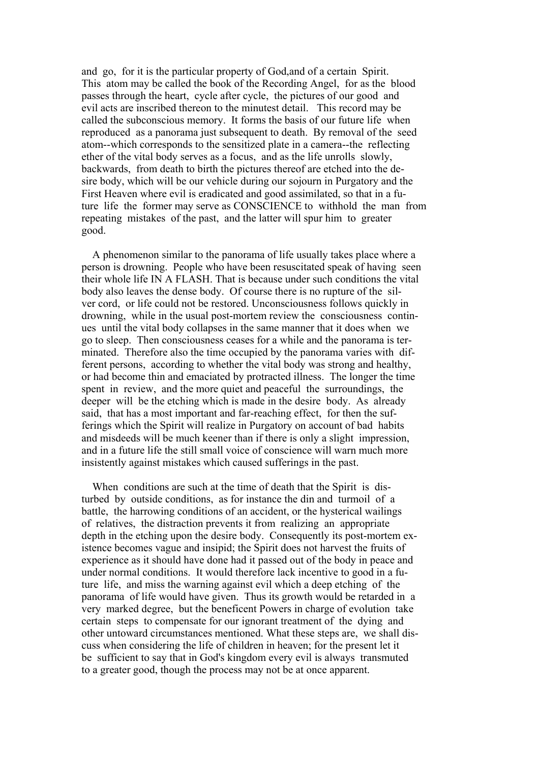and go, for it is the particular property of God,and of a certain Spirit. This atom may be called the book of the Recording Angel, for as the blood passes through the heart, cycle after cycle, the pictures of our good and evil acts are inscribed thereon to the minutest detail. This record may be called the subconscious memory. It forms the basis of our future life when reproduced as a panorama just subsequent to death. By removal of the seed atom--which corresponds to the sensitized plate in a camera--the reflecting ether of the vital body serves as a focus, and as the life unrolls slowly, backwards, from death to birth the pictures thereof are etched into the desire body, which will be our vehicle during our sojourn in Purgatory and the First Heaven where evil is eradicated and good assimilated, so that in a future life the former may serve as CONSCIENCE to withhold the man from repeating mistakes of the past, and the latter will spur him to greater good.

 A phenomenon similar to the panorama of life usually takes place where a person is drowning. People who have been resuscitated speak of having seen their whole life IN A FLASH. That is because under such conditions the vital body also leaves the dense body. Of course there is no rupture of the silver cord, or life could not be restored. Unconsciousness follows quickly in drowning, while in the usual post-mortem review the consciousness continues until the vital body collapses in the same manner that it does when we go to sleep. Then consciousness ceases for a while and the panorama is terminated. Therefore also the time occupied by the panorama varies with different persons, according to whether the vital body was strong and healthy, or had become thin and emaciated by protracted illness. The longer the time spent in review, and the more quiet and peaceful the surroundings, the deeper will be the etching which is made in the desire body. As already said, that has a most important and far-reaching effect, for then the sufferings which the Spirit will realize in Purgatory on account of bad habits and misdeeds will be much keener than if there is only a slight impression, and in a future life the still small voice of conscience will warn much more insistently against mistakes which caused sufferings in the past.

When conditions are such at the time of death that the Spirit is disturbed by outside conditions, as for instance the din and turmoil of a battle, the harrowing conditions of an accident, or the hysterical wailings of relatives, the distraction prevents it from realizing an appropriate depth in the etching upon the desire body. Consequently its post-mortem existence becomes vague and insipid; the Spirit does not harvest the fruits of experience as it should have done had it passed out of the body in peace and under normal conditions. It would therefore lack incentive to good in a future life, and miss the warning against evil which a deep etching of the panorama of life would have given. Thus its growth would be retarded in a very marked degree, but the beneficent Powers in charge of evolution take certain steps to compensate for our ignorant treatment of the dying and other untoward circumstances mentioned. What these steps are, we shall discuss when considering the life of children in heaven; for the present let it be sufficient to say that in God's kingdom every evil is always transmuted to a greater good, though the process may not be at once apparent.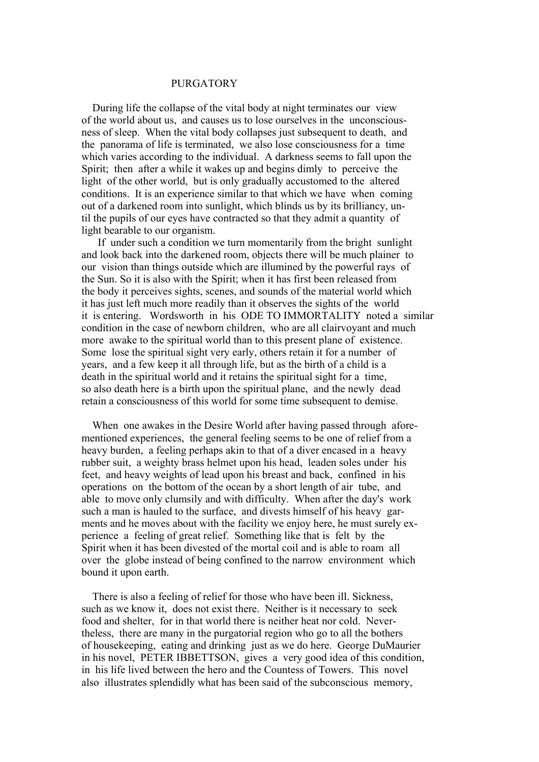## PURGATORY

 During life the collapse of the vital body at night terminates our view of the world about us, and causes us to lose ourselves in the unconsciousness of sleep. When the vital body collapses just subsequent to death, and the panorama of life is terminated, we also lose consciousness for a time which varies according to the individual. A darkness seems to fall upon the Spirit; then after a while it wakes up and begins dimly to perceive the light of the other world, but is only gradually accustomed to the altered conditions. It is an experience similar to that which we have when coming out of a darkened room into sunlight, which blinds us by its brilliancy, until the pupils of our eyes have contracted so that they admit a quantity of light bearable to our organism.

 If under such a condition we turn momentarily from the bright sunlight and look back into the darkened room, objects there will be much plainer to our vision than things outside which are illumined by the powerful rays of the Sun. So it is also with the Spirit; when it has first been released from the body it perceives sights, scenes, and sounds of the material world which it has just left much more readily than it observes the sights of the world it is entering. Wordsworth in his ODE TO IMMORTALITY noted a similar condition in the case of newborn children, who are all clairvoyant and much more awake to the spiritual world than to this present plane of existence. Some lose the spiritual sight very early, others retain it for a number of years, and a few keep it all through life, but as the birth of a child is a death in the spiritual world and it retains the spiritual sight for a time, so also death here is a birth upon the spiritual plane, and the newly dead retain a consciousness of this world for some time subsequent to demise.

 When one awakes in the Desire World after having passed through aforementioned experiences, the general feeling seems to be one of relief from a heavy burden, a feeling perhaps akin to that of a diver encased in a heavy rubber suit, a weighty brass helmet upon his head, leaden soles under his feet, and heavy weights of lead upon his breast and back, confined in his operations on the bottom of the ocean by a short length of air tube, and able to move only clumsily and with difficulty. When after the day's work such a man is hauled to the surface, and divests himself of his heavy garments and he moves about with the facility we enjoy here, he must surely experience a feeling of great relief. Something like that is felt by the Spirit when it has been divested of the mortal coil and is able to roam all over the globe instead of being confined to the narrow environment which bound it upon earth.

 There is also a feeling of relief for those who have been ill. Sickness, such as we know it, does not exist there. Neither is it necessary to seek food and shelter, for in that world there is neither heat nor cold. Nevertheless, there are many in the purgatorial region who go to all the bothers of housekeeping, eating and drinking just as we do here. George DuMaurier in his novel, PETER IBBETTSON, gives a very good idea of this condition, in his life lived between the hero and the Countess of Towers. This novel also illustrates splendidly what has been said of the subconscious memory,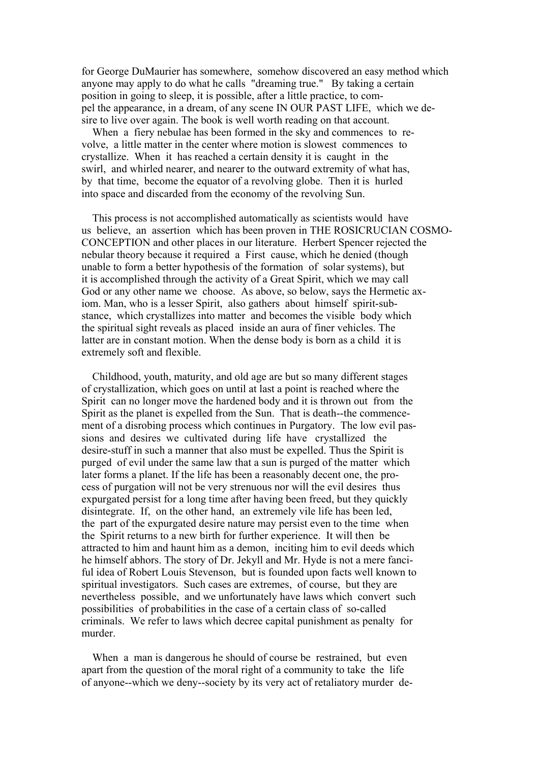for George DuMaurier has somewhere, somehow discovered an easy method which anyone may apply to do what he calls "dreaming true." By taking a certain position in going to sleep, it is possible, after a little practice, to compel the appearance, in a dream, of any scene IN OUR PAST LIFE, which we desire to live over again. The book is well worth reading on that account.

 When a fiery nebulae has been formed in the sky and commences to revolve, a little matter in the center where motion is slowest commences to crystallize. When it has reached a certain density it is caught in the swirl, and whirled nearer, and nearer to the outward extremity of what has, by that time, become the equator of a revolving globe. Then it is hurled into space and discarded from the economy of the revolving Sun.

 This process is not accomplished automatically as scientists would have us believe, an assertion which has been proven in THE ROSICRUCIAN COSMO-CONCEPTION and other places in our literature. Herbert Spencer rejected the nebular theory because it required a First cause, which he denied (though unable to form a better hypothesis of the formation of solar systems), but it is accomplished through the activity of a Great Spirit, which we may call God or any other name we choose. As above, so below, says the Hermetic axiom. Man, who is a lesser Spirit, also gathers about himself spirit-substance, which crystallizes into matter and becomes the visible body which the spiritual sight reveals as placed inside an aura of finer vehicles. The latter are in constant motion. When the dense body is born as a child it is extremely soft and flexible.

 Childhood, youth, maturity, and old age are but so many different stages of crystallization, which goes on until at last a point is reached where the Spirit can no longer move the hardened body and it is thrown out from the Spirit as the planet is expelled from the Sun. That is death--the commencement of a disrobing process which continues in Purgatory. The low evil passions and desires we cultivated during life have crystallized the desire-stuff in such a manner that also must be expelled. Thus the Spirit is purged of evil under the same law that a sun is purged of the matter which later forms a planet. If the life has been a reasonably decent one, the process of purgation will not be very strenuous nor will the evil desires thus expurgated persist for a long time after having been freed, but they quickly disintegrate. If, on the other hand, an extremely vile life has been led, the part of the expurgated desire nature may persist even to the time when the Spirit returns to a new birth for further experience. It will then be attracted to him and haunt him as a demon, inciting him to evil deeds which he himself abhors. The story of Dr. Jekyll and Mr. Hyde is not a mere fanciful idea of Robert Louis Stevenson, but is founded upon facts well known to spiritual investigators. Such cases are extremes, of course, but they are nevertheless possible, and we unfortunately have laws which convert such possibilities of probabilities in the case of a certain class of so-called criminals. We refer to laws which decree capital punishment as penalty for murder.

 When a man is dangerous he should of course be restrained, but even apart from the question of the moral right of a community to take the life of anyone--which we deny--society by its very act of retaliatory murder de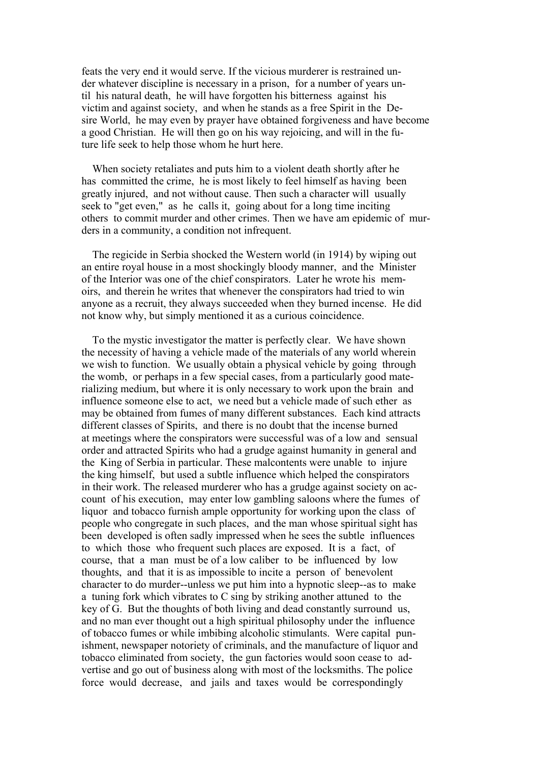feats the very end it would serve. If the vicious murderer is restrained under whatever discipline is necessary in a prison, for a number of years until his natural death, he will have forgotten his bitterness against his victim and against society, and when he stands as a free Spirit in the Desire World, he may even by prayer have obtained forgiveness and have become a good Christian. He will then go on his way rejoicing, and will in the future life seek to help those whom he hurt here.

 When society retaliates and puts him to a violent death shortly after he has committed the crime, he is most likely to feel himself as having been greatly injured, and not without cause. Then such a character will usually seek to "get even," as he calls it, going about for a long time inciting others to commit murder and other crimes. Then we have am epidemic of murders in a community, a condition not infrequent.

 The regicide in Serbia shocked the Western world (in 1914) by wiping out an entire royal house in a most shockingly bloody manner, and the Minister of the Interior was one of the chief conspirators. Later he wrote his memoirs, and therein he writes that whenever the conspirators had tried to win anyone as a recruit, they always succeeded when they burned incense. He did not know why, but simply mentioned it as a curious coincidence.

 To the mystic investigator the matter is perfectly clear. We have shown the necessity of having a vehicle made of the materials of any world wherein we wish to function. We usually obtain a physical vehicle by going through the womb, or perhaps in a few special cases, from a particularly good materializing medium, but where it is only necessary to work upon the brain and influence someone else to act, we need but a vehicle made of such ether as may be obtained from fumes of many different substances. Each kind attracts different classes of Spirits, and there is no doubt that the incense burned at meetings where the conspirators were successful was of a low and sensual order and attracted Spirits who had a grudge against humanity in general and the King of Serbia in particular. These malcontents were unable to injure the king himself, but used a subtle influence which helped the conspirators in their work. The released murderer who has a grudge against society on account of his execution, may enter low gambling saloons where the fumes of liquor and tobacco furnish ample opportunity for working upon the class of people who congregate in such places, and the man whose spiritual sight has been developed is often sadly impressed when he sees the subtle influences to which those who frequent such places are exposed. It is a fact, of course, that a man must be of a low caliber to be influenced by low thoughts, and that it is as impossible to incite a person of benevolent character to do murder--unless we put him into a hypnotic sleep--as to make a tuning fork which vibrates to C sing by striking another attuned to the key of G. But the thoughts of both living and dead constantly surround us, and no man ever thought out a high spiritual philosophy under the influence of tobacco fumes or while imbibing alcoholic stimulants. Were capital punishment, newspaper notoriety of criminals, and the manufacture of liquor and tobacco eliminated from society, the gun factories would soon cease to advertise and go out of business along with most of the locksmiths. The police force would decrease, and jails and taxes would be correspondingly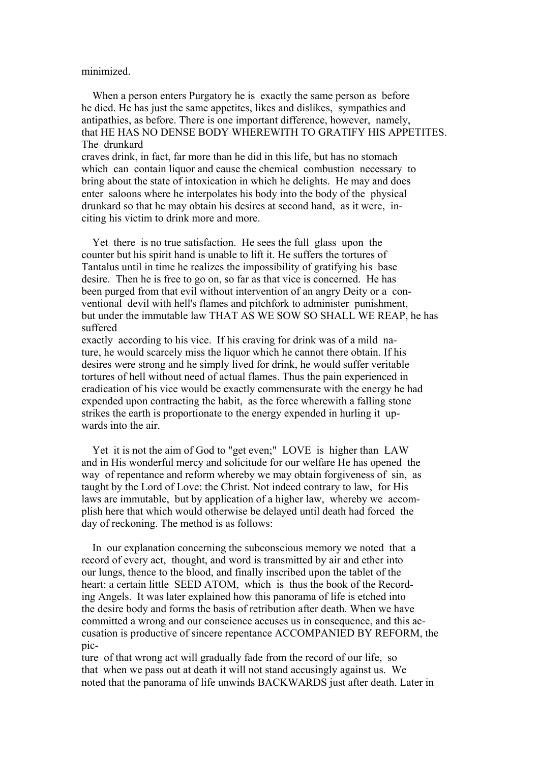#### minimized.

When a person enters Purgatory he is exactly the same person as before he died. He has just the same appetites, likes and dislikes, sympathies and antipathies, as before. There is one important difference, however, namely, that HE HAS NO DENSE BODY WHEREWITH TO GRATIFY HIS APPETITES. The drunkard

craves drink, in fact, far more than he did in this life, but has no stomach which can contain liquor and cause the chemical combustion necessary to bring about the state of intoxication in which he delights. He may and does enter saloons where he interpolates his body into the body of the physical drunkard so that he may obtain his desires at second hand, as it were, inciting his victim to drink more and more.

 Yet there is no true satisfaction. He sees the full glass upon the counter but his spirit hand is unable to lift it. He suffers the tortures of Tantalus until in time he realizes the impossibility of gratifying his base desire. Then he is free to go on, so far as that vice is concerned. He has been purged from that evil without intervention of an angry Deity or a conventional devil with hell's flames and pitchfork to administer punishment, but under the immutable law THAT AS WE SOW SO SHALL WE REAP, he has suffered

exactly according to his vice. If his craving for drink was of a mild nature, he would scarcely miss the liquor which he cannot there obtain. If his desires were strong and he simply lived for drink, he would suffer veritable tortures of hell without need of actual flames. Thus the pain experienced in eradication of his vice would be exactly commensurate with the energy he had expended upon contracting the habit, as the force wherewith a falling stone strikes the earth is proportionate to the energy expended in hurling it upwards into the air.

 Yet it is not the aim of God to "get even;" LOVE is higher than LAW and in His wonderful mercy and solicitude for our welfare He has opened the way of repentance and reform whereby we may obtain forgiveness of sin, as taught by the Lord of Love: the Christ. Not indeed contrary to law, for His laws are immutable, but by application of a higher law, whereby we accomplish here that which would otherwise be delayed until death had forced the day of reckoning. The method is as follows:

 In our explanation concerning the subconscious memory we noted that a record of every act, thought, and word is transmitted by air and ether into our lungs, thence to the blood, and finally inscribed upon the tablet of the heart: a certain little SEED ATOM, which is thus the book of the Recording Angels. It was later explained how this panorama of life is etched into the desire body and forms the basis of retribution after death. When we have committed a wrong and our conscience accuses us in consequence, and this accusation is productive of sincere repentance ACCOMPANIED BY REFORM, the pic-

ture of that wrong act will gradually fade from the record of our life, so that when we pass out at death it will not stand accusingly against us. We noted that the panorama of life unwinds BACKWARDS just after death. Later in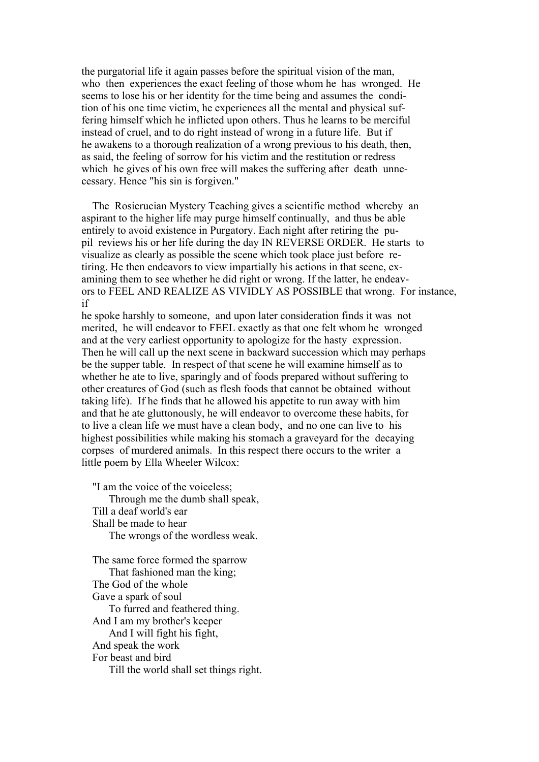the purgatorial life it again passes before the spiritual vision of the man, who then experiences the exact feeling of those whom he has wronged. He seems to lose his or her identity for the time being and assumes the condition of his one time victim, he experiences all the mental and physical suffering himself which he inflicted upon others. Thus he learns to be merciful instead of cruel, and to do right instead of wrong in a future life. But if he awakens to a thorough realization of a wrong previous to his death, then, as said, the feeling of sorrow for his victim and the restitution or redress which he gives of his own free will makes the suffering after death unnecessary. Hence "his sin is forgiven."

 The Rosicrucian Mystery Teaching gives a scientific method whereby an aspirant to the higher life may purge himself continually, and thus be able entirely to avoid existence in Purgatory. Each night after retiring the pupil reviews his or her life during the day IN REVERSE ORDER. He starts to visualize as clearly as possible the scene which took place just before retiring. He then endeavors to view impartially his actions in that scene, examining them to see whether he did right or wrong. If the latter, he endeavors to FEEL AND REALIZE AS VIVIDLY AS POSSIBLE that wrong. For instance, if

he spoke harshly to someone, and upon later consideration finds it was not merited, he will endeavor to FEEL exactly as that one felt whom he wronged and at the very earliest opportunity to apologize for the hasty expression. Then he will call up the next scene in backward succession which may perhaps be the supper table. In respect of that scene he will examine himself as to whether he ate to live, sparingly and of foods prepared without suffering to other creatures of God (such as flesh foods that cannot be obtained without taking life). If he finds that he allowed his appetite to run away with him and that he ate gluttonously, he will endeavor to overcome these habits, for to live a clean life we must have a clean body, and no one can live to his highest possibilities while making his stomach a graveyard for the decaying corpses of murdered animals. In this respect there occurs to the writer a little poem by Ella Wheeler Wilcox:

 "I am the voice of the voiceless; Through me the dumb shall speak, Till a deaf world's ear Shall be made to hear The wrongs of the wordless weak. The same force formed the sparrow That fashioned man the king; The God of the whole Gave a spark of soul To furred and feathered thing.

 And I am my brother's keeper And I will fight his fight, And speak the work For beast and bird Till the world shall set things right.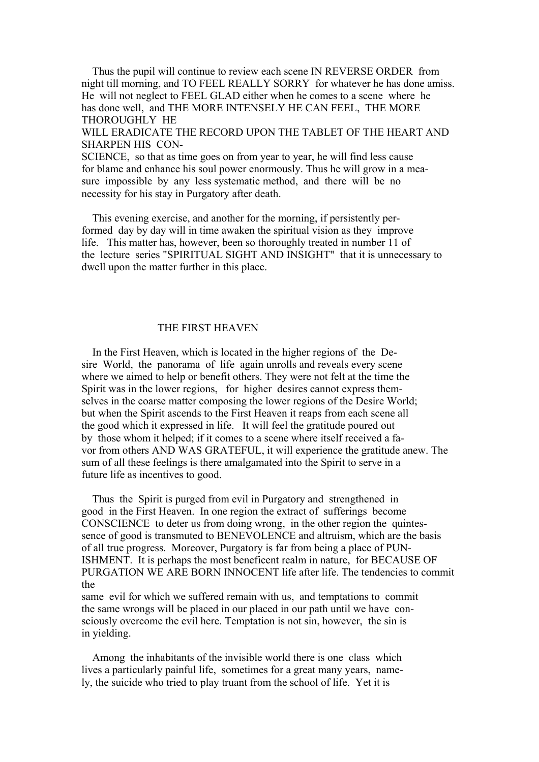Thus the pupil will continue to review each scene IN REVERSE ORDER from night till morning, and TO FEEL REALLY SORRY for whatever he has done amiss. He will not neglect to FEEL GLAD either when he comes to a scene where he has done well, and THE MORE INTENSELY HE CAN FEEL. THE MORE THOROUGHLY HE WILL ERADICATE THE RECORD UPON THE TABLET OF THE HEART AND

SHARPEN HIS CON-

SCIENCE, so that as time goes on from year to year, he will find less cause for blame and enhance his soul power enormously. Thus he will grow in a measure impossible by any less systematic method, and there will be no necessity for his stay in Purgatory after death.

 This evening exercise, and another for the morning, if persistently performed day by day will in time awaken the spiritual vision as they improve life. This matter has, however, been so thoroughly treated in number 11 of the lecture series "SPIRITUAL SIGHT AND INSIGHT" that it is unnecessary to dwell upon the matter further in this place.

## THE FIRST HEAVEN

 In the First Heaven, which is located in the higher regions of the Desire World, the panorama of life again unrolls and reveals every scene where we aimed to help or benefit others. They were not felt at the time the Spirit was in the lower regions, for higher desires cannot express themselves in the coarse matter composing the lower regions of the Desire World; but when the Spirit ascends to the First Heaven it reaps from each scene all the good which it expressed in life. It will feel the gratitude poured out by those whom it helped; if it comes to a scene where itself received a favor from others AND WAS GRATEFUL, it will experience the gratitude anew. The sum of all these feelings is there amalgamated into the Spirit to serve in a future life as incentives to good.

 Thus the Spirit is purged from evil in Purgatory and strengthened in good in the First Heaven. In one region the extract of sufferings become CONSCIENCE to deter us from doing wrong, in the other region the quintessence of good is transmuted to BENEVOLENCE and altruism, which are the basis of all true progress. Moreover, Purgatory is far from being a place of PUN-ISHMENT. It is perhaps the most beneficent realm in nature, for BECAUSE OF PURGATION WE ARE BORN INNOCENT life after life. The tendencies to commit the

same evil for which we suffered remain with us, and temptations to commit the same wrongs will be placed in our placed in our path until we have consciously overcome the evil here. Temptation is not sin, however, the sin is in yielding.

 Among the inhabitants of the invisible world there is one class which lives a particularly painful life, sometimes for a great many years, namely, the suicide who tried to play truant from the school of life. Yet it is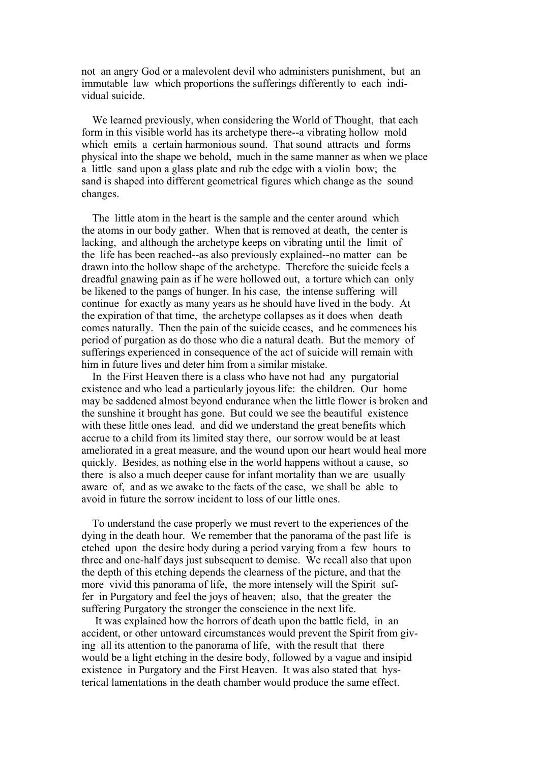not an angry God or a malevolent devil who administers punishment, but an immutable law which proportions the sufferings differently to each individual suicide.

 We learned previously, when considering the World of Thought, that each form in this visible world has its archetype there--a vibrating hollow mold which emits a certain harmonious sound. That sound attracts and forms physical into the shape we behold, much in the same manner as when we place a little sand upon a glass plate and rub the edge with a violin bow; the sand is shaped into different geometrical figures which change as the sound changes.

 The little atom in the heart is the sample and the center around which the atoms in our body gather. When that is removed at death, the center is lacking, and although the archetype keeps on vibrating until the limit of the life has been reached--as also previously explained--no matter can be drawn into the hollow shape of the archetype. Therefore the suicide feels a dreadful gnawing pain as if he were hollowed out, a torture which can only be likened to the pangs of hunger. In his case, the intense suffering will continue for exactly as many years as he should have lived in the body. At the expiration of that time, the archetype collapses as it does when death comes naturally. Then the pain of the suicide ceases, and he commences his period of purgation as do those who die a natural death. But the memory of sufferings experienced in consequence of the act of suicide will remain with him in future lives and deter him from a similar mistake.

 In the First Heaven there is a class who have not had any purgatorial existence and who lead a particularly joyous life: the children. Our home may be saddened almost beyond endurance when the little flower is broken and the sunshine it brought has gone. But could we see the beautiful existence with these little ones lead, and did we understand the great benefits which accrue to a child from its limited stay there, our sorrow would be at least ameliorated in a great measure, and the wound upon our heart would heal more quickly. Besides, as nothing else in the world happens without a cause, so there is also a much deeper cause for infant mortality than we are usually aware of, and as we awake to the facts of the case, we shall be able to avoid in future the sorrow incident to loss of our little ones.

 To understand the case properly we must revert to the experiences of the dying in the death hour. We remember that the panorama of the past life is etched upon the desire body during a period varying from a few hours to three and one-half days just subsequent to demise. We recall also that upon the depth of this etching depends the clearness of the picture, and that the more vivid this panorama of life, the more intensely will the Spirit suffer in Purgatory and feel the joys of heaven; also, that the greater the suffering Purgatory the stronger the conscience in the next life.

 It was explained how the horrors of death upon the battle field, in an accident, or other untoward circumstances would prevent the Spirit from giving all its attention to the panorama of life, with the result that there would be a light etching in the desire body, followed by a vague and insipid existence in Purgatory and the First Heaven. It was also stated that hysterical lamentations in the death chamber would produce the same effect.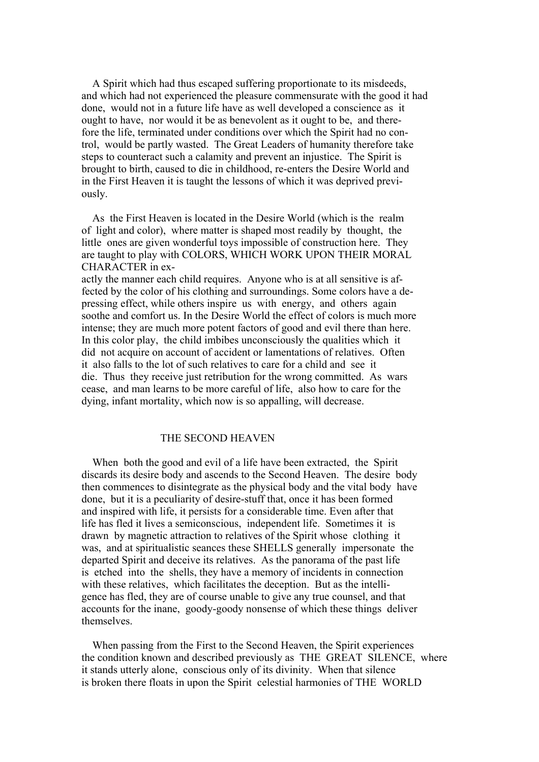A Spirit which had thus escaped suffering proportionate to its misdeeds, and which had not experienced the pleasure commensurate with the good it had done, would not in a future life have as well developed a conscience as it ought to have, nor would it be as benevolent as it ought to be, and therefore the life, terminated under conditions over which the Spirit had no control, would be partly wasted. The Great Leaders of humanity therefore take steps to counteract such a calamity and prevent an injustice. The Spirit is brought to birth, caused to die in childhood, re-enters the Desire World and in the First Heaven it is taught the lessons of which it was deprived previously.

 As the First Heaven is located in the Desire World (which is the realm of light and color), where matter is shaped most readily by thought, the little ones are given wonderful toys impossible of construction here. They are taught to play with COLORS, WHICH WORK UPON THEIR MORAL CHARACTER in ex-

actly the manner each child requires. Anyone who is at all sensitive is affected by the color of his clothing and surroundings. Some colors have a depressing effect, while others inspire us with energy, and others again soothe and comfort us. In the Desire World the effect of colors is much more intense; they are much more potent factors of good and evil there than here. In this color play, the child imbibes unconsciously the qualities which it did not acquire on account of accident or lamentations of relatives. Often it also falls to the lot of such relatives to care for a child and see it die. Thus they receive just retribution for the wrong committed. As wars cease, and man learns to be more careful of life, also how to care for the dying, infant mortality, which now is so appalling, will decrease.

### THE SECOND HEAVEN

 When both the good and evil of a life have been extracted, the Spirit discards its desire body and ascends to the Second Heaven. The desire body then commences to disintegrate as the physical body and the vital body have done, but it is a peculiarity of desire-stuff that, once it has been formed and inspired with life, it persists for a considerable time. Even after that life has fled it lives a semiconscious, independent life. Sometimes it is drawn by magnetic attraction to relatives of the Spirit whose clothing it was, and at spiritualistic seances these SHELLS generally impersonate the departed Spirit and deceive its relatives. As the panorama of the past life is etched into the shells, they have a memory of incidents in connection with these relatives, which facilitates the deception. But as the intelligence has fled, they are of course unable to give any true counsel, and that accounts for the inane, goody-goody nonsense of which these things deliver themselves.

 When passing from the First to the Second Heaven, the Spirit experiences the condition known and described previously as THE GREAT SILENCE, where it stands utterly alone, conscious only of its divinity. When that silence is broken there floats in upon the Spirit celestial harmonies of THE WORLD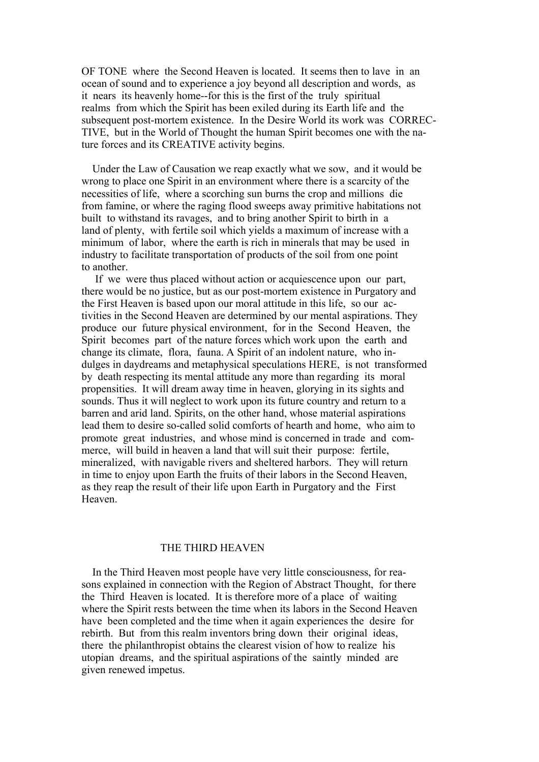OF TONE where the Second Heaven is located. It seems then to lave in an ocean of sound and to experience a joy beyond all description and words, as it nears its heavenly home--for this is the first of the truly spiritual realms from which the Spirit has been exiled during its Earth life and the subsequent post-mortem existence. In the Desire World its work was CORREC-TIVE, but in the World of Thought the human Spirit becomes one with the nature forces and its CREATIVE activity begins.

 Under the Law of Causation we reap exactly what we sow, and it would be wrong to place one Spirit in an environment where there is a scarcity of the necessities of life, where a scorching sun burns the crop and millions die from famine, or where the raging flood sweeps away primitive habitations not built to withstand its ravages, and to bring another Spirit to birth in a land of plenty, with fertile soil which yields a maximum of increase with a minimum of labor, where the earth is rich in minerals that may be used in industry to facilitate transportation of products of the soil from one point to another.

 If we were thus placed without action or acquiescence upon our part, there would be no justice, but as our post-mortem existence in Purgatory and the First Heaven is based upon our moral attitude in this life, so our activities in the Second Heaven are determined by our mental aspirations. They produce our future physical environment, for in the Second Heaven, the Spirit becomes part of the nature forces which work upon the earth and change its climate, flora, fauna. A Spirit of an indolent nature, who indulges in daydreams and metaphysical speculations HERE, is not transformed by death respecting its mental attitude any more than regarding its moral propensities. It will dream away time in heaven, glorying in its sights and sounds. Thus it will neglect to work upon its future country and return to a barren and arid land. Spirits, on the other hand, whose material aspirations lead them to desire so-called solid comforts of hearth and home, who aim to promote great industries, and whose mind is concerned in trade and commerce, will build in heaven a land that will suit their purpose: fertile, mineralized, with navigable rivers and sheltered harbors. They will return in time to enjoy upon Earth the fruits of their labors in the Second Heaven, as they reap the result of their life upon Earth in Purgatory and the First Heaven.

#### THE THIRD HEAVEN

 In the Third Heaven most people have very little consciousness, for reasons explained in connection with the Region of Abstract Thought, for there the Third Heaven is located. It is therefore more of a place of waiting where the Spirit rests between the time when its labors in the Second Heaven have been completed and the time when it again experiences the desire for rebirth. But from this realm inventors bring down their original ideas, there the philanthropist obtains the clearest vision of how to realize his utopian dreams, and the spiritual aspirations of the saintly minded are given renewed impetus.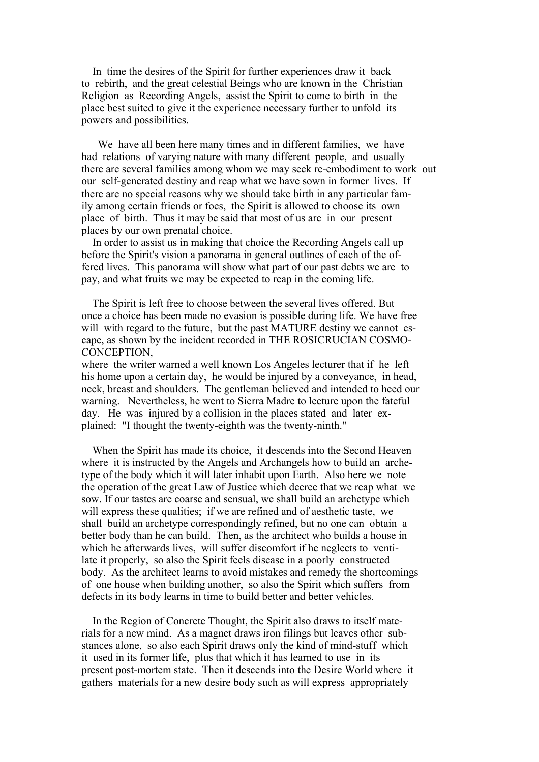In time the desires of the Spirit for further experiences draw it back to rebirth, and the great celestial Beings who are known in the Christian Religion as Recording Angels, assist the Spirit to come to birth in the place best suited to give it the experience necessary further to unfold its powers and possibilities.

 We have all been here many times and in different families, we have had relations of varying nature with many different people, and usually there are several families among whom we may seek re-embodiment to work out our self-generated destiny and reap what we have sown in former lives. If there are no special reasons why we should take birth in any particular family among certain friends or foes, the Spirit is allowed to choose its own place of birth. Thus it may be said that most of us are in our present places by our own prenatal choice.

 In order to assist us in making that choice the Recording Angels call up before the Spirit's vision a panorama in general outlines of each of the offered lives. This panorama will show what part of our past debts we are to pay, and what fruits we may be expected to reap in the coming life.

 The Spirit is left free to choose between the several lives offered. But once a choice has been made no evasion is possible during life. We have free will with regard to the future, but the past MATURE destiny we cannot escape, as shown by the incident recorded in THE ROSICRUCIAN COSMO-CONCEPTION,

where the writer warned a well known Los Angeles lecturer that if he left his home upon a certain day, he would be injured by a conveyance, in head, neck, breast and shoulders. The gentleman believed and intended to heed our warning. Nevertheless, he went to Sierra Madre to lecture upon the fateful day. He was injured by a collision in the places stated and later explained: "I thought the twenty-eighth was the twenty-ninth."

 When the Spirit has made its choice, it descends into the Second Heaven where it is instructed by the Angels and Archangels how to build an archetype of the body which it will later inhabit upon Earth. Also here we note the operation of the great Law of Justice which decree that we reap what we sow. If our tastes are coarse and sensual, we shall build an archetype which will express these qualities; if we are refined and of aesthetic taste, we shall build an archetype correspondingly refined, but no one can obtain a better body than he can build. Then, as the architect who builds a house in which he afterwards lives, will suffer discomfort if he neglects to ventilate it properly, so also the Spirit feels disease in a poorly constructed body. As the architect learns to avoid mistakes and remedy the shortcomings of one house when building another, so also the Spirit which suffers from defects in its body learns in time to build better and better vehicles.

 In the Region of Concrete Thought, the Spirit also draws to itself materials for a new mind. As a magnet draws iron filings but leaves other substances alone, so also each Spirit draws only the kind of mind-stuff which it used in its former life, plus that which it has learned to use in its present post-mortem state. Then it descends into the Desire World where it gathers materials for a new desire body such as will express appropriately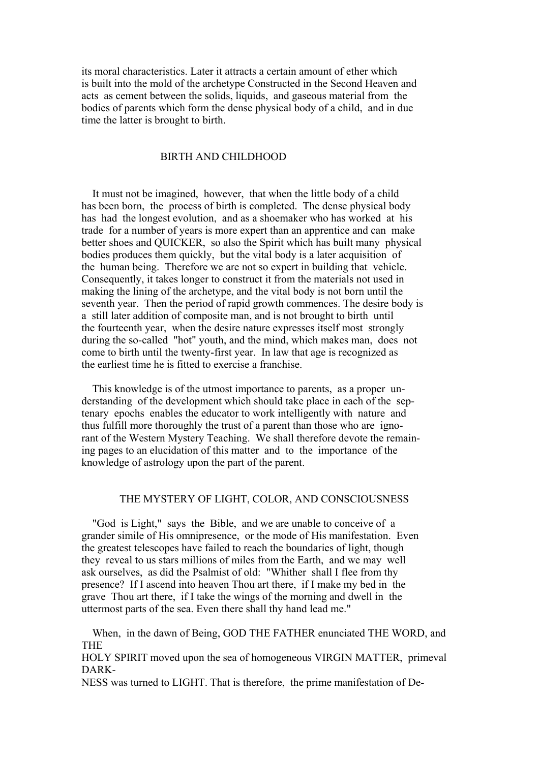its moral characteristics. Later it attracts a certain amount of ether which is built into the mold of the archetype Constructed in the Second Heaven and acts as cement between the solids, liquids, and gaseous material from the bodies of parents which form the dense physical body of a child, and in due time the latter is brought to birth.

# BIRTH AND CHILDHOOD

 It must not be imagined, however, that when the little body of a child has been born, the process of birth is completed. The dense physical body has had the longest evolution, and as a shoemaker who has worked at his trade for a number of years is more expert than an apprentice and can make better shoes and QUICKER, so also the Spirit which has built many physical bodies produces them quickly, but the vital body is a later acquisition of the human being. Therefore we are not so expert in building that vehicle. Consequently, it takes longer to construct it from the materials not used in making the lining of the archetype, and the vital body is not born until the seventh year. Then the period of rapid growth commences. The desire body is a still later addition of composite man, and is not brought to birth until the fourteenth year, when the desire nature expresses itself most strongly during the so-called "hot" youth, and the mind, which makes man, does not come to birth until the twenty-first year. In law that age is recognized as the earliest time he is fitted to exercise a franchise.

 This knowledge is of the utmost importance to parents, as a proper understanding of the development which should take place in each of the septenary epochs enables the educator to work intelligently with nature and thus fulfill more thoroughly the trust of a parent than those who are ignorant of the Western Mystery Teaching. We shall therefore devote the remaining pages to an elucidation of this matter and to the importance of the knowledge of astrology upon the part of the parent.

## THE MYSTERY OF LIGHT, COLOR, AND CONSCIOUSNESS

 "God is Light," says the Bible, and we are unable to conceive of a grander simile of His omnipresence, or the mode of His manifestation. Even the greatest telescopes have failed to reach the boundaries of light, though they reveal to us stars millions of miles from the Earth, and we may well ask ourselves, as did the Psalmist of old: "Whither shall I flee from thy presence? If I ascend into heaven Thou art there, if I make my bed in the grave Thou art there, if I take the wings of the morning and dwell in the uttermost parts of the sea. Even there shall thy hand lead me."

 When, in the dawn of Being, GOD THE FATHER enunciated THE WORD, and THE

HOLY SPIRIT moved upon the sea of homogeneous VIRGIN MATTER, primeval DARK-

NESS was turned to LIGHT. That is therefore, the prime manifestation of De-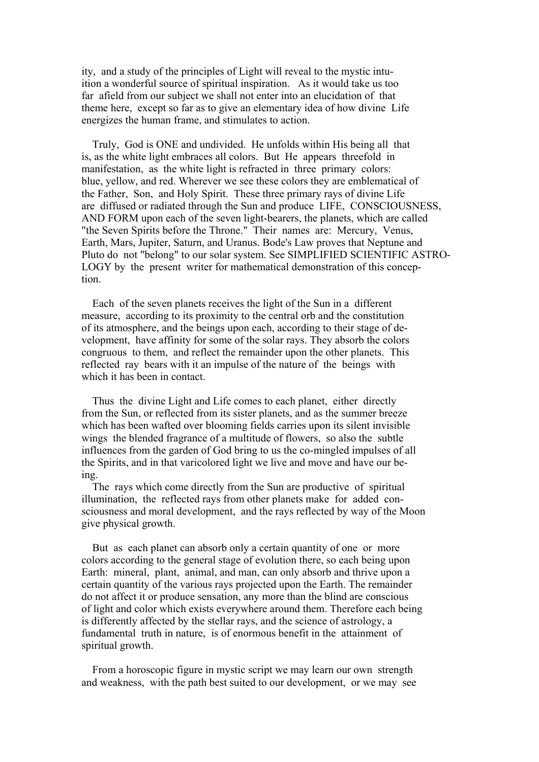ity, and a study of the principles of Light will reveal to the mystic intuition a wonderful source of spiritual inspiration. As it would take us too far afield from our subject we shall not enter into an elucidation of that theme here, except so far as to give an elementary idea of how divine Life energizes the human frame, and stimulates to action.

 Truly, God is ONE and undivided. He unfolds within His being all that is, as the white light embraces all colors. But He appears threefold in manifestation, as the white light is refracted in three primary colors: blue, yellow, and red. Wherever we see these colors they are emblematical of the Father, Son, and Holy Spirit. These three primary rays of divine Life are diffused or radiated through the Sun and produce LIFE, CONSCIOUSNESS, AND FORM upon each of the seven light-bearers, the planets, which are called "the Seven Spirits before the Throne." Their names are: Mercury, Venus, Earth, Mars, Jupiter, Saturn, and Uranus. Bode's Law proves that Neptune and Pluto do not "belong" to our solar system. See SIMPLIFIED SCIENTIFIC ASTRO-LOGY by the present writer for mathematical demonstration of this conception.

 Each of the seven planets receives the light of the Sun in a different measure, according to its proximity to the central orb and the constitution of its atmosphere, and the beings upon each, according to their stage of development, have affinity for some of the solar rays. They absorb the colors congruous to them, and reflect the remainder upon the other planets. This reflected ray bears with it an impulse of the nature of the beings with which it has been in contact.

 Thus the divine Light and Life comes to each planet, either directly from the Sun, or reflected from its sister planets, and as the summer breeze which has been wafted over blooming fields carries upon its silent invisible wings the blended fragrance of a multitude of flowers, so also the subtle influences from the garden of God bring to us the co-mingled impulses of all the Spirits, and in that varicolored light we live and move and have our being.

 The rays which come directly from the Sun are productive of spiritual illumination, the reflected rays from other planets make for added consciousness and moral development, and the rays reflected by way of the Moon give physical growth.

 But as each planet can absorb only a certain quantity of one or more colors according to the general stage of evolution there, so each being upon Earth: mineral, plant, animal, and man, can only absorb and thrive upon a certain quantity of the various rays projected upon the Earth. The remainder do not affect it or produce sensation, any more than the blind are conscious of light and color which exists everywhere around them. Therefore each being is differently affected by the stellar rays, and the science of astrology, a fundamental truth in nature, is of enormous benefit in the attainment of spiritual growth.

 From a horoscopic figure in mystic script we may learn our own strength and weakness, with the path best suited to our development, or we may see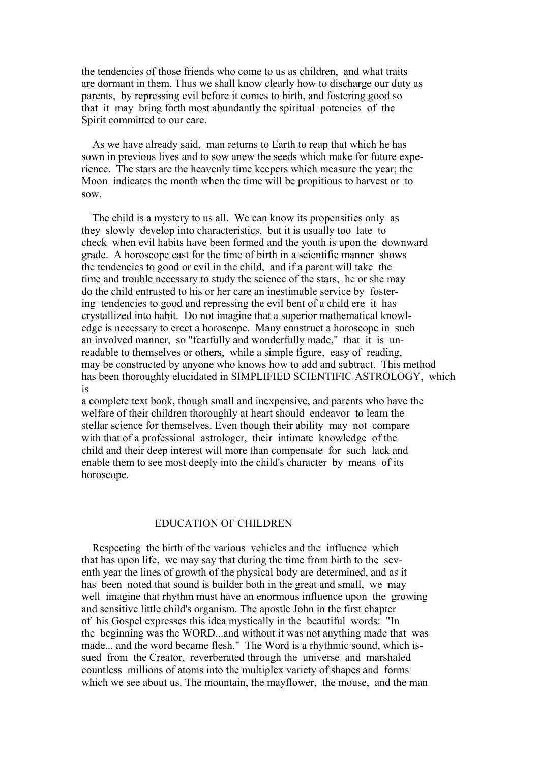the tendencies of those friends who come to us as children, and what traits are dormant in them. Thus we shall know clearly how to discharge our duty as parents, by repressing evil before it comes to birth, and fostering good so that it may bring forth most abundantly the spiritual potencies of the Spirit committed to our care.

 As we have already said, man returns to Earth to reap that which he has sown in previous lives and to sow anew the seeds which make for future experience. The stars are the heavenly time keepers which measure the year; the Moon indicates the month when the time will be propitious to harvest or to sow.

 The child is a mystery to us all. We can know its propensities only as they slowly develop into characteristics, but it is usually too late to check when evil habits have been formed and the youth is upon the downward grade. A horoscope cast for the time of birth in a scientific manner shows the tendencies to good or evil in the child, and if a parent will take the time and trouble necessary to study the science of the stars, he or she may do the child entrusted to his or her care an inestimable service by fostering tendencies to good and repressing the evil bent of a child ere it has crystallized into habit. Do not imagine that a superior mathematical knowledge is necessary to erect a horoscope. Many construct a horoscope in such an involved manner, so "fearfully and wonderfully made," that it is unreadable to themselves or others, while a simple figure, easy of reading, may be constructed by anyone who knows how to add and subtract. This method has been thoroughly elucidated in SIMPLIFIED SCIENTIFIC ASTROLOGY, which is

a complete text book, though small and inexpensive, and parents who have the welfare of their children thoroughly at heart should endeavor to learn the stellar science for themselves. Even though their ability may not compare with that of a professional astrologer, their intimate knowledge of the child and their deep interest will more than compensate for such lack and enable them to see most deeply into the child's character by means of its horoscope.

### EDUCATION OF CHILDREN

 Respecting the birth of the various vehicles and the influence which that has upon life, we may say that during the time from birth to the seventh year the lines of growth of the physical body are determined, and as it has been noted that sound is builder both in the great and small, we may well imagine that rhythm must have an enormous influence upon the growing and sensitive little child's organism. The apostle John in the first chapter of his Gospel expresses this idea mystically in the beautiful words: "In the beginning was the WORD...and without it was not anything made that was made... and the word became flesh." The Word is a rhythmic sound, which issued from the Creator, reverberated through the universe and marshaled countless millions of atoms into the multiplex variety of shapes and forms which we see about us. The mountain, the mayflower, the mouse, and the man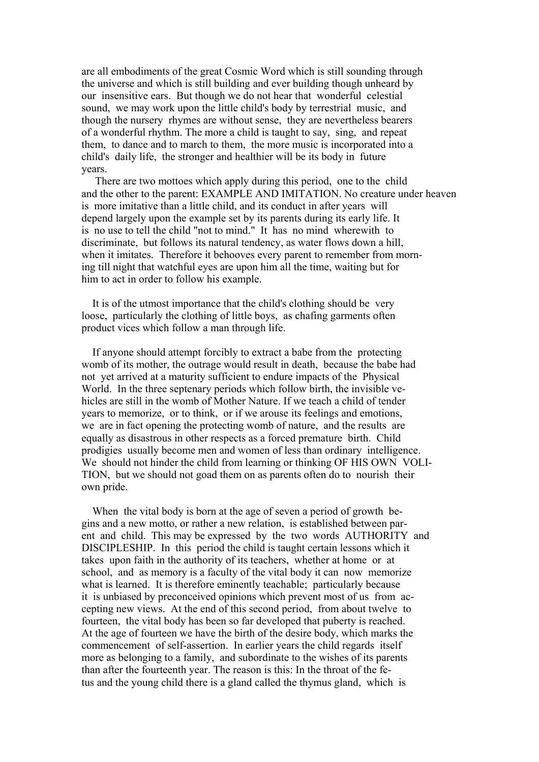are all embodiments of the great Cosmic Word which is still sounding through the universe and which is still building and ever building though unheard by our insensitive ears. But though we do not hear that wonderful celestial sound, we may work upon the little child's body by terrestrial music, and though the nursery rhymes are without sense, they are nevertheless bearers of a wonderful rhythm. The more a child is taught to say, sing, and repeat them, to dance and to march to them, the more music is incorporated into a child's daily life, the stronger and healthier will be its body in future years.

 There are two mottoes which apply during this period, one to the child and the other to the parent: EXAMPLE AND IMITATION. No creature under heaven is more imitative than a little child, and its conduct in after years will depend largely upon the example set by its parents during its early life. It is no use to tell the child "not to mind." It has no mind wherewith to discriminate, but follows its natural tendency, as water flows down a hill, when it imitates. Therefore it behooves every parent to remember from morning till night that watchful eyes are upon him all the time, waiting but for him to act in order to follow his example.

 It is of the utmost importance that the child's clothing should be very loose, particularly the clothing of little boys, as chafing garments often product vices which follow a man through life.

 If anyone should attempt forcibly to extract a babe from the protecting womb of its mother, the outrage would result in death, because the babe had not yet arrived at a maturity sufficient to endure impacts of the Physical World. In the three septenary periods which follow birth, the invisible vehicles are still in the womb of Mother Nature. If we teach a child of tender years to memorize, or to think, or if we arouse its feelings and emotions, we are in fact opening the protecting womb of nature, and the results are equally as disastrous in other respects as a forced premature birth. Child prodigies usually become men and women of less than ordinary intelligence. We should not hinder the child from learning or thinking OF HIS OWN VOLI-TION, but we should not goad them on as parents often do to nourish their own pride.

 When the vital body is born at the age of seven a period of growth begins and a new motto, or rather a new relation, is established between parent and child. This may be expressed by the two words AUTHORITY and DISCIPLESHIP. In this period the child is taught certain lessons which it takes upon faith in the authority of its teachers, whether at home or at school, and as memory is a faculty of the vital body it can now memorize what is learned. It is therefore eminently teachable; particularly because it is unbiased by preconceived opinions which prevent most of us from accepting new views. At the end of this second period, from about twelve to fourteen, the vital body has been so far developed that puberty is reached. At the age of fourteen we have the birth of the desire body, which marks the commencement of self-assertion. In earlier years the child regards itself more as belonging to a family, and subordinate to the wishes of its parents than after the fourteenth year. The reason is this: In the throat of the fetus and the young child there is a gland called the thymus gland, which is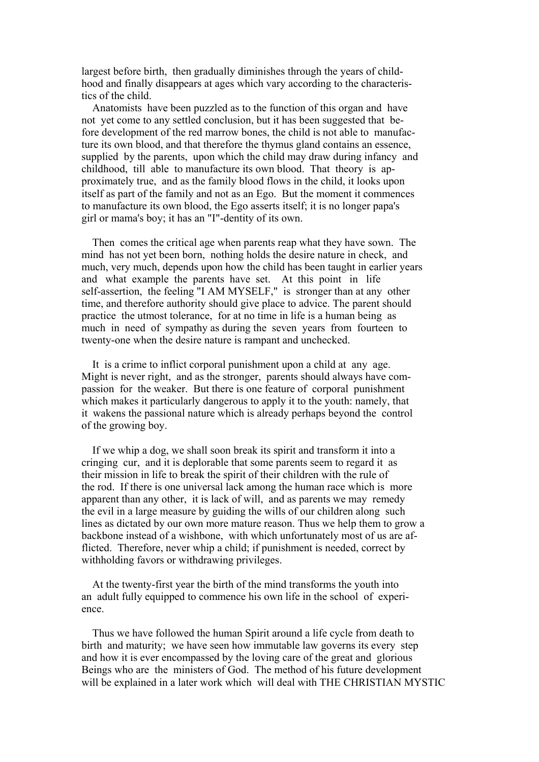largest before birth, then gradually diminishes through the years of childhood and finally disappears at ages which vary according to the characteristics of the child.

 Anatomists have been puzzled as to the function of this organ and have not yet come to any settled conclusion, but it has been suggested that before development of the red marrow bones, the child is not able to manufacture its own blood, and that therefore the thymus gland contains an essence, supplied by the parents, upon which the child may draw during infancy and childhood, till able to manufacture its own blood. That theory is approximately true, and as the family blood flows in the child, it looks upon itself as part of the family and not as an Ego. But the moment it commences to manufacture its own blood, the Ego asserts itself; it is no longer papa's girl or mama's boy; it has an "I"-dentity of its own.

 Then comes the critical age when parents reap what they have sown. The mind has not yet been born, nothing holds the desire nature in check, and much, very much, depends upon how the child has been taught in earlier years and what example the parents have set. At this point in life self-assertion, the feeling "I AM MYSELF," is stronger than at any other time, and therefore authority should give place to advice. The parent should practice the utmost tolerance, for at no time in life is a human being as much in need of sympathy as during the seven years from fourteen to twenty-one when the desire nature is rampant and unchecked.

 It is a crime to inflict corporal punishment upon a child at any age. Might is never right, and as the stronger, parents should always have compassion for the weaker. But there is one feature of corporal punishment which makes it particularly dangerous to apply it to the youth: namely, that it wakens the passional nature which is already perhaps beyond the control of the growing boy.

 If we whip a dog, we shall soon break its spirit and transform it into a cringing cur, and it is deplorable that some parents seem to regard it as their mission in life to break the spirit of their children with the rule of the rod. If there is one universal lack among the human race which is more apparent than any other, it is lack of will, and as parents we may remedy the evil in a large measure by guiding the wills of our children along such lines as dictated by our own more mature reason. Thus we help them to grow a backbone instead of a wishbone, with which unfortunately most of us are afflicted. Therefore, never whip a child; if punishment is needed, correct by withholding favors or withdrawing privileges.

 At the twenty-first year the birth of the mind transforms the youth into an adult fully equipped to commence his own life in the school of experience.

 Thus we have followed the human Spirit around a life cycle from death to birth and maturity; we have seen how immutable law governs its every step and how it is ever encompassed by the loving care of the great and glorious Beings who are the ministers of God. The method of his future development will be explained in a later work which will deal with THE CHRISTIAN MYSTIC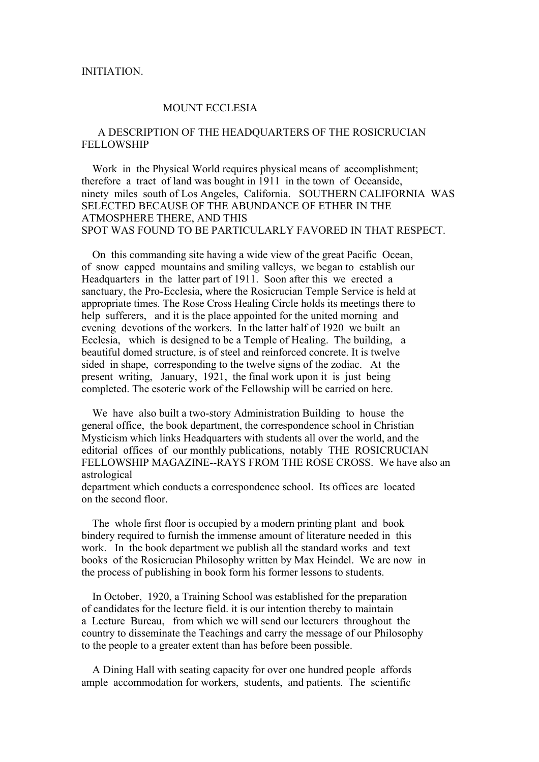#### INITIATION.

# MOUNT ECCLESIA

## A DESCRIPTION OF THE HEADQUARTERS OF THE ROSICRUCIAN FELLOWSHIP

 Work in the Physical World requires physical means of accomplishment; therefore a tract of land was bought in 1911 in the town of Oceanside, ninety miles south of Los Angeles, California. SOUTHERN CALIFORNIA WAS SELECTED BECAUSE OF THE ABUNDANCE OF ETHER IN THE ATMOSPHERE THERE, AND THIS SPOT WAS FOUND TO BE PARTICULARLY FAVORED IN THAT RESPECT.

 On this commanding site having a wide view of the great Pacific Ocean, of snow capped mountains and smiling valleys, we began to establish our Headquarters in the latter part of 1911. Soon after this we erected a sanctuary, the Pro-Ecclesia, where the Rosicrucian Temple Service is held at appropriate times. The Rose Cross Healing Circle holds its meetings there to help sufferers, and it is the place appointed for the united morning and evening devotions of the workers. In the latter half of 1920 we built an Ecclesia, which is designed to be a Temple of Healing. The building, a beautiful domed structure, is of steel and reinforced concrete. It is twelve sided in shape, corresponding to the twelve signs of the zodiac. At the present writing, January, 1921, the final work upon it is just being completed. The esoteric work of the Fellowship will be carried on here.

 We have also built a two-story Administration Building to house the general office, the book department, the correspondence school in Christian Mysticism which links Headquarters with students all over the world, and the editorial offices of our monthly publications, notably THE ROSICRUCIAN FELLOWSHIP MAGAZINE--RAYS FROM THE ROSE CROSS. We have also an astrological

department which conducts a correspondence school. Its offices are located on the second floor.

 The whole first floor is occupied by a modern printing plant and book bindery required to furnish the immense amount of literature needed in this work. In the book department we publish all the standard works and text books of the Rosicrucian Philosophy written by Max Heindel. We are now in the process of publishing in book form his former lessons to students.

 In October, 1920, a Training School was established for the preparation of candidates for the lecture field. it is our intention thereby to maintain a Lecture Bureau, from which we will send our lecturers throughout the country to disseminate the Teachings and carry the message of our Philosophy to the people to a greater extent than has before been possible.

 A Dining Hall with seating capacity for over one hundred people affords ample accommodation for workers, students, and patients. The scientific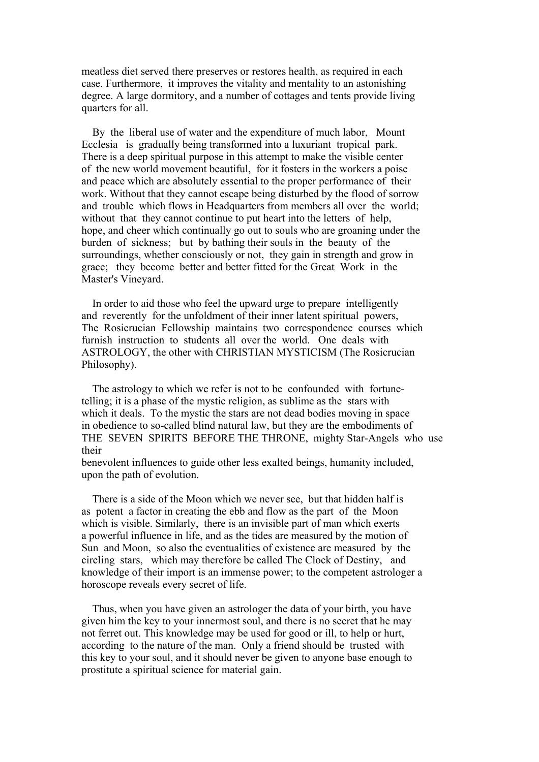meatless diet served there preserves or restores health, as required in each case. Furthermore, it improves the vitality and mentality to an astonishing degree. A large dormitory, and a number of cottages and tents provide living quarters for all.

 By the liberal use of water and the expenditure of much labor, Mount Ecclesia is gradually being transformed into a luxuriant tropical park. There is a deep spiritual purpose in this attempt to make the visible center of the new world movement beautiful, for it fosters in the workers a poise and peace which are absolutely essential to the proper performance of their work. Without that they cannot escape being disturbed by the flood of sorrow and trouble which flows in Headquarters from members all over the world; without that they cannot continue to put heart into the letters of help. hope, and cheer which continually go out to souls who are groaning under the burden of sickness; but by bathing their souls in the beauty of the surroundings, whether consciously or not, they gain in strength and grow in grace; they become better and better fitted for the Great Work in the Master's Vineyard.

 In order to aid those who feel the upward urge to prepare intelligently and reverently for the unfoldment of their inner latent spiritual powers, The Rosicrucian Fellowship maintains two correspondence courses which furnish instruction to students all over the world. One deals with ASTROLOGY, the other with CHRISTIAN MYSTICISM (The Rosicrucian Philosophy).

 The astrology to which we refer is not to be confounded with fortunetelling; it is a phase of the mystic religion, as sublime as the stars with which it deals. To the mystic the stars are not dead bodies moving in space in obedience to so-called blind natural law, but they are the embodiments of THE SEVEN SPIRITS BEFORE THE THRONE, mighty Star-Angels who use their

benevolent influences to guide other less exalted beings, humanity included, upon the path of evolution.

 There is a side of the Moon which we never see, but that hidden half is as potent a factor in creating the ebb and flow as the part of the Moon which is visible. Similarly, there is an invisible part of man which exerts a powerful influence in life, and as the tides are measured by the motion of Sun and Moon, so also the eventualities of existence are measured by the circling stars, which may therefore be called The Clock of Destiny, and knowledge of their import is an immense power; to the competent astrologer a horoscope reveals every secret of life.

 Thus, when you have given an astrologer the data of your birth, you have given him the key to your innermost soul, and there is no secret that he may not ferret out. This knowledge may be used for good or ill, to help or hurt, according to the nature of the man. Only a friend should be trusted with this key to your soul, and it should never be given to anyone base enough to prostitute a spiritual science for material gain.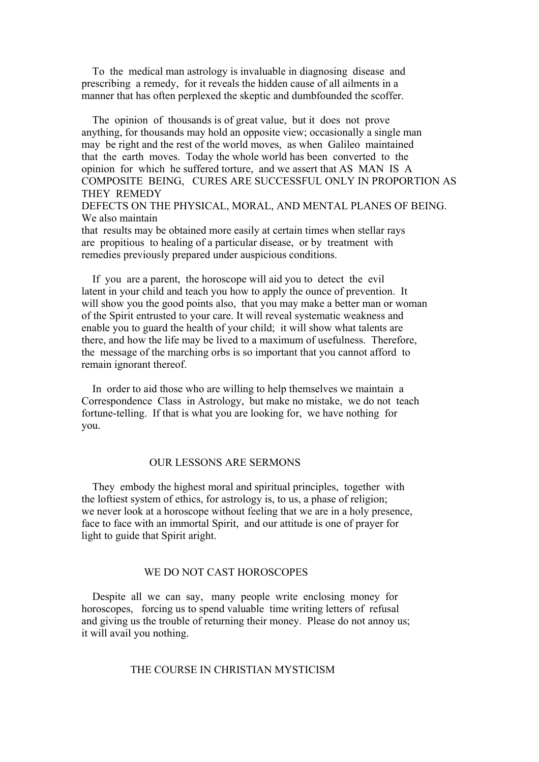To the medical man astrology is invaluable in diagnosing disease and prescribing a remedy, for it reveals the hidden cause of all ailments in a manner that has often perplexed the skeptic and dumbfounded the scoffer.

 The opinion of thousands is of great value, but it does not prove anything, for thousands may hold an opposite view; occasionally a single man may be right and the rest of the world moves, as when Galileo maintained that the earth moves. Today the whole world has been converted to the opinion for which he suffered torture, and we assert that AS MAN IS A COMPOSITE BEING, CURES ARE SUCCESSFUL ONLY IN PROPORTION AS THEY REMEDY DEFECTS ON THE PHYSICAL, MORAL, AND MENTAL PLANES OF BEING.

We also maintain

that results may be obtained more easily at certain times when stellar rays are propitious to healing of a particular disease, or by treatment with remedies previously prepared under auspicious conditions.

 If you are a parent, the horoscope will aid you to detect the evil latent in your child and teach you how to apply the ounce of prevention. It will show you the good points also, that you may make a better man or woman of the Spirit entrusted to your care. It will reveal systematic weakness and enable you to guard the health of your child; it will show what talents are there, and how the life may be lived to a maximum of usefulness. Therefore, the message of the marching orbs is so important that you cannot afford to remain ignorant thereof.

 In order to aid those who are willing to help themselves we maintain a Correspondence Class in Astrology, but make no mistake, we do not teach fortune-telling. If that is what you are looking for, we have nothing for you.

## OUR LESSONS ARE SERMONS

 They embody the highest moral and spiritual principles, together with the loftiest system of ethics, for astrology is, to us, a phase of religion; we never look at a horoscope without feeling that we are in a holy presence, face to face with an immortal Spirit, and our attitude is one of prayer for light to guide that Spirit aright.

### WE DO NOT CAST HOROSCOPES

 Despite all we can say, many people write enclosing money for horoscopes, forcing us to spend valuable time writing letters of refusal and giving us the trouble of returning their money. Please do not annoy us; it will avail you nothing.

#### THE COURSE IN CHRISTIAN MYSTICISM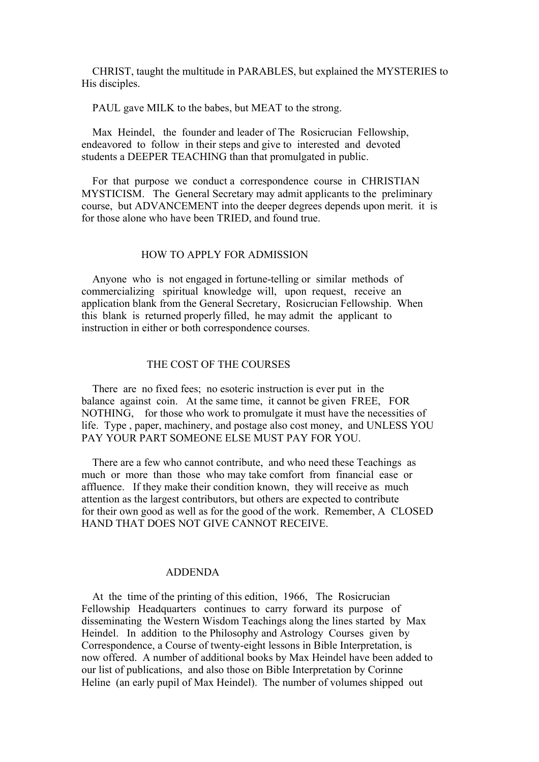CHRIST, taught the multitude in PARABLES, but explained the MYSTERIES to His disciples.

PAUL gave MILK to the babes, but MEAT to the strong.

 Max Heindel, the founder and leader of The Rosicrucian Fellowship, endeavored to follow in their steps and give to interested and devoted students a DEEPER TEACHING than that promulgated in public.

 For that purpose we conduct a correspondence course in CHRISTIAN MYSTICISM. The General Secretary may admit applicants to the preliminary course, but ADVANCEMENT into the deeper degrees depends upon merit. it is for those alone who have been TRIED, and found true.

#### HOW TO APPLY FOR ADMISSION

 Anyone who is not engaged in fortune-telling or similar methods of commercializing spiritual knowledge will, upon request, receive an application blank from the General Secretary, Rosicrucian Fellowship. When this blank is returned properly filled, he may admit the applicant to instruction in either or both correspondence courses.

### THE COST OF THE COURSES

 There are no fixed fees; no esoteric instruction is ever put in the balance against coin. At the same time, it cannot be given FREE, FOR NOTHING, for those who work to promulgate it must have the necessities of life. Type , paper, machinery, and postage also cost money, and UNLESS YOU PAY YOUR PART SOMEONE ELSE MUST PAY FOR YOU.

 There are a few who cannot contribute, and who need these Teachings as much or more than those who may take comfort from financial ease or affluence. If they make their condition known, they will receive as much attention as the largest contributors, but others are expected to contribute for their own good as well as for the good of the work. Remember, A CLOSED HAND THAT DOES NOT GIVE CANNOT RECEIVE.

#### ADDENDA

 At the time of the printing of this edition, 1966, The Rosicrucian Fellowship Headquarters continues to carry forward its purpose of disseminating the Western Wisdom Teachings along the lines started by Max Heindel. In addition to the Philosophy and Astrology Courses given by Correspondence, a Course of twenty-eight lessons in Bible Interpretation, is now offered. A number of additional books by Max Heindel have been added to our list of publications, and also those on Bible Interpretation by Corinne Heline (an early pupil of Max Heindel). The number of volumes shipped out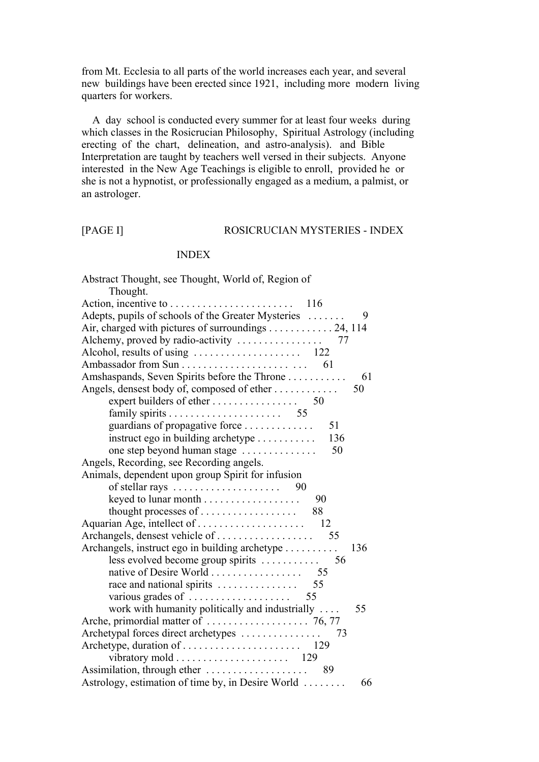from Mt. Ecclesia to all parts of the world increases each year, and several new buildings have been erected since 1921, including more modern living quarters for workers.

 A day school is conducted every summer for at least four weeks during which classes in the Rosicrucian Philosophy, Spiritual Astrology (including erecting of the chart, delineation, and astro-analysis). and Bible Interpretation are taught by teachers well versed in their subjects. Anyone interested in the New Age Teachings is eligible to enroll, provided he or she is not a hypnotist, or professionally engaged as a medium, a palmist, or an astrologer.

#### [PAGE I] ROSICRUCIAN MYSTERIES - INDEX

## INDEX

| Abstract Thought, see Thought, World of, Region of<br>Thought. |
|----------------------------------------------------------------|
|                                                                |
| Adepts, pupils of schools of the Greater Mysteries<br>9        |
| Air, charged with pictures of surroundings 24, 114             |
|                                                                |
|                                                                |
|                                                                |
| Amshaspands, Seven Spirits before the Throne<br>61             |
| Angels, densest body of, composed of ether<br>50               |
| expert builders of ether $\dots \dots \dots \dots \dots$ 50    |
|                                                                |
| guardians of propagative force<br>51                           |
| instruct ego in building archetype<br>136                      |
| 50<br>one step beyond human stage                              |
| Angels, Recording, see Recording angels.                       |
| Animals, dependent upon group Spirit for infusion              |
| of stellar rays $\ldots \ldots \ldots \ldots \ldots$ 90        |
| - 90                                                           |
| thought processes of $\dots \dots \dots \dots \dots$<br>88     |
|                                                                |
|                                                                |
| Archangels, instruct ego in building archetype<br>136          |
| less evolved become group spirits $\dots \dots$<br>56          |
| native of Desire World 55                                      |
| race and national spirits $\dots \dots \dots \dots \dots$ 55   |
| various grades of $\dots \dots \dots \dots \dots \dots$ 55     |
| work with humanity politically and industrially<br>55          |
|                                                                |
| Archetypal forces direct archetypes<br>73                      |
|                                                                |
|                                                                |
| Assimilation, through ether<br>89                              |
| Astrology, estimation of time by, in Desire World<br>66        |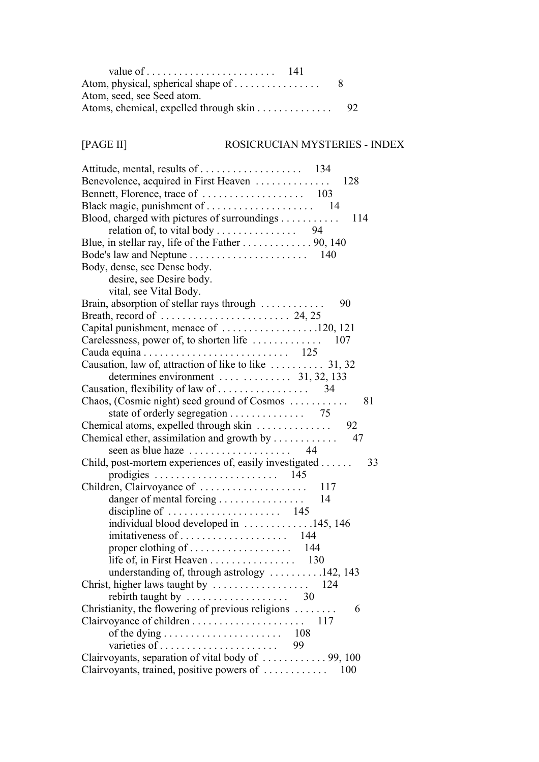| Atom, physical, spherical shape of     |     |
|----------------------------------------|-----|
| Atom, seed, see Seed atom.             |     |
| Atoms, chemical, expelled through skin | -92 |

## [PAGE II] ROSICRUCIAN MYSTERIES - INDEX

| Benevolence, acquired in First Heaven<br>128                               |
|----------------------------------------------------------------------------|
|                                                                            |
|                                                                            |
| Blood, charged with pictures of surroundings<br>114                        |
| relation of, to vital body 94                                              |
| Blue, in stellar ray, life of the Father 90, 140                           |
|                                                                            |
| Body, dense, see Dense body.                                               |
| desire, see Desire body.                                                   |
| vital, see Vital Body.                                                     |
| Brain, absorption of stellar rays through<br>90                            |
|                                                                            |
| Capital punishment, menace of 120, 121                                     |
|                                                                            |
| Cauda equina $\ldots \ldots \ldots \ldots \ldots \ldots \ldots \ldots$ 125 |
| Causation, law of, attraction of like to like  31, 32                      |
| determines environment    31, 32, 133                                      |
|                                                                            |
| Chaos, (Cosmic night) seed ground of Cosmos<br>81                          |
| state of orderly segregation 75                                            |
|                                                                            |
| Chemical ether, assimilation and growth by $\dots \dots \dots$<br>47       |
|                                                                            |
| Child, post-mortem experiences of, easily investigated<br>33               |
|                                                                            |
| Children, Clairvoyance of<br>117                                           |
| danger of mental forcing<br>14                                             |
|                                                                            |
| individual blood developed in 145, 146                                     |
|                                                                            |
|                                                                            |
| life of, in First Heaven 130                                               |
| understanding of, through astrology 142, 143                               |
|                                                                            |
| rebirth taught by $\ldots \ldots \ldots \ldots \ldots$ 30                  |
| Christianity, the flowering of previous religions<br>6                     |
|                                                                            |
|                                                                            |
| 99                                                                         |
| Clairvoyants, separation of vital body of  99, 100                         |
| Clairvoyants, trained, positive powers of<br>100                           |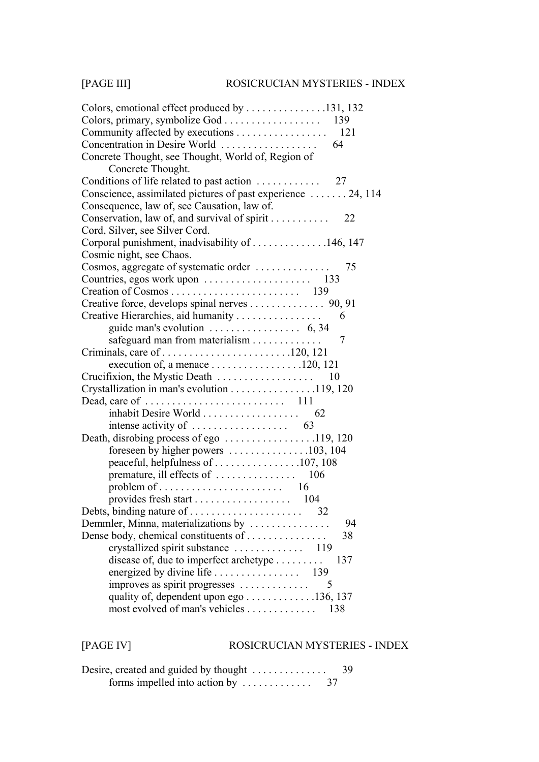| Colors, emotional effect produced by $\dots \dots \dots \dots \dots 131, 132$ |
|-------------------------------------------------------------------------------|
| Colors, primary, symbolize God 139                                            |
| Community affected by executions 121                                          |
| Concentration in Desire World<br>64                                           |
| Concrete Thought, see Thought, World of, Region of                            |
| Concrete Thought.                                                             |
|                                                                               |
| Conscience, assimilated pictures of past experience  24, 114                  |
| Consequence, law of, see Causation, law of.                                   |
| Conservation, law of, and survival of spirit 22                               |
| Cord, Silver, see Silver Cord.                                                |
| Corporal punishment, inadvisability of 146, 147                               |
| Cosmic night, see Chaos.                                                      |
| Cosmos, aggregate of systematic order<br>75                                   |
|                                                                               |
|                                                                               |
| Creative force, develops spinal nerves 90, 91                                 |
| Creative Hierarchies, aid humanity<br>6                                       |
|                                                                               |
| safeguard man from materialism<br>7                                           |
|                                                                               |
|                                                                               |
|                                                                               |
| Crystallization in man's evolution 119, 120                                   |
|                                                                               |
| inhabit Desire World<br>62                                                    |
| intense activity of $\dots \dots \dots \dots \dots \dots$ 63                  |
| Death, disrobing process of ego 119, 120                                      |
| foreseen by higher powers 103, 104                                            |
| peaceful, helpfulness of 107, 108                                             |
|                                                                               |
|                                                                               |
| provides fresh start 104                                                      |
|                                                                               |
| Demmler, Minna, materializations by<br>94                                     |
| Dense body, chemical constituents of<br>38                                    |
|                                                                               |
| disease of, due to imperfect archetype<br>137                                 |
|                                                                               |
| improves as spirit progresses<br>5                                            |
| quality of, dependent upon ego 136, 137                                       |
| most evolved of man's vehicles<br>138                                         |

## [PAGE IV] ROSICRUCIAN MYSTERIES - INDEX

| Desire, created and guided by thought                   | 39 |
|---------------------------------------------------------|----|
| forms impelled into action by $\dots \dots \dots$<br>37 |    |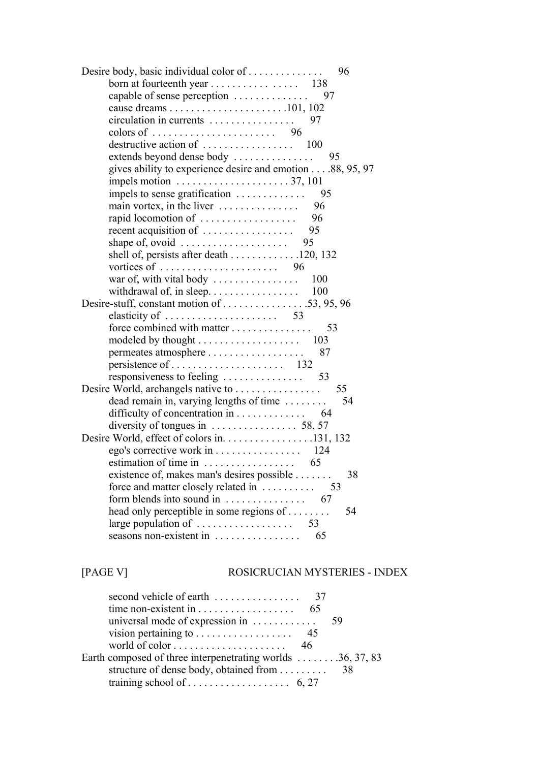| Desire body, basic individual color of<br>96                      |
|-------------------------------------------------------------------|
| born at fourteenth year 138                                       |
| capable of sense perception<br>97                                 |
|                                                                   |
| circulation in currents<br>97                                     |
| colors of $\ldots \ldots \ldots \ldots \ldots \ldots \ldots$ 96   |
|                                                                   |
| extends beyond dense body<br>95                                   |
| gives ability to experience desire and emotion 88, 95, 97         |
| impels motion $\ldots \ldots \ldots \ldots \ldots \ldots 37, 101$ |
| impels to sense gratification $\dots \dots \dots$<br>95           |
| main vortex, in the liver $\dots \dots \dots \dots$ 96            |
| rapid locomotion of<br>- 96                                       |
| recent acquisition of $\dots \dots \dots \dots \dots$ 95          |
|                                                                   |
| shell of, persists after death 120, 132                           |
|                                                                   |
| war of, with vital body $\dots \dots \dots \dots$<br>100          |
|                                                                   |
|                                                                   |
| elasticity of $\ldots \ldots \ldots \ldots \ldots \ldots$ 53      |
| force combined with matter 53                                     |
|                                                                   |
| permeates atmosphere<br>87                                        |
|                                                                   |
|                                                                   |
| 55                                                                |
| 54<br>dead remain in, varying lengths of time                     |
| difficulty of concentration in 64                                 |
|                                                                   |
| Desire World, effect of colors in. 131, 132                       |
| ego's corrective work in 124                                      |
| estimation of time in $\dots \dots \dots \dots \dots$ 65          |
| existence of, makes man's desires possible<br>38                  |
| force and matter closely related in<br>53                         |
| form blends into sound in<br>67                                   |
| head only perceptible in some regions of<br>54                    |
| large population of $\dots \dots \dots \dots \dots$<br>53         |
| seasons non-existent in<br>65                                     |

[PAGE V] ROSICRUCIAN MYSTERIES - INDEX

| vision pertaining to $\dots \dots \dots \dots \dots$ 45       |  |
|---------------------------------------------------------------|--|
| world of color $\dots \dots \dots \dots \dots \dots \dots$ 46 |  |
| Earth composed of three interpenetrating worlds 36, 37, 83    |  |
| structure of dense body, obtained from 38                     |  |
|                                                               |  |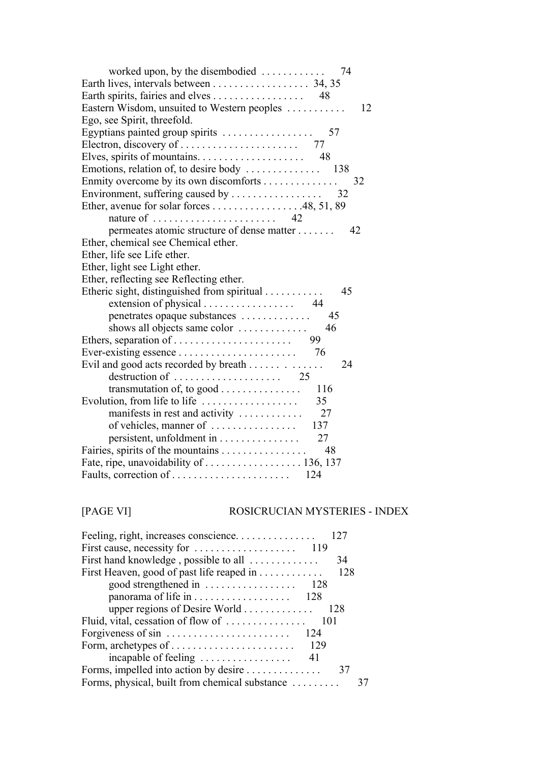| worked upon, by the disembodied<br>- 74                            |    |
|--------------------------------------------------------------------|----|
|                                                                    |    |
| Earth spirits, fairies and elves 48                                |    |
| Eastern Wisdom, unsuited to Western peoples                        | 12 |
| Ego, see Spirit, threefold.                                        |    |
| Egyptians painted group spirits<br>57                              |    |
|                                                                    |    |
| Elves, spirits of mountains. $\ldots$ . 48                         |    |
|                                                                    |    |
| Enmity overcome by its own discomforts                             | 32 |
|                                                                    |    |
| Ether, avenue for solar forces 48, 51, 89                          |    |
|                                                                    |    |
| permeates atomic structure of dense matter                         | 42 |
| Ether, chemical see Chemical ether.                                |    |
| Ether, life see Life ether.                                        |    |
| Ether, light see Light ether.                                      |    |
| Ether, reflecting see Reflecting ether.                            |    |
| Etheric sight, distinguished from spiritual<br>45                  |    |
|                                                                    |    |
| penetrates opaque substances<br>45                                 |    |
| shows all objects same color<br>46                                 |    |
| 99                                                                 |    |
| 76                                                                 |    |
| Evil and good acts recorded by breath<br>24                        |    |
|                                                                    |    |
| transmutation of, to good<br>116                                   |    |
| 35<br>Evolution, from life to life $\dots \dots \dots \dots \dots$ |    |
| manifests in rest and activity<br>27                               |    |
| of vehicles, manner of<br>137                                      |    |
| 27                                                                 |    |
| Fairies, spirits of the mountains<br>48                            |    |
| Fate, ripe, unavoidability of  136, 137                            |    |
| 124                                                                |    |

| [PAGE VI] |
|-----------|
|-----------|

## TI] ROSICRUCIAN MYSTERIES - INDEX

| Feeling, right, increases conscience           | 12.7 |
|------------------------------------------------|------|
|                                                |      |
| First hand knowledge, possible to all          | 34   |
| First Heaven, good of past life reaped in      | 128  |
| good strengthened in<br>128                    |      |
|                                                |      |
| upper regions of Desire World                  | 128  |
|                                                |      |
| 124                                            |      |
| Form, archetypes of<br>129                     |      |
| incapable of feeling<br>41                     |      |
| Forms, impelled into action by desire          | 37   |
| Forms, physical, built from chemical substance |      |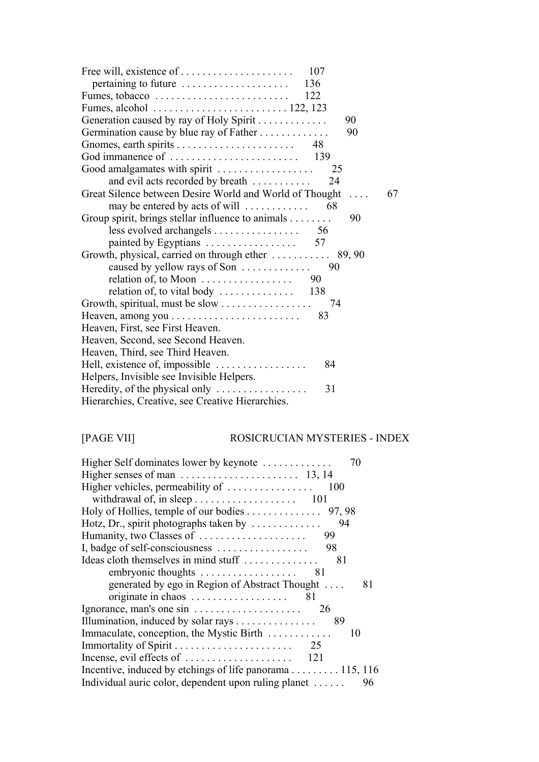| Fumes, alcohol $\ldots \ldots \ldots \ldots \ldots \ldots \ldots 122, 123$ |
|----------------------------------------------------------------------------|
| Generation caused by ray of Holy Spirit<br>90                              |
| Germination cause by blue ray of Father<br>90                              |
|                                                                            |
|                                                                            |
| Good amalgamates with spirit<br>25                                         |
| and evil acts recorded by breath<br>24                                     |
| Great Silence between Desire World and World of Thought<br>67              |
| may be entered by acts of will $\dots \dots \dots \dots$ 68                |
| Group spirit, brings stellar influence to animals<br>90                    |
| less evolved archangels 56                                                 |
|                                                                            |
| Growth, physical, carried on through ether  89, 90                         |
|                                                                            |
| relation of, to Moon $\ldots \ldots \ldots \ldots \ldots$ 90               |
| relation of, to vital body $\dots \dots \dots \dots \dots$ 138             |
| 74                                                                         |
| 83                                                                         |
| Heaven, First, see First Heaven.                                           |
| Heaven, Second, see Second Heaven.                                         |
| Heaven, Third, see Third Heaven.                                           |
| Hell, existence of, impossible<br>84                                       |
| Helpers, Invisible see Invisible Helpers.                                  |
| Heredity, of the physical only $\dots \dots \dots \dots \dots$<br>31       |
| Hierarchies, Creative, see Creative Hierarchies.                           |
|                                                                            |

# [PAGE VII] ROSICRUCIAN MYSTERIES - INDEX

| Higher Self dominates lower by keynote<br>70                        |
|---------------------------------------------------------------------|
|                                                                     |
| Higher vehicles, permeability of $\dots\dots\dots\dots\dots$<br>100 |
|                                                                     |
| Holy of Hollies, temple of our bodies 97, 98                        |
| Hotz, Dr., spirit photographs taken by $\dots\dots\dots\dots$<br>94 |
| Humanity, two Classes of<br>99                                      |
| I, badge of self-consciousness<br>98                                |
| Ideas cloth themselves in mind stuff<br>81                          |
| embryonic thoughts<br>81                                            |
| generated by ego in Region of Abstract Thought<br>81                |
|                                                                     |
| Ignorance, man's one sin<br>26                                      |
| Illumination, induced by solar rays<br>89                           |
| Immaculate, conception, the Mystic Birth<br>10                      |
|                                                                     |
|                                                                     |
|                                                                     |
| Individual auric color, dependent upon ruling planet<br>96          |
|                                                                     |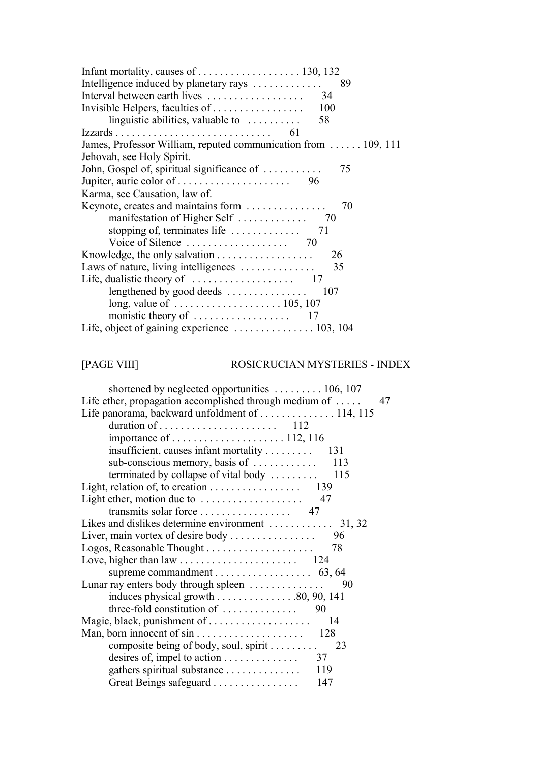| Infant mortality, causes of $\dots \dots \dots \dots \dots \dots \dots \dots 130, 132$ |
|----------------------------------------------------------------------------------------|
| Intelligence induced by planetary rays<br>89                                           |
| Interval between earth lives<br>34                                                     |
| 100                                                                                    |
| linguistic abilities, valuable to $\dots\dots\dots$<br>58                              |
| 61                                                                                     |
| James, Professor William, reputed communication from  109, 111                         |
| Jehovah, see Holy Spirit.                                                              |
| John, Gospel of, spiritual significance of $\dots \dots$<br>75                         |
|                                                                                        |
| Karma, see Causation, law of.                                                          |
| Keynote, creates and maintains form<br>70                                              |
|                                                                                        |
|                                                                                        |
|                                                                                        |
| 26                                                                                     |
| Laws of nature, living intelligences<br>35                                             |
|                                                                                        |
| lengthened by good deeds<br>107                                                        |
| long, value of $\ldots \ldots \ldots \ldots \ldots \ldots 105, 107$                    |
|                                                                                        |
|                                                                                        |

# [PAGE VIII] ROSICRUCIAN MYSTERIES - INDEX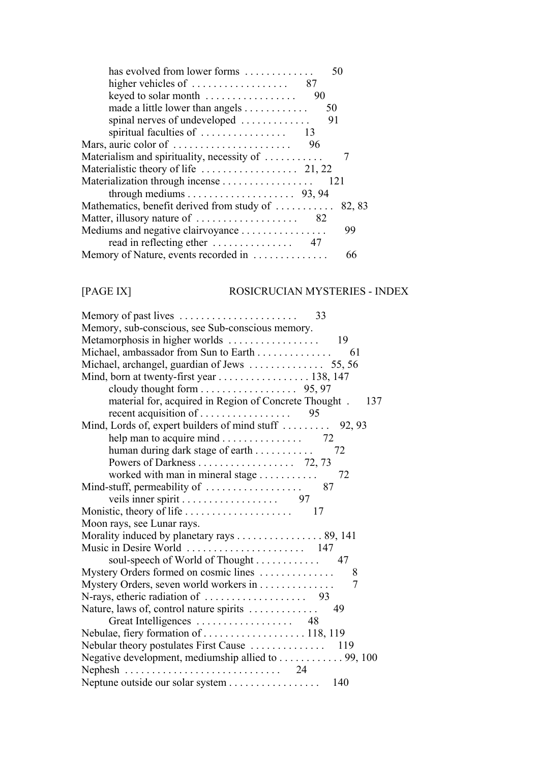| has evolved from lower forms                               | 50  |        |
|------------------------------------------------------------|-----|--------|
| higher vehicles of $\ldots \ldots \ldots \ldots \ldots$ 87 |     |        |
| keyed to solar month                                       | 90  |        |
| made a little lower than angels                            | 50  |        |
| spinal nerves of undeveloped                               | 91  |        |
|                                                            |     |        |
|                                                            | 96  |        |
| Materialism and spirituality, necessity of                 |     |        |
|                                                            |     |        |
| Materialization through incense                            | 121 |        |
|                                                            |     |        |
| Mathematics, benefit derived from study of                 |     | 82, 83 |
|                                                            |     |        |
| Mediums and negative clairvoyance                          |     | 99     |
|                                                            |     |        |
| Memory of Nature, events recorded in                       |     | 66     |

## [PAGE IX] ROSICRUCIAN MYSTERIES - INDEX

| Memory, sub-conscious, see Sub-conscious memory.                     |  |
|----------------------------------------------------------------------|--|
| Metamorphosis in higher worlds<br>- 19                               |  |
| Michael, ambassador from Sun to Earth<br>61                          |  |
|                                                                      |  |
| Mind, born at twenty-first year 138, 147                             |  |
|                                                                      |  |
| material for, acquired in Region of Concrete Thought . 137           |  |
|                                                                      |  |
| Mind, Lords of, expert builders of mind stuff  92, 93                |  |
| help man to acquire mind 72                                          |  |
| 72<br>human during dark stage of earth                               |  |
|                                                                      |  |
| worked with man in mineral stage<br>72                               |  |
|                                                                      |  |
| veils inner spirit 97                                                |  |
| 17                                                                   |  |
| Moon rays, see Lunar rays.                                           |  |
| Morality induced by planetary rays 89, 141                           |  |
|                                                                      |  |
| soul-speech of World of Thought 47                                   |  |
| Mystery Orders formed on cosmic lines<br>8                           |  |
| Mystery Orders, seven world workers in<br>$\overline{7}$             |  |
|                                                                      |  |
| Nature, laws of, control nature spirits<br>49                        |  |
|                                                                      |  |
| Nebulae, fiery formation of  118, 119                                |  |
|                                                                      |  |
| Negative development, mediumship allied to 99, 100                   |  |
| Nephesh $\ldots \ldots \ldots \ldots \ldots \ldots \ldots \ldots 24$ |  |
| 140                                                                  |  |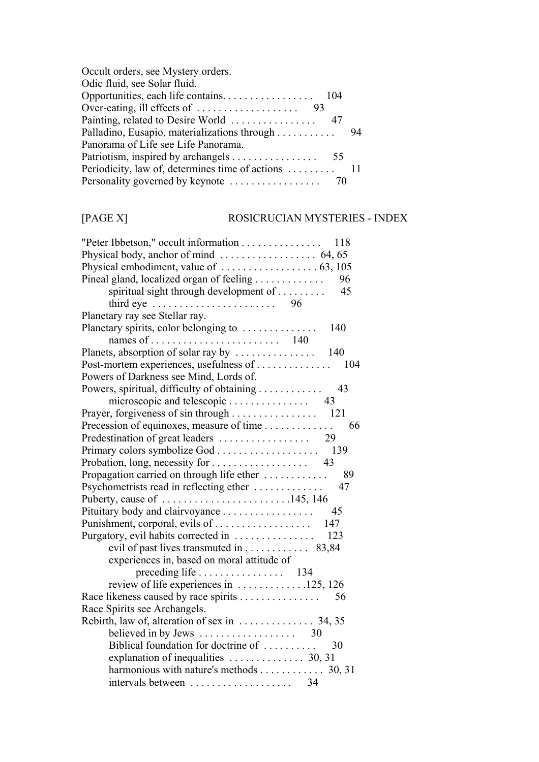| Occult orders, see Mystery orders.           |    |
|----------------------------------------------|----|
| Odic fluid, see Solar fluid.                 |    |
|                                              |    |
|                                              |    |
|                                              |    |
| Palladino, Eusapio, materializations through | 94 |
| Panorama of Life see Life Panorama.          |    |
|                                              |    |
|                                              |    |
|                                              |    |

# [PAGE X] ROSICRUCIAN MYSTERIES - INDEX

| "Peter Ibbetson," occult information<br>118                            |
|------------------------------------------------------------------------|
|                                                                        |
|                                                                        |
| Pineal gland, localized organ of feeling<br>96                         |
| spiritual sight through development of<br>45                           |
| third eye $\ldots \ldots \ldots \ldots \ldots \ldots$<br>96            |
| Planetary ray see Stellar ray.                                         |
| Planetary spirits, color belonging to<br>140                           |
|                                                                        |
| Planets, absorption of solar ray by<br>140                             |
| Post-mortem experiences, usefulness of<br>104                          |
| Powers of Darkness see Mind, Lords of.                                 |
| Powers, spiritual, difficulty of obtaining<br>43                       |
| microscopic and telescopic<br>43                                       |
| 121                                                                    |
| Precession of equinoxes, measure of time<br>66                         |
| Predestination of great leaders<br>29                                  |
| 139                                                                    |
| Probation, long, necessity for<br>43                                   |
| Propagation carried on through life ether<br>89                        |
| Psychometrists read in reflecting ether<br>47                          |
| Puberty, cause of 145, 146                                             |
| Pituitary body and clairvoyance<br>45                                  |
| 147                                                                    |
| Purgatory, evil habits corrected in<br>123                             |
| evil of past lives transmuted in 83,84                                 |
| experiences in, based on moral attitude of                             |
| preceding life $\dots \dots \dots \dots \dots \dots$ 134               |
| review of life experiences in $\dots \dots \dots \dots \dots 125, 126$ |
| 56                                                                     |
| Race Spirits see Archangels.                                           |
|                                                                        |
| believed in by Jews $\ldots \ldots \ldots \ldots \ldots$ 30            |
| Biblical foundation for doctrine of<br>30                              |
| explanation of inequalities $\dots \dots \dots \dots$ 30, 31           |
| harmonious with nature's methods 30, 31                                |
| 34<br>intervals between                                                |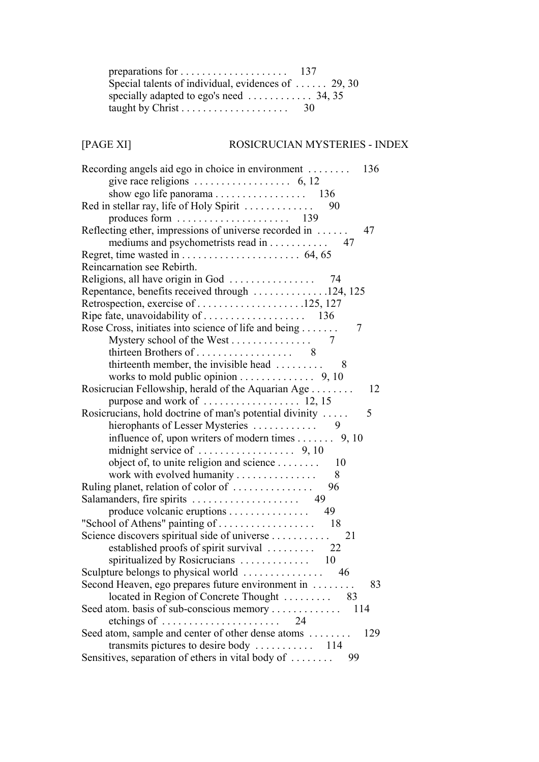| Special talents of individual, evidences of  29, 30        |    |
|------------------------------------------------------------|----|
| specially adapted to ego's need $\dots \dots \dots 34, 35$ |    |
|                                                            | 30 |

# [PAGE XI] ROSICRUCIAN MYSTERIES - INDEX

| Recording angels aid ego in choice in environment $\dots \dots$ 136  |
|----------------------------------------------------------------------|
|                                                                      |
|                                                                      |
| Red in stellar ray, life of Holy Spirit<br>90                        |
|                                                                      |
| Reflecting ether, impressions of universe recorded in<br>47          |
| mediums and psychometrists read in 47                                |
|                                                                      |
| Reincarnation see Rebirth.                                           |
|                                                                      |
| Repentance, benefits received through 124, 125                       |
| Retrospection, exercise of 125, 127                                  |
|                                                                      |
| Rose Cross, initiates into science of life and being<br>7            |
|                                                                      |
| thirteen Brothers of 8                                               |
| thirteenth member, the invisible head $\dots \dots \dots$ 8          |
| works to mold public opinion 9, 10                                   |
| Rosicrucian Fellowship, herald of the Aquarian Age<br>12             |
|                                                                      |
| Rosicrucians, hold doctrine of man's potential divinity<br>5         |
|                                                                      |
| influence of, upon writers of modern times 9, 10                     |
|                                                                      |
| object of, to unite religion and science<br>- 10                     |
| work with evolved humanity<br>8                                      |
| Ruling planet, relation of color of<br>96                            |
|                                                                      |
| 49                                                                   |
| "School of Athens" painting of $\dots \dots \dots \dots \dots$<br>18 |
| Science discovers spiritual side of universe<br>21                   |
|                                                                      |
| spiritualized by Rosicrucians<br>10                                  |
| Sculpture belongs to physical world $\ldots$<br>46                   |
| Second Heaven, ego prepares future environment in<br>83              |
| located in Region of Concrete Thought 83                             |
| Seed atom. basis of sub-conscious memory<br>114                      |
| etchings of $\dots \dots \dots \dots \dots \dots \dots$<br>24        |
| Seed atom, sample and center of other dense atoms<br>129             |
|                                                                      |
| Sensitives, separation of ethers in vital body of<br>99              |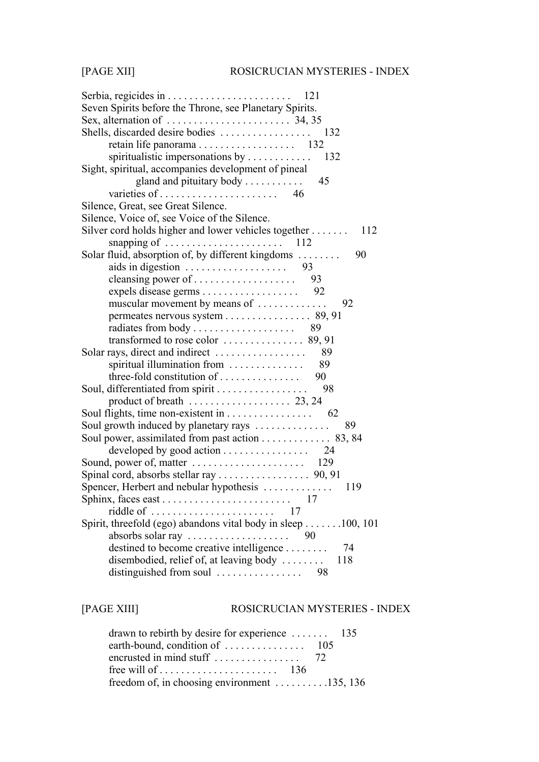| Seven Spirits before the Throne, see Planetary Spirits.                |
|------------------------------------------------------------------------|
| Sex, alternation of $\dots \dots \dots \dots \dots \dots \dots$ 34, 35 |
|                                                                        |
|                                                                        |
|                                                                        |
| Sight, spiritual, accompanies development of pineal                    |
| gland and pituitary body $\dots \dots$<br>45                           |
|                                                                        |
| Silence, Great, see Great Silence.                                     |
| Silence, Voice of, see Voice of the Silence.                           |
| Silver cord holds higher and lower vehicles together<br>112            |
| snapping of $\ldots \ldots \ldots \ldots \ldots \ldots \ldots 112$     |
| Solar fluid, absorption of, by different kingdoms<br>90                |
| aids in digestion $\ldots \ldots \ldots \ldots \ldots$ 93              |
|                                                                        |
|                                                                        |
| muscular movement by means of<br>92                                    |
|                                                                        |
|                                                                        |
|                                                                        |
| Solar rays, direct and indirect<br>89                                  |
| spiritual illumination from<br>89                                      |
| three-fold constitution of<br>90                                       |
| Soul, differentiated from spirit<br>98                                 |
| product of breath $\dots \dots \dots \dots \dots \dots 23, 24$         |
|                                                                        |
| Soul growth induced by planetary rays<br>89                            |
| Soul power, assimilated from past action 83, 84                        |
| developed by good action 24                                            |
|                                                                        |
|                                                                        |
|                                                                        |
|                                                                        |
| 17                                                                     |
| Spirit, threefold (ego) abandons vital body in sleep 100, 101          |
| absorbs solar ray<br>90                                                |
| destined to become creative intelligence<br>74                         |
| disembodied, relief of, at leaving body<br>118                         |
| distinguished from soul<br>98                                          |

# [PAGE XIII] ROSICRUCIAN MYSTERIES - INDEX

| drawn to rebirth by desire for experience $\dots \dots$ 135            |  |
|------------------------------------------------------------------------|--|
|                                                                        |  |
|                                                                        |  |
|                                                                        |  |
| freedom of, in choosing environment $\dots \dots \dots \dots 135, 136$ |  |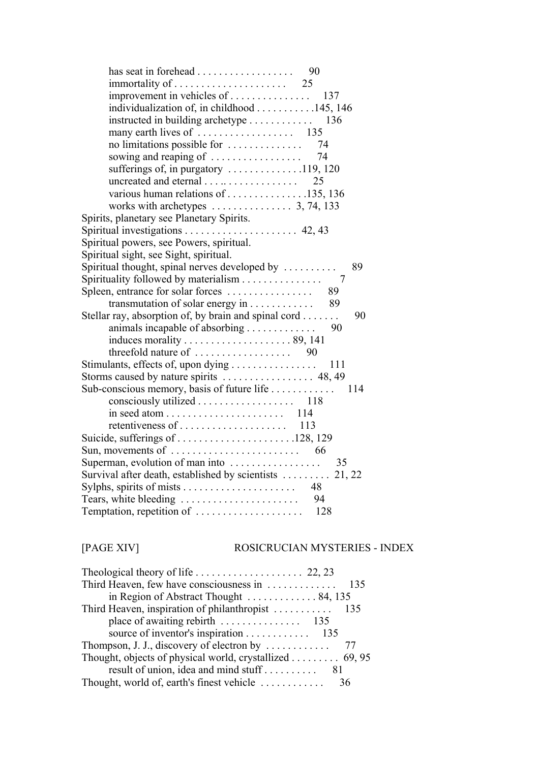|                                                                           | 90  |
|---------------------------------------------------------------------------|-----|
|                                                                           |     |
| improvement in vehicles of                                                | 137 |
| individualization of, in childhood 145, 146                               |     |
| instructed in building archetype 136                                      |     |
|                                                                           |     |
| no limitations possible for                                               | 74  |
| sowing and reaping of                                                     | 74  |
| sufferings of, in purgatory 119, 120                                      |     |
| uncreated and eternal                                                     | 25  |
| various human relations of $\dots \dots \dots \dots \dots \dots 135, 136$ |     |
| works with archetypes $\dots \dots \dots \dots$ 3, 74, 133                |     |
| Spirits, planetary see Planetary Spirits.                                 |     |
|                                                                           |     |
| Spiritual powers, see Powers, spiritual.                                  |     |
| Spiritual sight, see Sight, spiritual.                                    |     |
| Spiritual thought, spinal nerves developed by                             | 89  |
| Spirituality followed by materialism                                      | 7   |
| Spleen, entrance for solar forces                                         | 89  |
| transmutation of solar energy in                                          | 89  |
| Stellar ray, absorption of, by brain and spinal cord                      | 90  |
| animals incapable of absorbing                                            | 90  |
|                                                                           |     |
|                                                                           |     |
| Stimulants, effects of, upon dying                                        | 111 |
|                                                                           |     |
| Sub-conscious memory, basis of future life                                | 114 |
| consciously utilized 118                                                  |     |
|                                                                           |     |
|                                                                           |     |
|                                                                           |     |
| Sun, movements of $\dots \dots \dots \dots \dots \dots \dots \dots$ 66    |     |
| Superman, evolution of man into                                           | 35  |
| Survival after death, established by scientists  21, 22                   |     |
|                                                                           |     |
| Tears, white bleeding                                                     | -94 |
|                                                                           |     |
|                                                                           |     |

# [PAGE XIV] ROSICRUCIAN MYSTERIES - INDEX

| Theological theory of life $\ldots$ 22, 23                    |  |
|---------------------------------------------------------------|--|
|                                                               |  |
| in Region of Abstract Thought 84, 135                         |  |
|                                                               |  |
|                                                               |  |
| source of inventor's inspiration 135                          |  |
| Thompson, J. J., discovery of electron by $\dots \dots \dots$ |  |
| Thought, objects of physical world, crystallized 69, 95       |  |
|                                                               |  |
|                                                               |  |
|                                                               |  |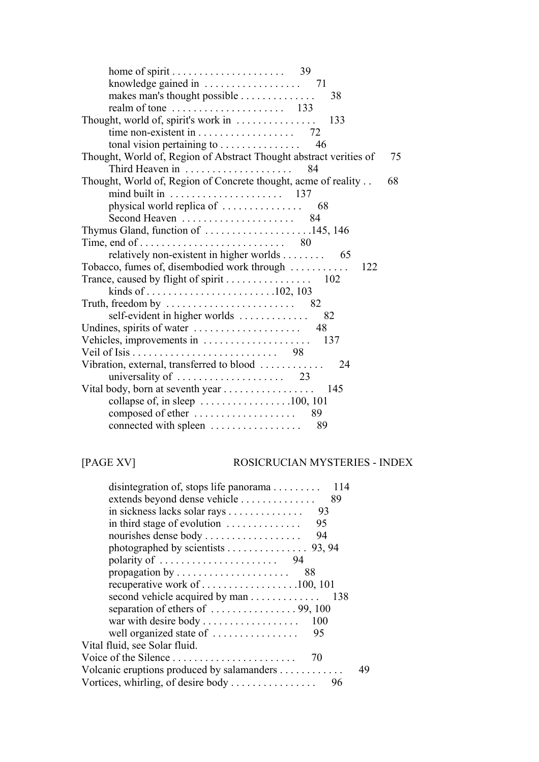| knowledge gained in $\dots \dots \dots \dots \dots$ 71                                      |    |
|---------------------------------------------------------------------------------------------|----|
| makes man's thought possible<br>38                                                          |    |
|                                                                                             |    |
| Thought, world of, spirit's work in $\dots\dots\dots\dots$<br>133                           |    |
|                                                                                             |    |
| tonal vision pertaining to $\dots \dots \dots \dots$<br>46                                  |    |
| Thought, World of, Region of Abstract Thought abstract verities of<br>Third Heaven in<br>84 | 75 |
| Thought, World of, Region of Concrete thought, acme of reality<br>68                        |    |
|                                                                                             |    |
|                                                                                             |    |
|                                                                                             |    |
| Thymus Gland, function of $\dots \dots \dots \dots \dots \dots \dots 145, 146$              |    |
|                                                                                             |    |
| relatively non-existent in higher worlds 65                                                 |    |
| Tobacco, fumes of, disembodied work through<br>122                                          |    |
|                                                                                             |    |
|                                                                                             |    |
| Truth, freedom by $\ldots \ldots \ldots \ldots \ldots \ldots \ldots$ 82                     |    |
| self-evident in higher worlds $\dots \dots \dots$<br>82                                     |    |
|                                                                                             |    |
| Vehicles, improvements in<br>137                                                            |    |
|                                                                                             |    |
| Vibration, external, transferred to blood<br>24<br>$\mathbf{1}$                             |    |
|                                                                                             |    |
|                                                                                             |    |
| collapse of, in sleep $\dots \dots \dots \dots \dots \dots \dots 100, 101$                  |    |
|                                                                                             |    |
| connected with spleen $\dots\dots\dots\dots\dots$<br>89                                     |    |

[PAGE XV]

## ROSICRUCIAN MYSTERIES - INDEX

| disintegration of, stops life panorama 114                      |     |    |
|-----------------------------------------------------------------|-----|----|
| extends beyond dense vehicle                                    | 89  |    |
| in sickness lacks solar rays                                    | 93  |    |
| in third stage of evolution $\dots \dots \dots$                 | 95  |    |
| nourishes dense body                                            | 94  |    |
| photographed by scientists $\ldots \ldots \ldots \ldots$ 93, 94 |     |    |
| polarity of $\dots \dots \dots \dots \dots \dots \dots$ 94      |     |    |
|                                                                 | 88  |    |
|                                                                 |     |    |
| second vehicle acquired by man 138                              |     |    |
|                                                                 |     |    |
| war with desire body                                            | 100 |    |
| well organized state of                                         | 95  |    |
| Vital fluid, see Solar fluid.                                   |     |    |
| Voice of the Silence                                            | 70  |    |
| Volcanic eruptions produced by salamanders                      |     | 49 |
|                                                                 |     |    |
|                                                                 |     |    |